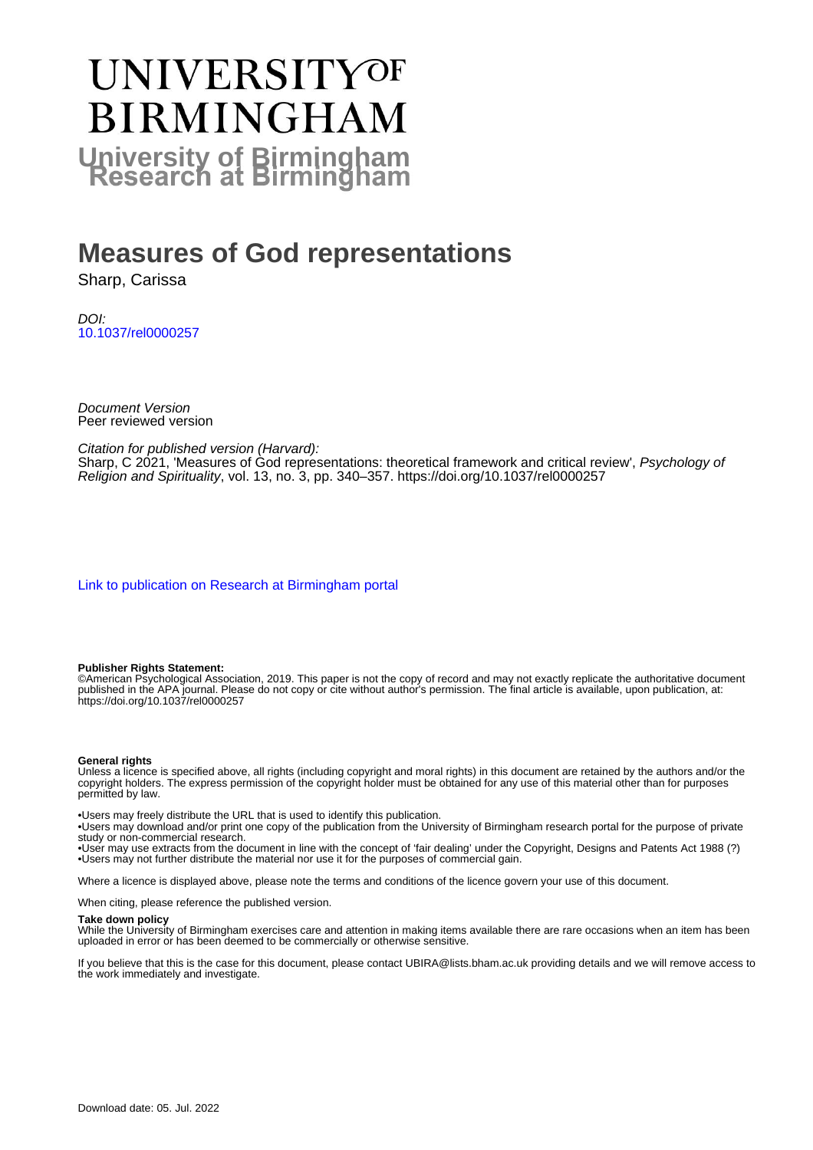# UNIVERSITYOF **BIRMINGHAM University of Birmingham**

# **Measures of God representations**

Sharp, Carissa

DOI: [10.1037/rel0000257](https://doi.org/10.1037/rel0000257)

Document Version Peer reviewed version

Citation for published version (Harvard):

Sharp, C 2021, 'Measures of God representations: theoretical framework and critical review', Psychology of Religion and Spirituality, vol. 13, no. 3, pp. 340–357.<https://doi.org/10.1037/rel0000257>

[Link to publication on Research at Birmingham portal](https://birmingham.elsevierpure.com/en/publications/1bb9de9a-2aa3-4676-88ca-013aa8297e48)

#### **Publisher Rights Statement:**

©American Psychological Association, 2019. This paper is not the copy of record and may not exactly replicate the authoritative document published in the APA journal. Please do not copy or cite without author's permission. The final article is available, upon publication, at: https://doi.org/10.1037/rel0000257

#### **General rights**

Unless a licence is specified above, all rights (including copyright and moral rights) in this document are retained by the authors and/or the copyright holders. The express permission of the copyright holder must be obtained for any use of this material other than for purposes permitted by law.

• Users may freely distribute the URL that is used to identify this publication.

• Users may download and/or print one copy of the publication from the University of Birmingham research portal for the purpose of private study or non-commercial research.

• User may use extracts from the document in line with the concept of 'fair dealing' under the Copyright, Designs and Patents Act 1988 (?) • Users may not further distribute the material nor use it for the purposes of commercial gain.

Where a licence is displayed above, please note the terms and conditions of the licence govern your use of this document.

When citing, please reference the published version.

#### **Take down policy**

While the University of Birmingham exercises care and attention in making items available there are rare occasions when an item has been uploaded in error or has been deemed to be commercially or otherwise sensitive.

If you believe that this is the case for this document, please contact UBIRA@lists.bham.ac.uk providing details and we will remove access to the work immediately and investigate.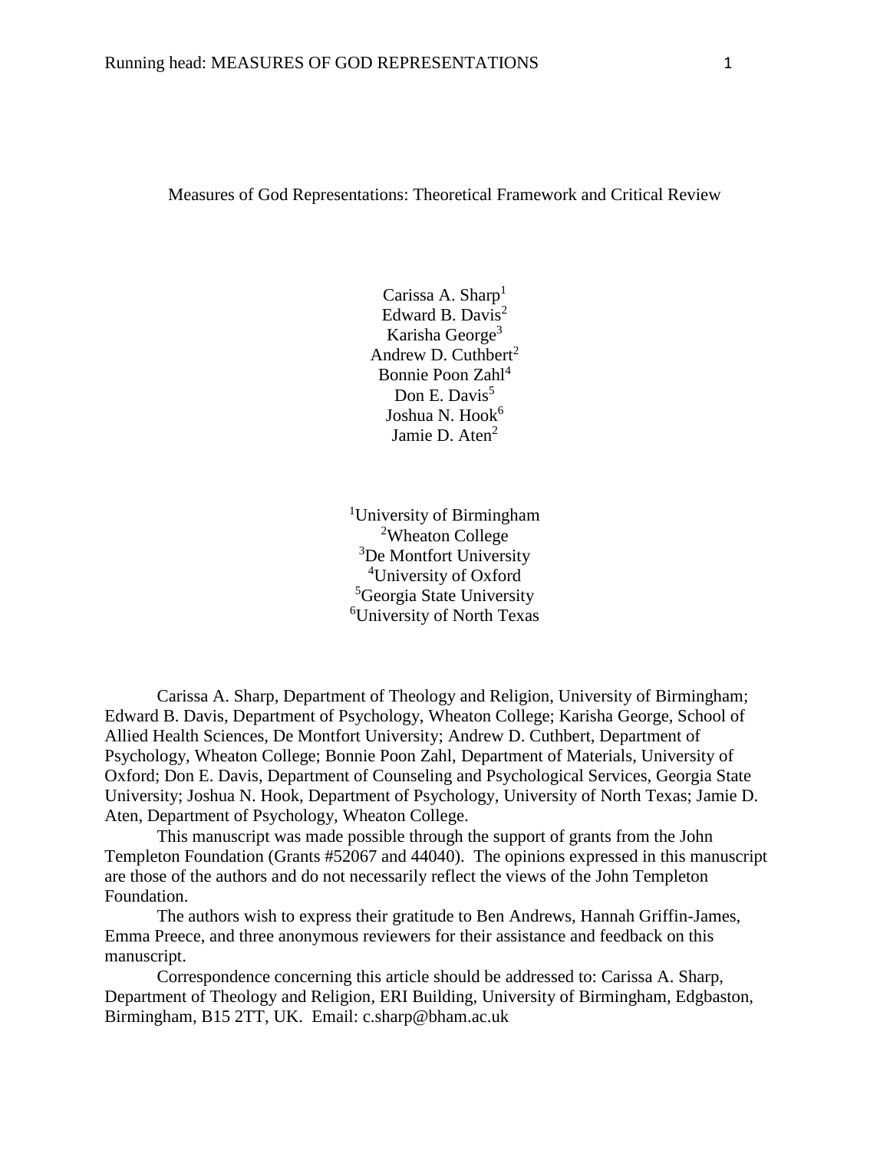#### Measures of God Representations: Theoretical Framework and Critical Review

Carissa A. Sharp<sup>1</sup> Edward B. Davis<sup>2</sup> Karisha George<sup>3</sup> Andrew D. Cuthbert<sup>2</sup> Bonnie Poon Zahl<sup>4</sup> Don E. Davis<sup>5</sup> Joshua N. Hook<sup>6</sup> Jamie D.  $Aten<sup>2</sup>$ 

University of Birmingham Wheaton College <sup>3</sup>De Montfort University University of Oxford Georgia State University University of North Texas

Carissa A. Sharp, Department of Theology and Religion, University of Birmingham; Edward B. Davis, Department of Psychology, Wheaton College; Karisha George, School of Allied Health Sciences, De Montfort University; Andrew D. Cuthbert, Department of Psychology, Wheaton College; Bonnie Poon Zahl, Department of Materials, University of Oxford; Don E. Davis, Department of Counseling and Psychological Services, Georgia State University; Joshua N. Hook, Department of Psychology, University of North Texas; Jamie D. Aten, Department of Psychology, Wheaton College.

This manuscript was made possible through the support of grants from the John Templeton Foundation (Grants #52067 and 44040). The opinions expressed in this manuscript are those of the authors and do not necessarily reflect the views of the John Templeton Foundation.

The authors wish to express their gratitude to Ben Andrews, Hannah Griffin-James, Emma Preece, and three anonymous reviewers for their assistance and feedback on this manuscript.

Correspondence concerning this article should be addressed to: Carissa A. Sharp, Department of Theology and Religion, ERI Building, University of Birmingham, Edgbaston, Birmingham, B15 2TT, UK. Email: c.sharp@bham.ac.uk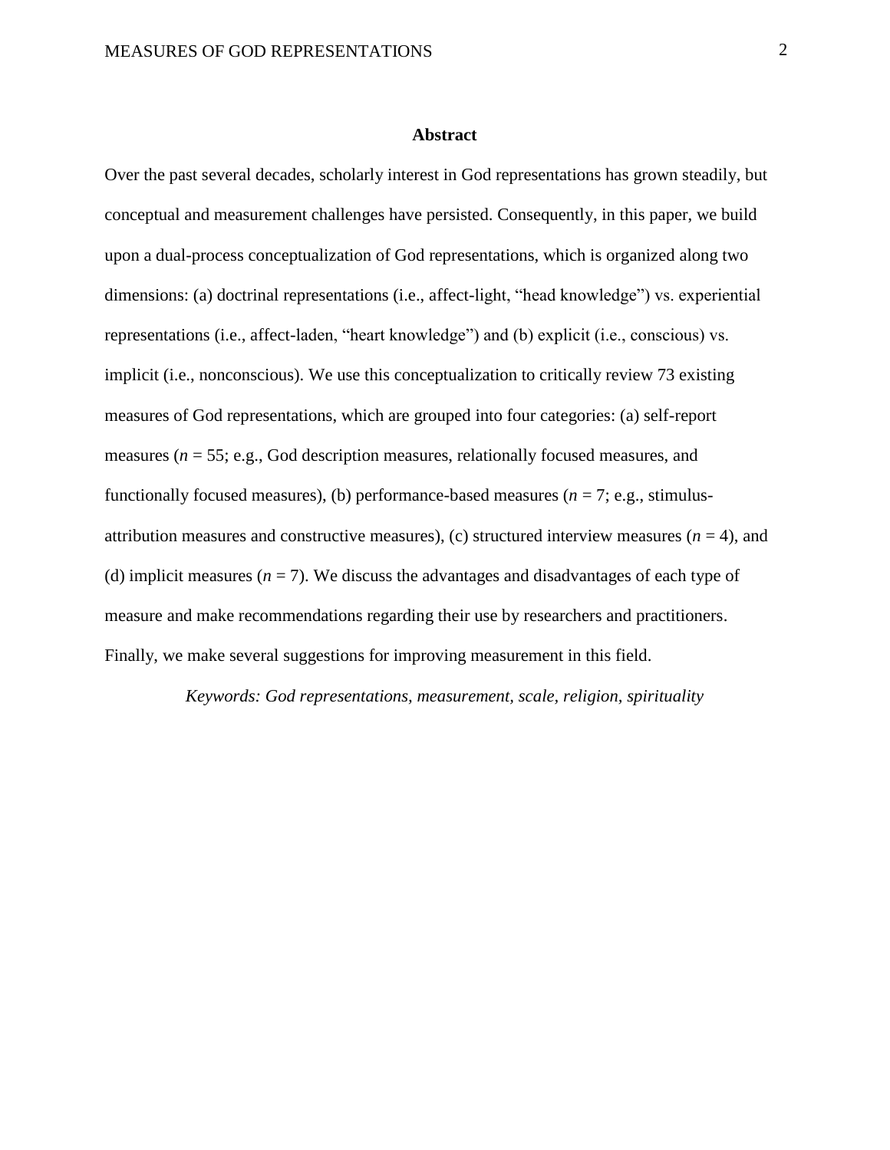#### **Abstract**

Over the past several decades, scholarly interest in God representations has grown steadily, but conceptual and measurement challenges have persisted. Consequently, in this paper, we build upon a dual-process conceptualization of God representations, which is organized along two dimensions: (a) doctrinal representations (i.e., affect-light, "head knowledge") vs. experiential representations (i.e., affect-laden, "heart knowledge") and (b) explicit (i.e., conscious) vs. implicit (i.e., nonconscious). We use this conceptualization to critically review 73 existing measures of God representations, which are grouped into four categories: (a) self-report measures (*n* = 55; e.g., God description measures, relationally focused measures, and functionally focused measures), (b) performance-based measures ( $n = 7$ ; e.g., stimulusattribution measures and constructive measures), (c) structured interview measures  $(n = 4)$ , and (d) implicit measures  $(n = 7)$ . We discuss the advantages and disadvantages of each type of measure and make recommendations regarding their use by researchers and practitioners. Finally, we make several suggestions for improving measurement in this field.

*Keywords: God representations, measurement, scale, religion, spirituality*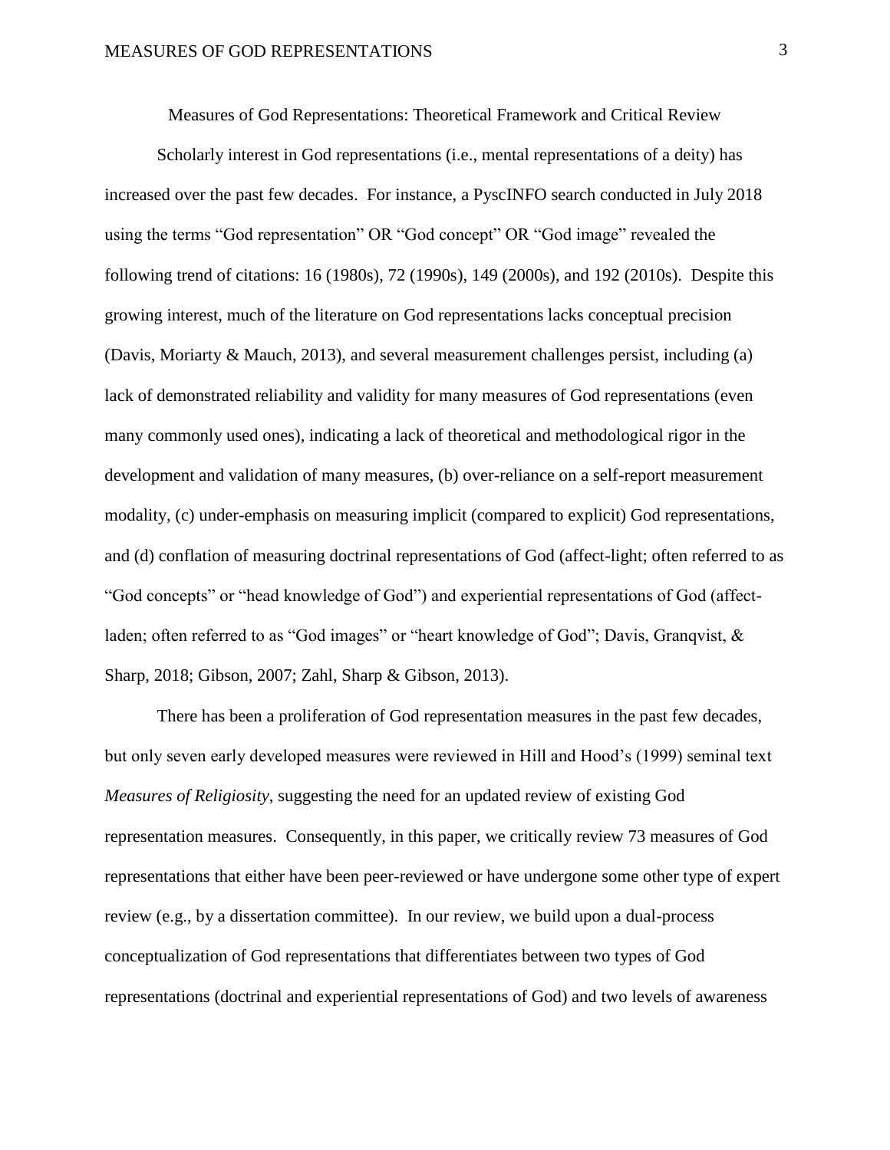Measures of God Representations: Theoretical Framework and Critical Review

Scholarly interest in God representations (i.e., mental representations of a deity) has increased over the past few decades. For instance, a PyscINFO search conducted in July 2018 using the terms "God representation" OR "God concept" OR "God image" revealed the following trend of citations: 16 (1980s), 72 (1990s), 149 (2000s), and 192 (2010s). Despite this growing interest, much of the literature on God representations lacks conceptual precision (Davis, Moriarty & Mauch, 2013), and several measurement challenges persist, including (a) lack of demonstrated reliability and validity for many measures of God representations (even many commonly used ones), indicating a lack of theoretical and methodological rigor in the development and validation of many measures, (b) over-reliance on a self-report measurement modality, (c) under-emphasis on measuring implicit (compared to explicit) God representations, and (d) conflation of measuring doctrinal representations of God (affect-light; often referred to as "God concepts" or "head knowledge of God") and experiential representations of God (affectladen; often referred to as "God images" or "heart knowledge of God"; Davis, Granqvist, & Sharp, 2018; Gibson, 2007; Zahl, Sharp & Gibson, 2013).

There has been a proliferation of God representation measures in the past few decades, but only seven early developed measures were reviewed in Hill and Hood's (1999) seminal text *Measures of Religiosity*, suggesting the need for an updated review of existing God representation measures. Consequently, in this paper, we critically review 73 measures of God representations that either have been peer-reviewed or have undergone some other type of expert review (e.g., by a dissertation committee). In our review, we build upon a dual-process conceptualization of God representations that differentiates between two types of God representations (doctrinal and experiential representations of God) and two levels of awareness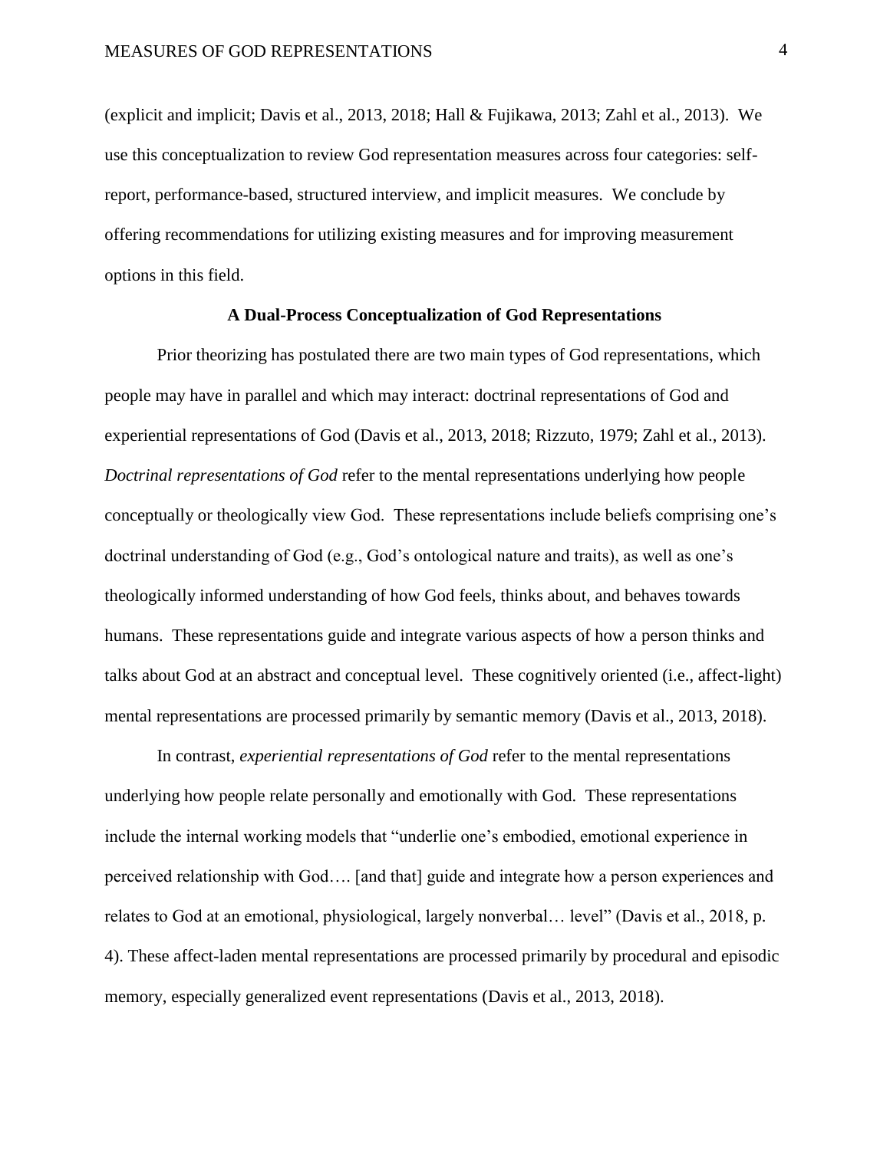(explicit and implicit; Davis et al., 2013, 2018; Hall & Fujikawa, 2013; Zahl et al., 2013). We use this conceptualization to review God representation measures across four categories: selfreport, performance-based, structured interview, and implicit measures. We conclude by offering recommendations for utilizing existing measures and for improving measurement options in this field.

#### **A Dual-Process Conceptualization of God Representations**

Prior theorizing has postulated there are two main types of God representations, which people may have in parallel and which may interact: doctrinal representations of God and experiential representations of God (Davis et al., 2013, 2018; Rizzuto, 1979; Zahl et al., 2013). *Doctrinal representations of God* refer to the mental representations underlying how people conceptually or theologically view God. These representations include beliefs comprising one's doctrinal understanding of God (e.g., God's ontological nature and traits), as well as one's theologically informed understanding of how God feels, thinks about, and behaves towards humans. These representations guide and integrate various aspects of how a person thinks and talks about God at an abstract and conceptual level. These cognitively oriented (i.e., affect-light) mental representations are processed primarily by semantic memory (Davis et al., 2013, 2018).

In contrast, *experiential representations of God* refer to the mental representations underlying how people relate personally and emotionally with God. These representations include the internal working models that "underlie one's embodied, emotional experience in perceived relationship with God…. [and that] guide and integrate how a person experiences and relates to God at an emotional, physiological, largely nonverbal… level" (Davis et al., 2018, p. 4). These affect-laden mental representations are processed primarily by procedural and episodic memory, especially generalized event representations (Davis et al., 2013, 2018).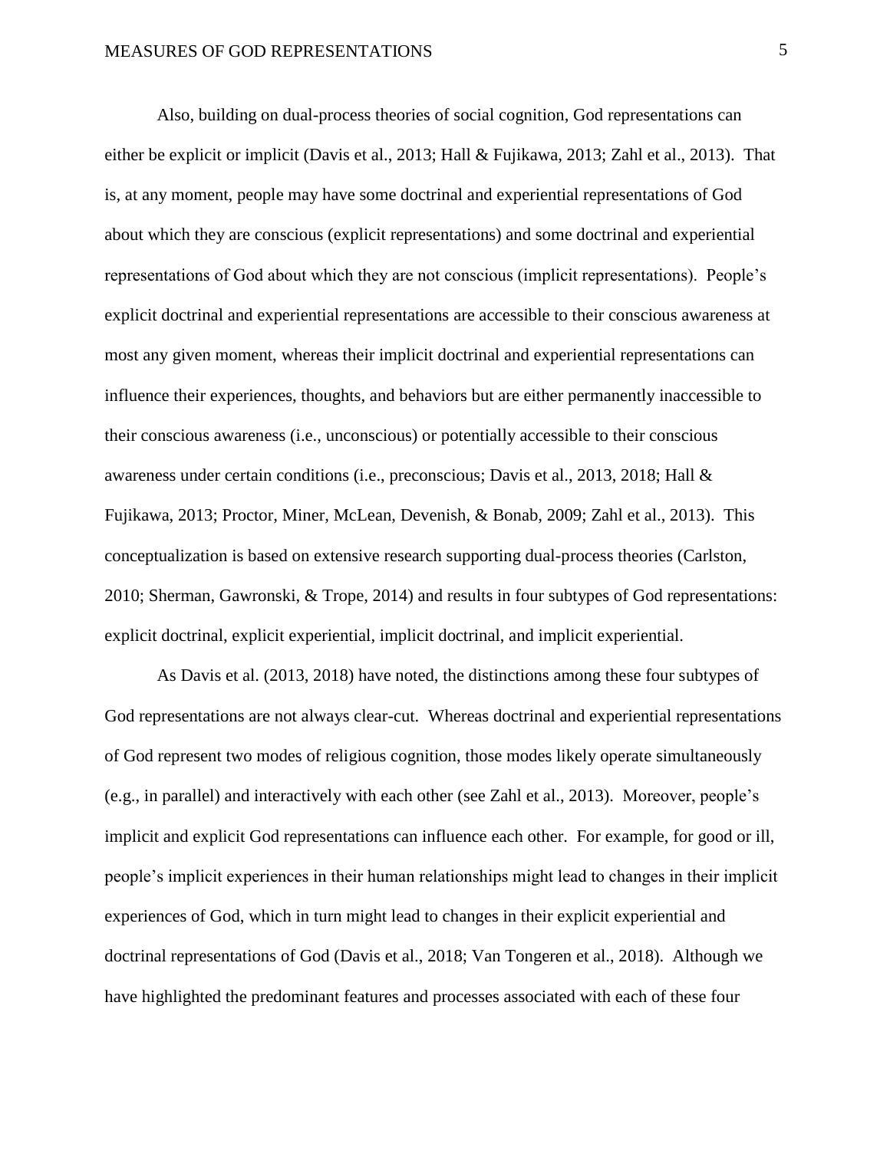Also, building on dual-process theories of social cognition, God representations can either be explicit or implicit (Davis et al., 2013; Hall & Fujikawa, 2013; Zahl et al., 2013). That is, at any moment, people may have some doctrinal and experiential representations of God about which they are conscious (explicit representations) and some doctrinal and experiential representations of God about which they are not conscious (implicit representations). People's explicit doctrinal and experiential representations are accessible to their conscious awareness at most any given moment, whereas their implicit doctrinal and experiential representations can influence their experiences, thoughts, and behaviors but are either permanently inaccessible to their conscious awareness (i.e., unconscious) or potentially accessible to their conscious awareness under certain conditions (i.e., preconscious; Davis et al., 2013, 2018; Hall & Fujikawa, 2013; Proctor, Miner, McLean, Devenish, & Bonab, 2009; Zahl et al., 2013). This conceptualization is based on extensive research supporting dual-process theories (Carlston, 2010; Sherman, Gawronski, & Trope, 2014) and results in four subtypes of God representations: explicit doctrinal, explicit experiential, implicit doctrinal, and implicit experiential.

As Davis et al. (2013, 2018) have noted, the distinctions among these four subtypes of God representations are not always clear-cut. Whereas doctrinal and experiential representations of God represent two modes of religious cognition, those modes likely operate simultaneously (e.g., in parallel) and interactively with each other (see Zahl et al., 2013). Moreover, people's implicit and explicit God representations can influence each other. For example, for good or ill, people's implicit experiences in their human relationships might lead to changes in their implicit experiences of God, which in turn might lead to changes in their explicit experiential and doctrinal representations of God (Davis et al., 2018; Van Tongeren et al., 2018). Although we have highlighted the predominant features and processes associated with each of these four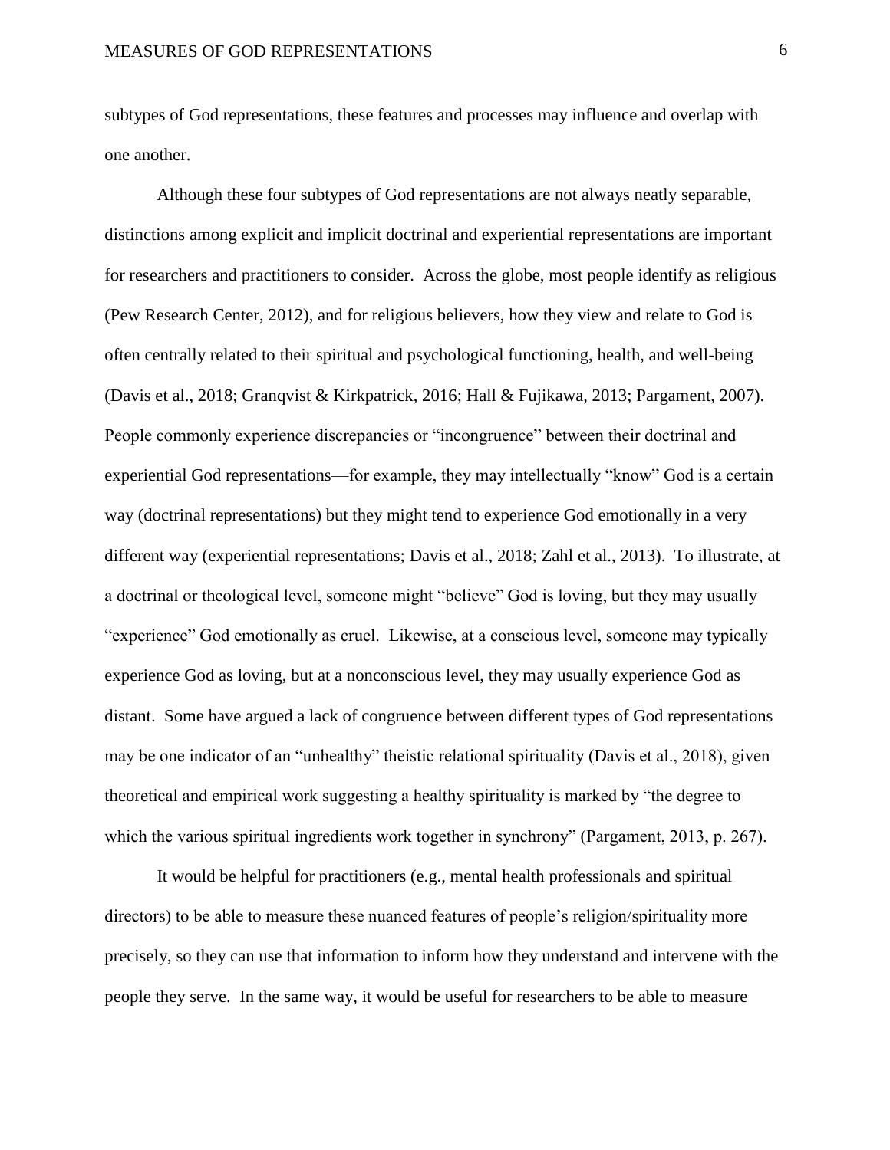subtypes of God representations, these features and processes may influence and overlap with one another.

Although these four subtypes of God representations are not always neatly separable, distinctions among explicit and implicit doctrinal and experiential representations are important for researchers and practitioners to consider. Across the globe, most people identify as religious (Pew Research Center, 2012), and for religious believers, how they view and relate to God is often centrally related to their spiritual and psychological functioning, health, and well-being (Davis et al., 2018; Granqvist & Kirkpatrick, 2016; Hall & Fujikawa, 2013; Pargament, 2007). People commonly experience discrepancies or "incongruence" between their doctrinal and experiential God representations—for example, they may intellectually "know" God is a certain way (doctrinal representations) but they might tend to experience God emotionally in a very different way (experiential representations; Davis et al., 2018; Zahl et al., 2013). To illustrate, at a doctrinal or theological level, someone might "believe" God is loving, but they may usually "experience" God emotionally as cruel. Likewise, at a conscious level, someone may typically experience God as loving, but at a nonconscious level, they may usually experience God as distant. Some have argued a lack of congruence between different types of God representations may be one indicator of an "unhealthy" theistic relational spirituality (Davis et al., 2018), given theoretical and empirical work suggesting a healthy spirituality is marked by "the degree to which the various spiritual ingredients work together in synchrony" (Pargament, 2013, p. 267).

It would be helpful for practitioners (e.g., mental health professionals and spiritual directors) to be able to measure these nuanced features of people's religion/spirituality more precisely, so they can use that information to inform how they understand and intervene with the people they serve. In the same way, it would be useful for researchers to be able to measure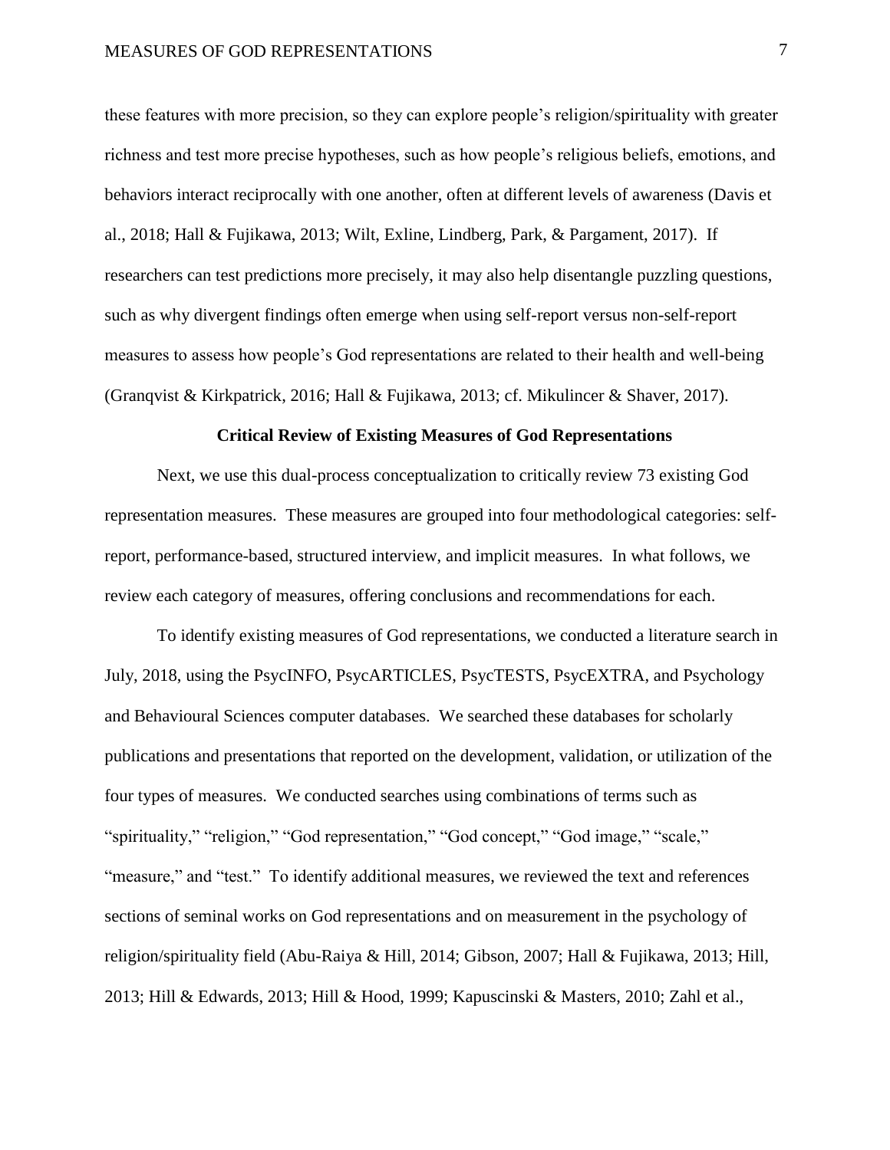these features with more precision, so they can explore people's religion/spirituality with greater richness and test more precise hypotheses, such as how people's religious beliefs, emotions, and behaviors interact reciprocally with one another, often at different levels of awareness (Davis et al., 2018; Hall & Fujikawa, 2013; Wilt, Exline, Lindberg, Park, & Pargament, 2017). If researchers can test predictions more precisely, it may also help disentangle puzzling questions, such as why divergent findings often emerge when using self-report versus non-self-report measures to assess how people's God representations are related to their health and well-being (Granqvist & Kirkpatrick, 2016; Hall & Fujikawa, 2013; cf. Mikulincer & Shaver, 2017).

#### **Critical Review of Existing Measures of God Representations**

Next, we use this dual-process conceptualization to critically review 73 existing God representation measures. These measures are grouped into four methodological categories: selfreport, performance-based, structured interview, and implicit measures. In what follows, we review each category of measures, offering conclusions and recommendations for each.

To identify existing measures of God representations, we conducted a literature search in July, 2018, using the PsycINFO, PsycARTICLES, PsycTESTS, PsycEXTRA, and Psychology and Behavioural Sciences computer databases. We searched these databases for scholarly publications and presentations that reported on the development, validation, or utilization of the four types of measures. We conducted searches using combinations of terms such as "spirituality," "religion," "God representation," "God concept," "God image," "scale," "measure," and "test." To identify additional measures, we reviewed the text and references sections of seminal works on God representations and on measurement in the psychology of religion/spirituality field (Abu-Raiya & Hill, 2014; Gibson, 2007; Hall & Fujikawa, 2013; Hill, 2013; Hill & Edwards, 2013; Hill & Hood, 1999; Kapuscinski & Masters, 2010; Zahl et al.,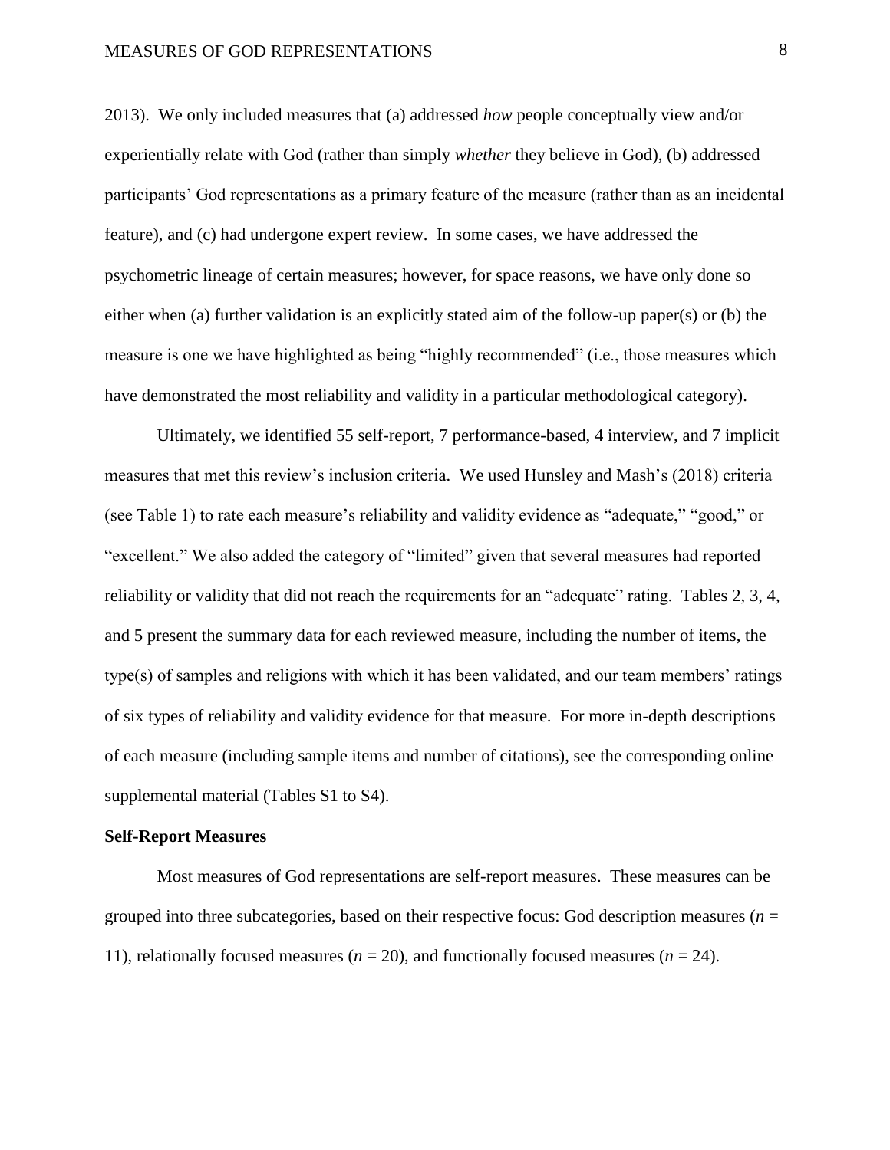2013). We only included measures that (a) addressed *how* people conceptually view and/or experientially relate with God (rather than simply *whether* they believe in God), (b) addressed participants' God representations as a primary feature of the measure (rather than as an incidental feature), and (c) had undergone expert review. In some cases, we have addressed the psychometric lineage of certain measures; however, for space reasons, we have only done so either when (a) further validation is an explicitly stated aim of the follow-up paper(s) or (b) the measure is one we have highlighted as being "highly recommended" (i.e., those measures which have demonstrated the most reliability and validity in a particular methodological category).

Ultimately, we identified 55 self-report, 7 performance-based, 4 interview, and 7 implicit measures that met this review's inclusion criteria. We used Hunsley and Mash's (2018) criteria (see Table 1) to rate each measure's reliability and validity evidence as "adequate," "good," or "excellent." We also added the category of "limited" given that several measures had reported reliability or validity that did not reach the requirements for an "adequate" rating. Tables 2, 3, 4, and 5 present the summary data for each reviewed measure, including the number of items, the type(s) of samples and religions with which it has been validated, and our team members' ratings of six types of reliability and validity evidence for that measure. For more in-depth descriptions of each measure (including sample items and number of citations), see the corresponding online supplemental material (Tables S1 to S4).

#### **Self-Report Measures**

Most measures of God representations are self-report measures. These measures can be grouped into three subcategories, based on their respective focus: God description measures ( $n =$ 11), relationally focused measures ( $n = 20$ ), and functionally focused measures ( $n = 24$ ).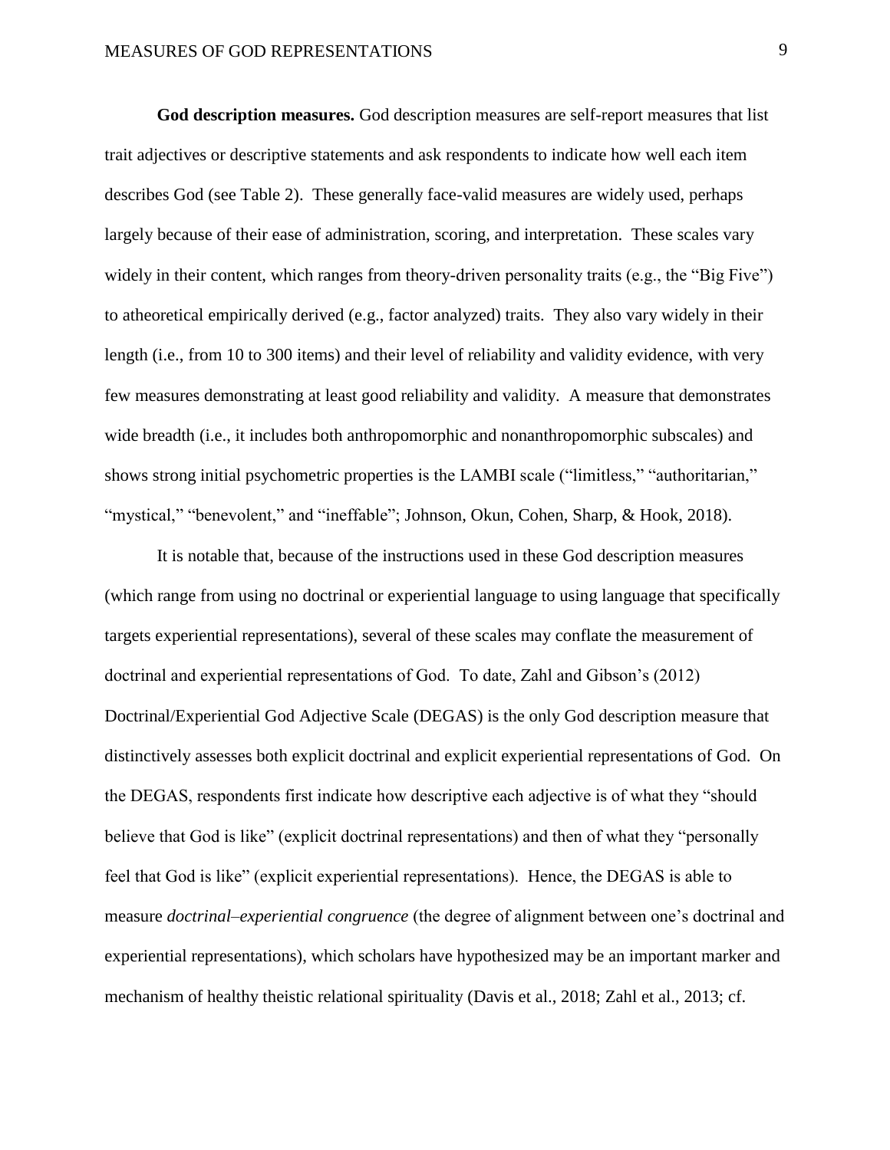**God description measures.** God description measures are self-report measures that list trait adjectives or descriptive statements and ask respondents to indicate how well each item describes God (see Table 2). These generally face-valid measures are widely used, perhaps largely because of their ease of administration, scoring, and interpretation. These scales vary widely in their content, which ranges from theory-driven personality traits (e.g., the "Big Five") to atheoretical empirically derived (e.g., factor analyzed) traits. They also vary widely in their length (i.e., from 10 to 300 items) and their level of reliability and validity evidence, with very few measures demonstrating at least good reliability and validity. A measure that demonstrates wide breadth (i.e., it includes both anthropomorphic and nonanthropomorphic subscales) and shows strong initial psychometric properties is the LAMBI scale ("limitless," "authoritarian," "mystical," "benevolent," and "ineffable"; Johnson, Okun, Cohen, Sharp, & Hook, 2018).

It is notable that, because of the instructions used in these God description measures (which range from using no doctrinal or experiential language to using language that specifically targets experiential representations), several of these scales may conflate the measurement of doctrinal and experiential representations of God. To date, Zahl and Gibson's (2012) Doctrinal/Experiential God Adjective Scale (DEGAS) is the only God description measure that distinctively assesses both explicit doctrinal and explicit experiential representations of God. On the DEGAS, respondents first indicate how descriptive each adjective is of what they "should believe that God is like" (explicit doctrinal representations) and then of what they "personally feel that God is like" (explicit experiential representations). Hence, the DEGAS is able to measure *doctrinal–experiential congruence* (the degree of alignment between one's doctrinal and experiential representations), which scholars have hypothesized may be an important marker and mechanism of healthy theistic relational spirituality (Davis et al., 2018; Zahl et al., 2013; cf.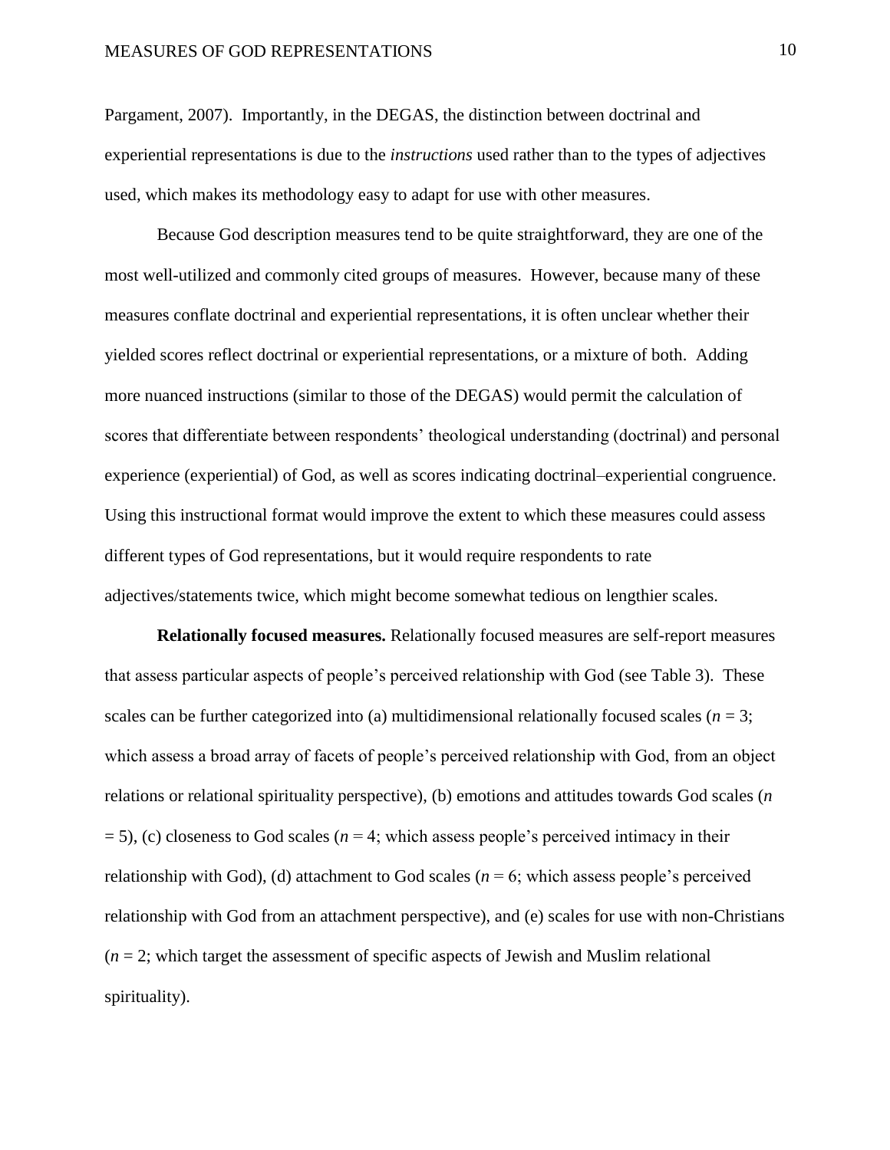Pargament, 2007). Importantly, in the DEGAS, the distinction between doctrinal and experiential representations is due to the *instructions* used rather than to the types of adjectives used, which makes its methodology easy to adapt for use with other measures.

Because God description measures tend to be quite straightforward, they are one of the most well-utilized and commonly cited groups of measures. However, because many of these measures conflate doctrinal and experiential representations, it is often unclear whether their yielded scores reflect doctrinal or experiential representations, or a mixture of both. Adding more nuanced instructions (similar to those of the DEGAS) would permit the calculation of scores that differentiate between respondents' theological understanding (doctrinal) and personal experience (experiential) of God, as well as scores indicating doctrinal–experiential congruence. Using this instructional format would improve the extent to which these measures could assess different types of God representations, but it would require respondents to rate adjectives/statements twice, which might become somewhat tedious on lengthier scales.

**Relationally focused measures.** Relationally focused measures are self-report measures that assess particular aspects of people's perceived relationship with God (see Table 3). These scales can be further categorized into (a) multidimensional relationally focused scales ( $n = 3$ ; which assess a broad array of facets of people's perceived relationship with God, from an object relations or relational spirituality perspective), (b) emotions and attitudes towards God scales (*n*  = 5), (c) closeness to God scales (*n* = 4; which assess people's perceived intimacy in their relationship with God), (d) attachment to God scales ( $n = 6$ ; which assess people's perceived relationship with God from an attachment perspective), and (e) scales for use with non-Christians  $(n = 2;$  which target the assessment of specific aspects of Jewish and Muslim relational spirituality).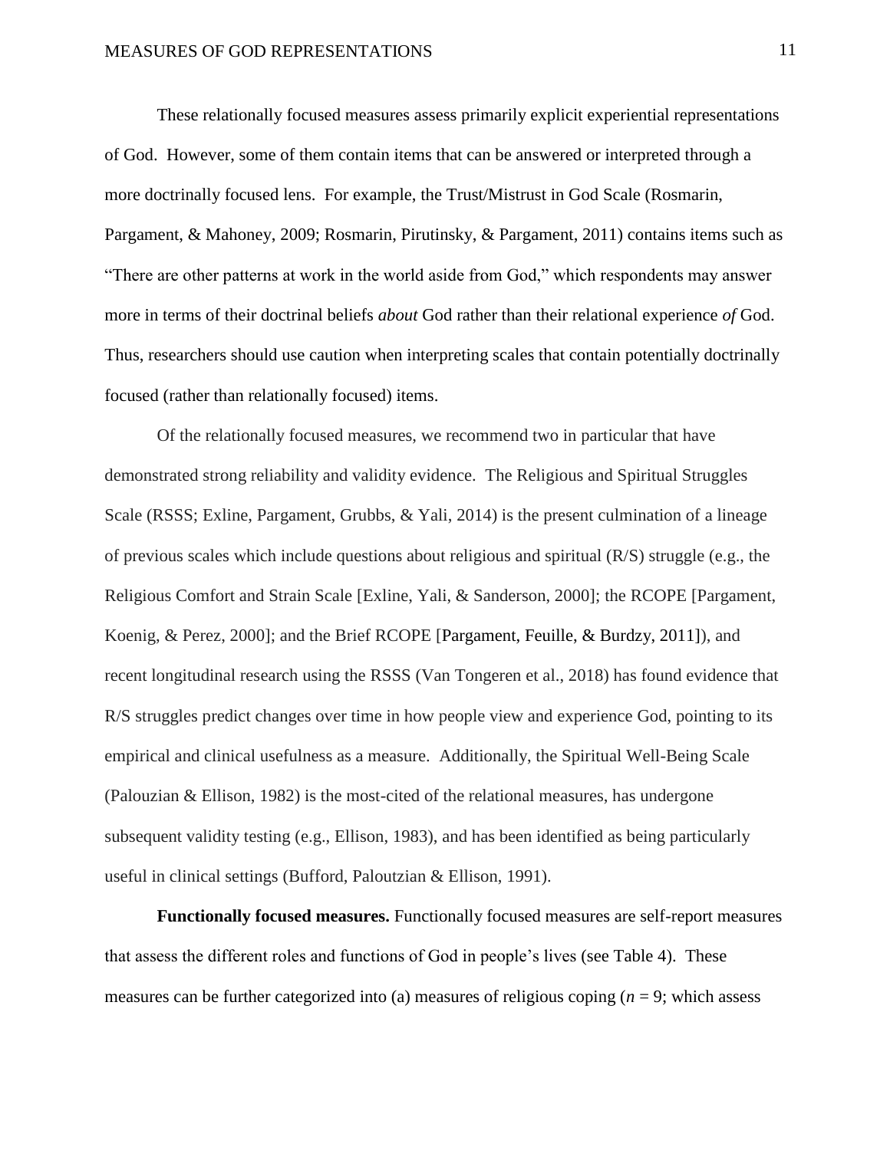These relationally focused measures assess primarily explicit experiential representations of God. However, some of them contain items that can be answered or interpreted through a more doctrinally focused lens. For example, the Trust/Mistrust in God Scale (Rosmarin, Pargament, & Mahoney, 2009; Rosmarin, Pirutinsky, & Pargament, 2011) contains items such as "There are other patterns at work in the world aside from God," which respondents may answer more in terms of their doctrinal beliefs *about* God rather than their relational experience *of* God. Thus, researchers should use caution when interpreting scales that contain potentially doctrinally focused (rather than relationally focused) items.

Of the relationally focused measures, we recommend two in particular that have demonstrated strong reliability and validity evidence. The Religious and Spiritual Struggles Scale (RSSS; Exline, Pargament, Grubbs, & Yali, 2014) is the present culmination of a lineage of previous scales which include questions about religious and spiritual (R/S) struggle (e.g., the Religious Comfort and Strain Scale [Exline, Yali, & Sanderson, 2000]; the RCOPE [Pargament, Koenig, & Perez, 2000]; and the Brief RCOPE [Pargament, Feuille, & Burdzy, 2011]), and recent longitudinal research using the RSSS (Van Tongeren et al., 2018) has found evidence that R/S struggles predict changes over time in how people view and experience God, pointing to its empirical and clinical usefulness as a measure. Additionally, the Spiritual Well-Being Scale (Palouzian & Ellison, 1982) is the most-cited of the relational measures, has undergone subsequent validity testing (e.g., Ellison, 1983), and has been identified as being particularly useful in clinical settings (Bufford, Paloutzian & Ellison, 1991).

**Functionally focused measures.** Functionally focused measures are self-report measures that assess the different roles and functions of God in people's lives (see Table 4). These measures can be further categorized into (a) measures of religious coping  $(n = 9)$ ; which assess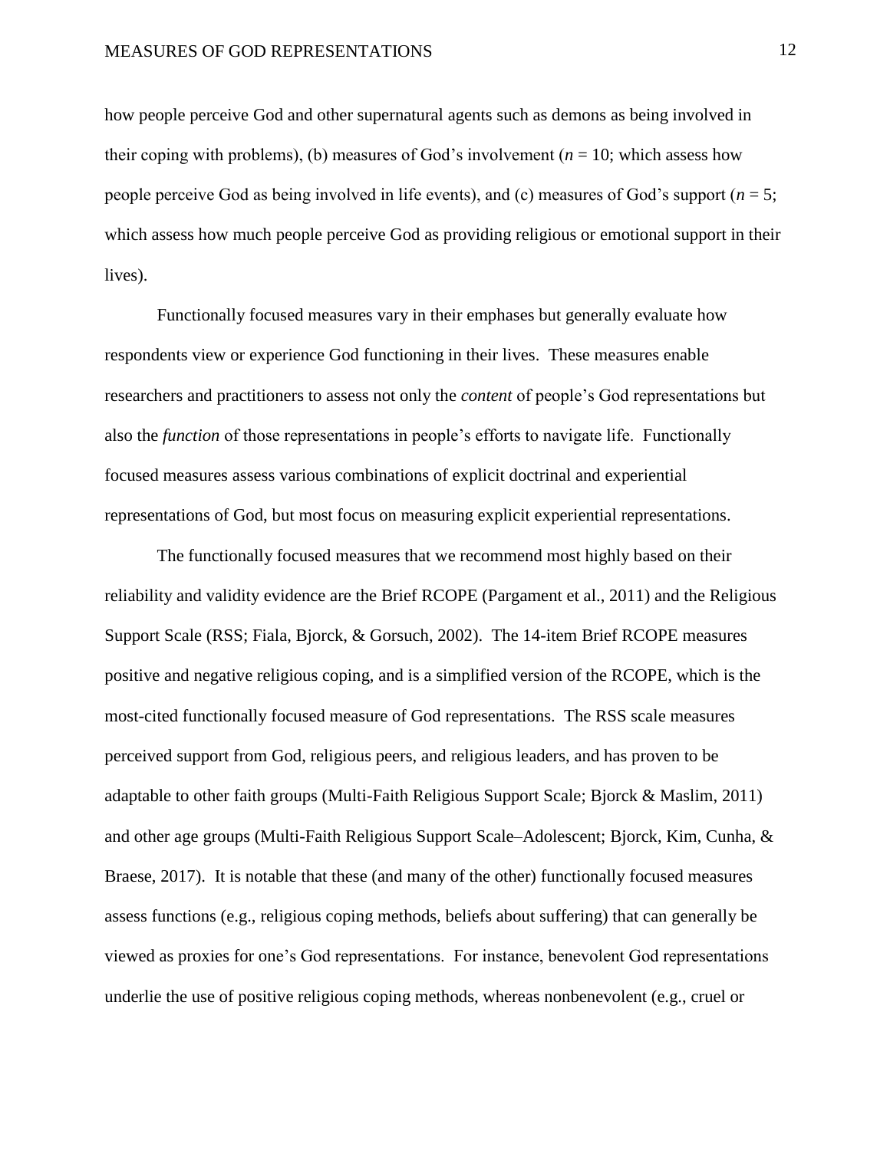how people perceive God and other supernatural agents such as demons as being involved in their coping with problems), (b) measures of God's involvement ( $n = 10$ ; which assess how people perceive God as being involved in life events), and (c) measures of God's support (*n* = 5; which assess how much people perceive God as providing religious or emotional support in their lives).

Functionally focused measures vary in their emphases but generally evaluate how respondents view or experience God functioning in their lives. These measures enable researchers and practitioners to assess not only the *content* of people's God representations but also the *function* of those representations in people's efforts to navigate life. Functionally focused measures assess various combinations of explicit doctrinal and experiential representations of God, but most focus on measuring explicit experiential representations.

The functionally focused measures that we recommend most highly based on their reliability and validity evidence are the Brief RCOPE (Pargament et al., 2011) and the Religious Support Scale (RSS; Fiala, Bjorck, & Gorsuch, 2002). The 14-item Brief RCOPE measures positive and negative religious coping, and is a simplified version of the RCOPE, which is the most-cited functionally focused measure of God representations. The RSS scale measures perceived support from God, religious peers, and religious leaders, and has proven to be adaptable to other faith groups (Multi-Faith Religious Support Scale; Bjorck & Maslim, 2011) and other age groups (Multi-Faith Religious Support Scale–Adolescent; Bjorck, Kim, Cunha, & Braese, 2017). It is notable that these (and many of the other) functionally focused measures assess functions (e.g., religious coping methods, beliefs about suffering) that can generally be viewed as proxies for one's God representations. For instance, benevolent God representations underlie the use of positive religious coping methods, whereas nonbenevolent (e.g., cruel or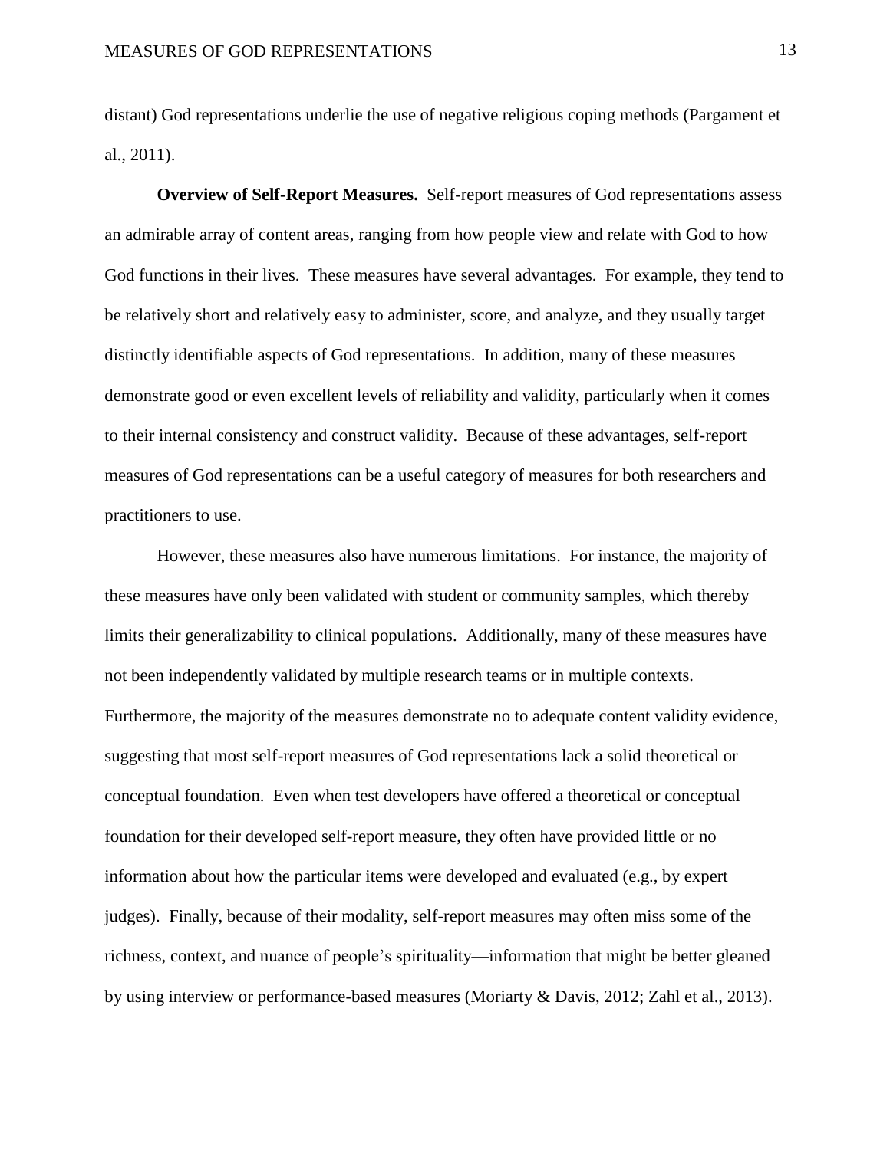distant) God representations underlie the use of negative religious coping methods (Pargament et al., 2011).

**Overview of Self-Report Measures.** Self-report measures of God representations assess an admirable array of content areas, ranging from how people view and relate with God to how God functions in their lives. These measures have several advantages. For example, they tend to be relatively short and relatively easy to administer, score, and analyze, and they usually target distinctly identifiable aspects of God representations. In addition, many of these measures demonstrate good or even excellent levels of reliability and validity, particularly when it comes to their internal consistency and construct validity. Because of these advantages, self-report measures of God representations can be a useful category of measures for both researchers and practitioners to use.

However, these measures also have numerous limitations. For instance, the majority of these measures have only been validated with student or community samples, which thereby limits their generalizability to clinical populations. Additionally, many of these measures have not been independently validated by multiple research teams or in multiple contexts. Furthermore, the majority of the measures demonstrate no to adequate content validity evidence, suggesting that most self-report measures of God representations lack a solid theoretical or conceptual foundation. Even when test developers have offered a theoretical or conceptual foundation for their developed self-report measure, they often have provided little or no information about how the particular items were developed and evaluated (e.g., by expert judges). Finally, because of their modality, self-report measures may often miss some of the richness, context, and nuance of people's spirituality—information that might be better gleaned by using interview or performance-based measures (Moriarty & Davis, 2012; Zahl et al., 2013).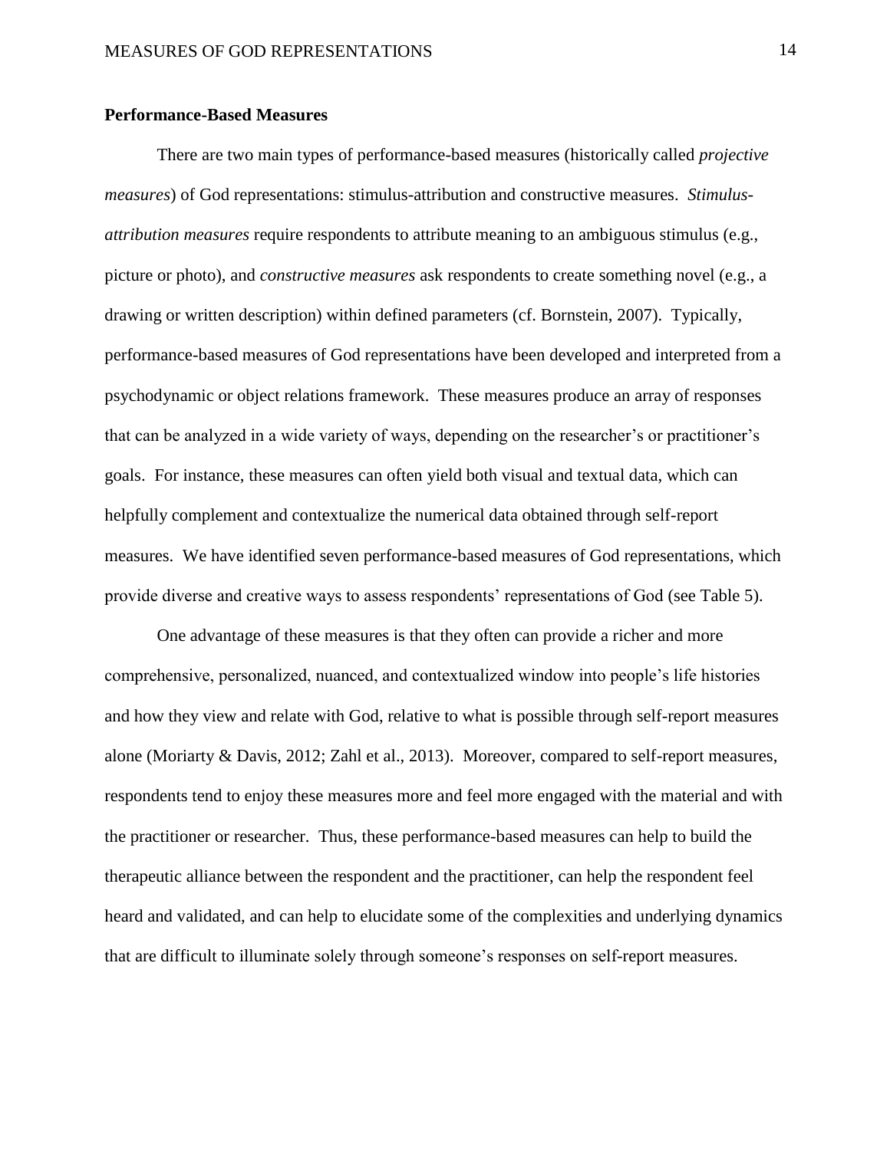#### **Performance-Based Measures**

There are two main types of performance-based measures (historically called *projective measures*) of God representations: stimulus-attribution and constructive measures. *Stimulusattribution measures* require respondents to attribute meaning to an ambiguous stimulus (e.g., picture or photo), and *constructive measures* ask respondents to create something novel (e.g., a drawing or written description) within defined parameters (cf. Bornstein, 2007). Typically, performance-based measures of God representations have been developed and interpreted from a psychodynamic or object relations framework. These measures produce an array of responses that can be analyzed in a wide variety of ways, depending on the researcher's or practitioner's goals. For instance, these measures can often yield both visual and textual data, which can helpfully complement and contextualize the numerical data obtained through self-report measures. We have identified seven performance-based measures of God representations, which provide diverse and creative ways to assess respondents' representations of God (see Table 5).

One advantage of these measures is that they often can provide a richer and more comprehensive, personalized, nuanced, and contextualized window into people's life histories and how they view and relate with God, relative to what is possible through self-report measures alone (Moriarty & Davis, 2012; Zahl et al., 2013). Moreover, compared to self-report measures, respondents tend to enjoy these measures more and feel more engaged with the material and with the practitioner or researcher. Thus, these performance-based measures can help to build the therapeutic alliance between the respondent and the practitioner, can help the respondent feel heard and validated, and can help to elucidate some of the complexities and underlying dynamics that are difficult to illuminate solely through someone's responses on self-report measures.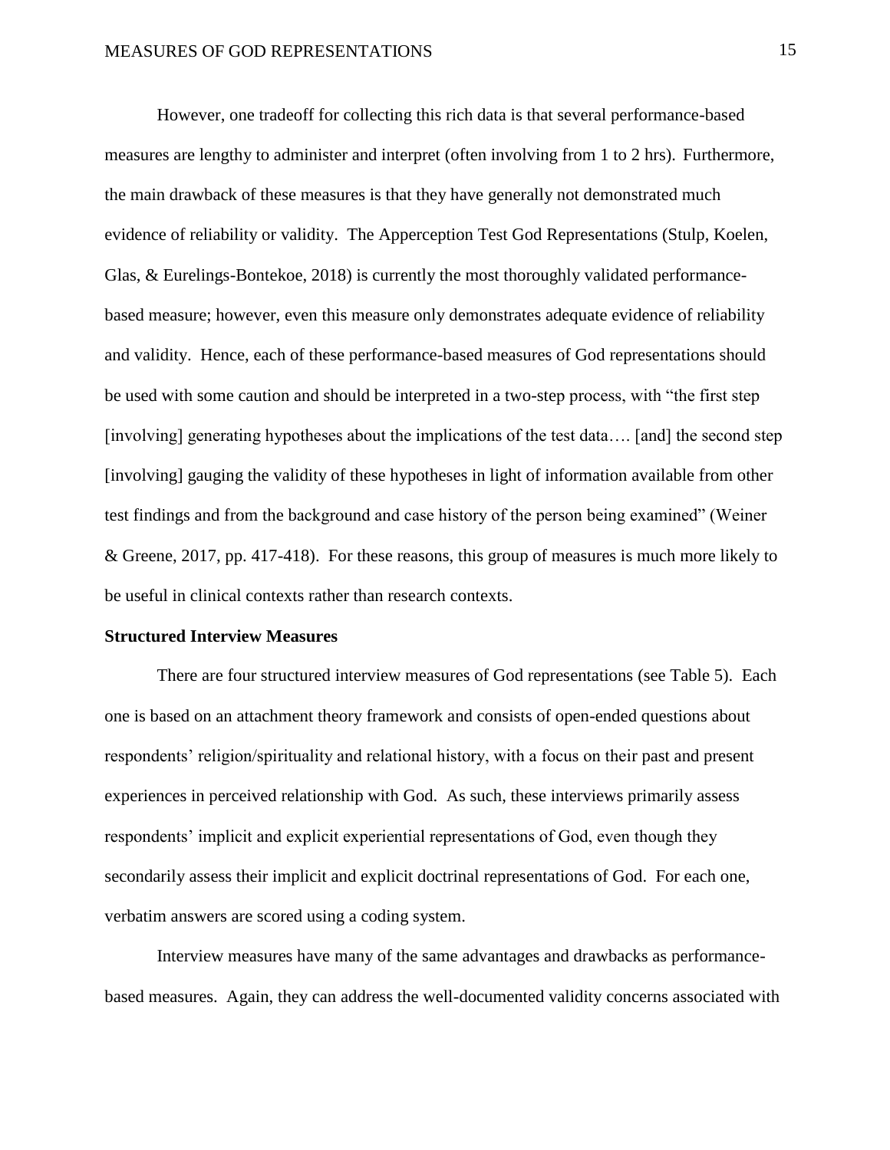However, one tradeoff for collecting this rich data is that several performance-based measures are lengthy to administer and interpret (often involving from 1 to 2 hrs). Furthermore, the main drawback of these measures is that they have generally not demonstrated much evidence of reliability or validity. The Apperception Test God Representations (Stulp, Koelen, Glas, & Eurelings-Bontekoe, 2018) is currently the most thoroughly validated performancebased measure; however, even this measure only demonstrates adequate evidence of reliability and validity. Hence, each of these performance-based measures of God representations should be used with some caution and should be interpreted in a two-step process, with "the first step [involving] generating hypotheses about the implications of the test data…. [and] the second step [involving] gauging the validity of these hypotheses in light of information available from other test findings and from the background and case history of the person being examined" (Weiner & Greene, 2017, pp. 417-418). For these reasons, this group of measures is much more likely to be useful in clinical contexts rather than research contexts.

#### **Structured Interview Measures**

There are four structured interview measures of God representations (see Table 5). Each one is based on an attachment theory framework and consists of open-ended questions about respondents' religion/spirituality and relational history, with a focus on their past and present experiences in perceived relationship with God. As such, these interviews primarily assess respondents' implicit and explicit experiential representations of God, even though they secondarily assess their implicit and explicit doctrinal representations of God. For each one, verbatim answers are scored using a coding system.

Interview measures have many of the same advantages and drawbacks as performancebased measures. Again, they can address the well-documented validity concerns associated with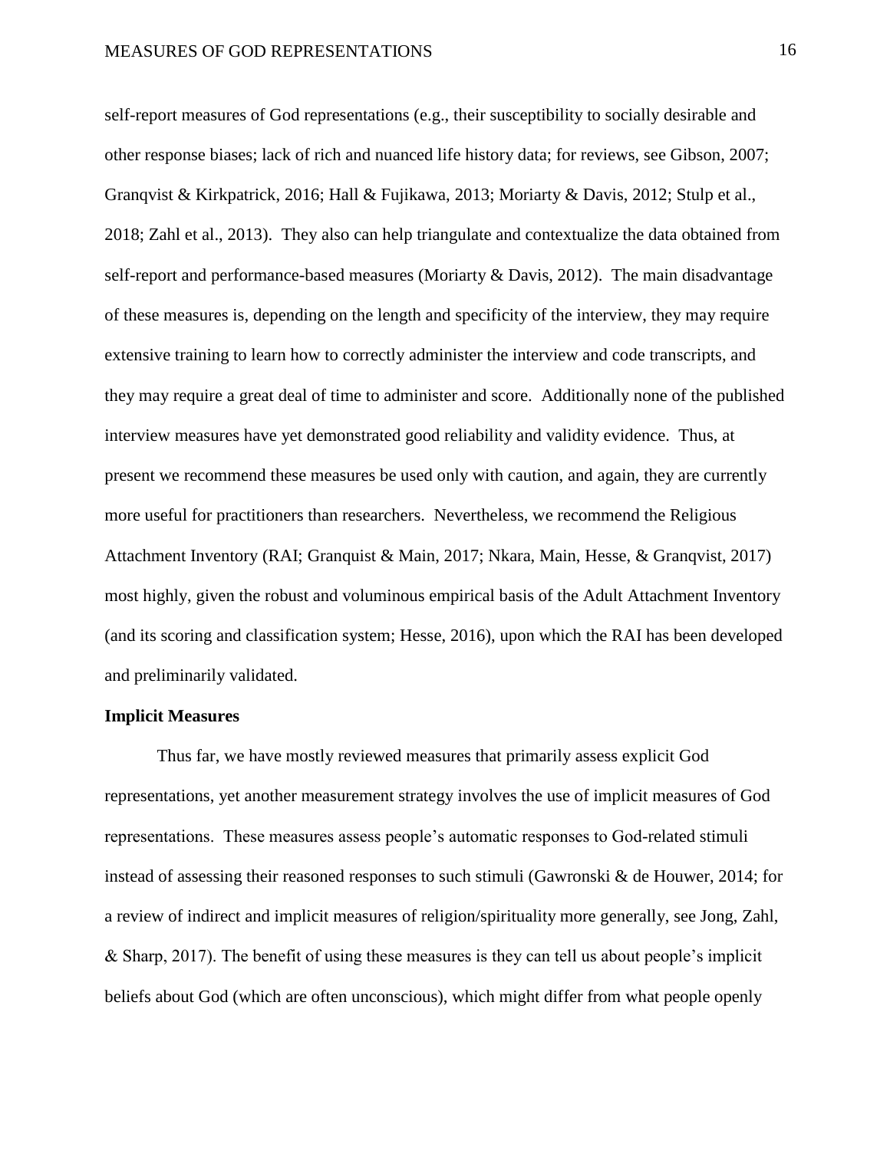self-report measures of God representations (e.g., their susceptibility to socially desirable and other response biases; lack of rich and nuanced life history data; for reviews, see Gibson, 2007; Granqvist & Kirkpatrick, 2016; Hall & Fujikawa, 2013; Moriarty & Davis, 2012; Stulp et al., 2018; Zahl et al., 2013). They also can help triangulate and contextualize the data obtained from self-report and performance-based measures (Moriarty & Davis, 2012). The main disadvantage of these measures is, depending on the length and specificity of the interview, they may require extensive training to learn how to correctly administer the interview and code transcripts, and they may require a great deal of time to administer and score. Additionally none of the published interview measures have yet demonstrated good reliability and validity evidence. Thus, at present we recommend these measures be used only with caution, and again, they are currently more useful for practitioners than researchers. Nevertheless, we recommend the Religious Attachment Inventory (RAI; Granquist & Main, 2017; Nkara, Main, Hesse, & Granqvist, 2017) most highly, given the robust and voluminous empirical basis of the Adult Attachment Inventory (and its scoring and classification system; Hesse, 2016), upon which the RAI has been developed and preliminarily validated.

#### **Implicit Measures**

Thus far, we have mostly reviewed measures that primarily assess explicit God representations, yet another measurement strategy involves the use of implicit measures of God representations. These measures assess people's automatic responses to God-related stimuli instead of assessing their reasoned responses to such stimuli (Gawronski & de Houwer, 2014; for a review of indirect and implicit measures of religion/spirituality more generally, see Jong, Zahl, & Sharp, 2017). The benefit of using these measures is they can tell us about people's implicit beliefs about God (which are often unconscious), which might differ from what people openly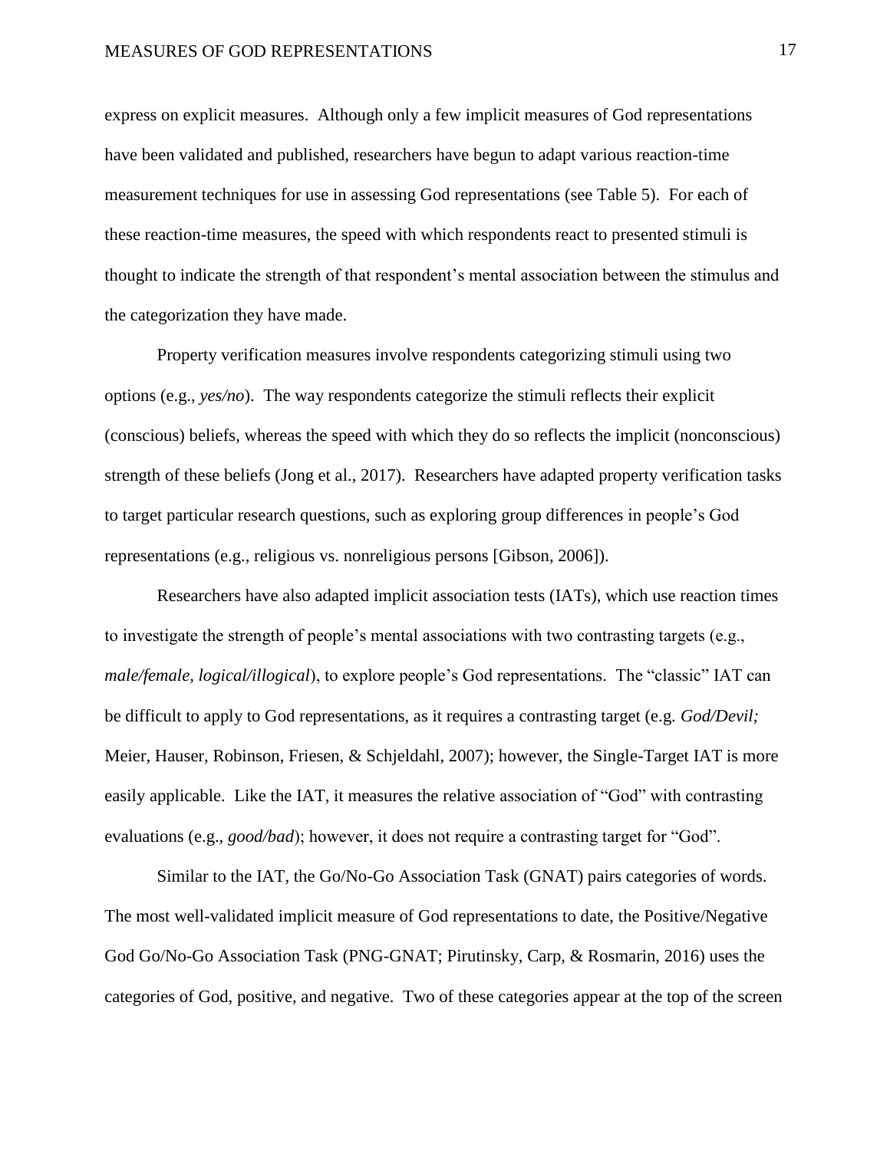express on explicit measures. Although only a few implicit measures of God representations have been validated and published, researchers have begun to adapt various reaction-time measurement techniques for use in assessing God representations (see Table 5). For each of these reaction-time measures, the speed with which respondents react to presented stimuli is thought to indicate the strength of that respondent's mental association between the stimulus and the categorization they have made.

Property verification measures involve respondents categorizing stimuli using two options (e.g., *yes/no*). The way respondents categorize the stimuli reflects their explicit (conscious) beliefs, whereas the speed with which they do so reflects the implicit (nonconscious) strength of these beliefs (Jong et al., 2017). Researchers have adapted property verification tasks to target particular research questions, such as exploring group differences in people's God representations (e.g., religious vs. nonreligious persons [Gibson, 2006]).

Researchers have also adapted implicit association tests (IATs), which use reaction times to investigate the strength of people's mental associations with two contrasting targets (e.g., *male/female, logical/illogical*), to explore people's God representations. The "classic" IAT can be difficult to apply to God representations, as it requires a contrasting target (e.g. *God/Devil;*  Meier, Hauser, Robinson, Friesen, & Schjeldahl, 2007); however, the Single-Target IAT is more easily applicable. Like the IAT, it measures the relative association of "God" with contrasting evaluations (e.g., *good/bad*); however, it does not require a contrasting target for "God".

Similar to the IAT, the Go/No-Go Association Task (GNAT) pairs categories of words. The most well-validated implicit measure of God representations to date, the Positive/Negative God Go/No-Go Association Task (PNG-GNAT; Pirutinsky, Carp, & Rosmarin, 2016) uses the categories of God, positive, and negative. Two of these categories appear at the top of the screen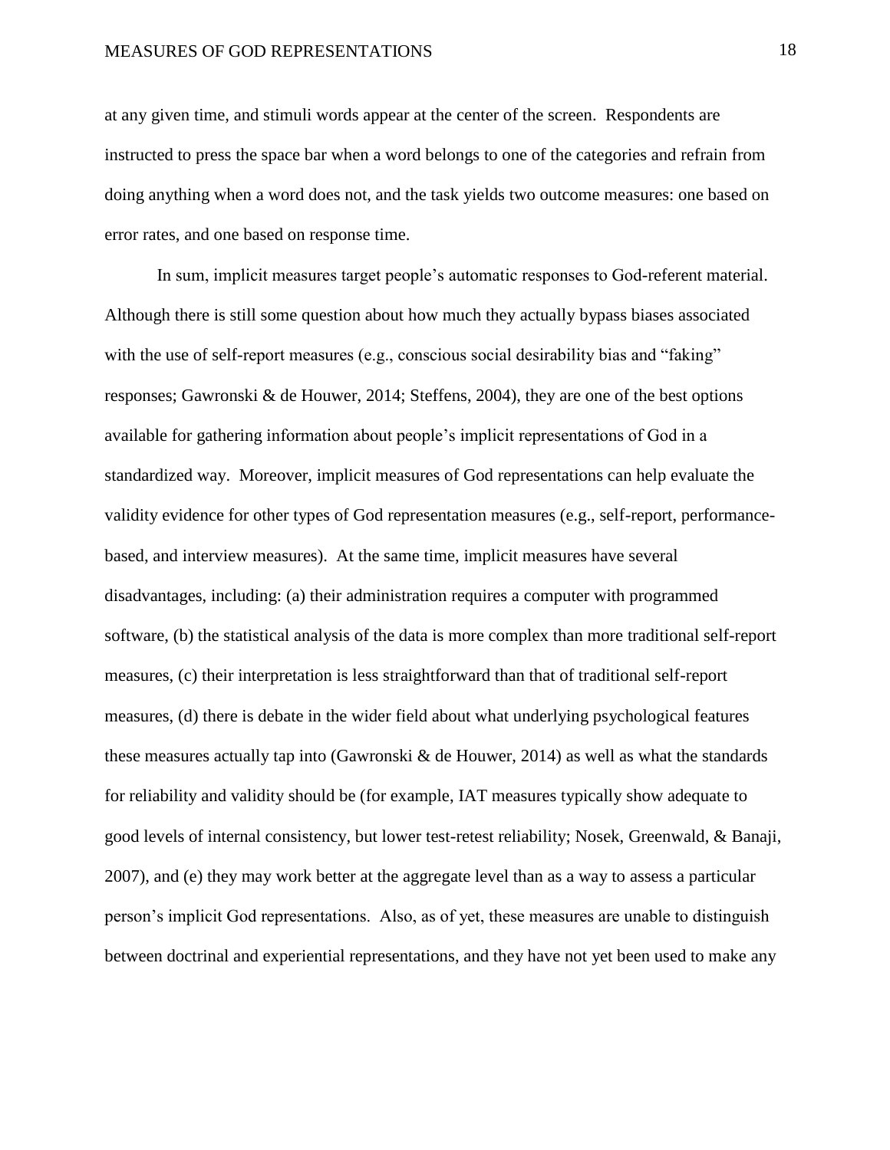at any given time, and stimuli words appear at the center of the screen. Respondents are instructed to press the space bar when a word belongs to one of the categories and refrain from doing anything when a word does not, and the task yields two outcome measures: one based on error rates, and one based on response time.

In sum, implicit measures target people's automatic responses to God-referent material. Although there is still some question about how much they actually bypass biases associated with the use of self-report measures (e.g., conscious social desirability bias and "faking" responses; Gawronski & de Houwer, 2014; Steffens, 2004), they are one of the best options available for gathering information about people's implicit representations of God in a standardized way. Moreover, implicit measures of God representations can help evaluate the validity evidence for other types of God representation measures (e.g., self-report, performancebased, and interview measures). At the same time, implicit measures have several disadvantages, including: (a) their administration requires a computer with programmed software, (b) the statistical analysis of the data is more complex than more traditional self-report measures, (c) their interpretation is less straightforward than that of traditional self-report measures, (d) there is debate in the wider field about what underlying psychological features these measures actually tap into (Gawronski  $\&$  de Houwer, 2014) as well as what the standards for reliability and validity should be (for example, IAT measures typically show adequate to good levels of internal consistency, but lower test-retest reliability; Nosek, Greenwald, & Banaji, 2007), and (e) they may work better at the aggregate level than as a way to assess a particular person's implicit God representations. Also, as of yet, these measures are unable to distinguish between doctrinal and experiential representations, and they have not yet been used to make any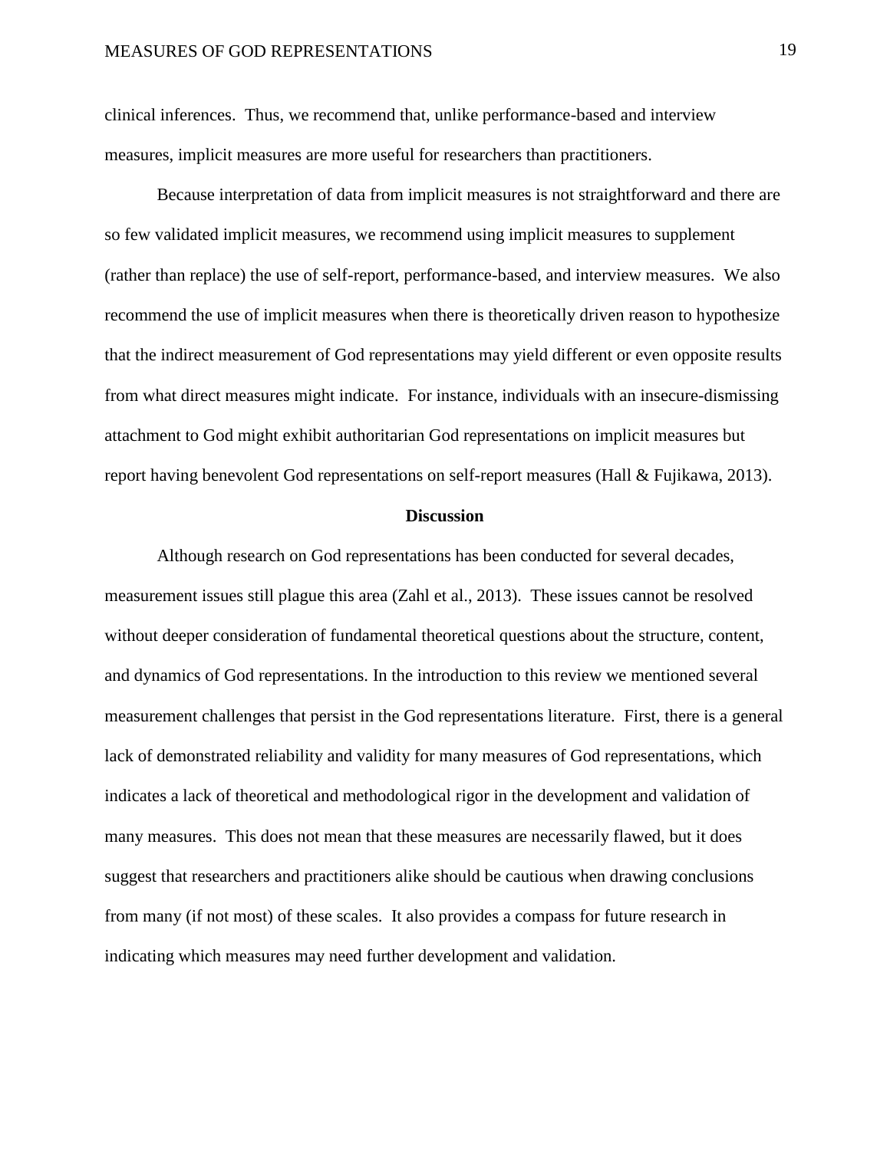clinical inferences. Thus, we recommend that, unlike performance-based and interview measures, implicit measures are more useful for researchers than practitioners.

Because interpretation of data from implicit measures is not straightforward and there are so few validated implicit measures, we recommend using implicit measures to supplement (rather than replace) the use of self-report, performance-based, and interview measures. We also recommend the use of implicit measures when there is theoretically driven reason to hypothesize that the indirect measurement of God representations may yield different or even opposite results from what direct measures might indicate. For instance, individuals with an insecure-dismissing attachment to God might exhibit authoritarian God representations on implicit measures but report having benevolent God representations on self-report measures (Hall & Fujikawa, 2013).

#### **Discussion**

Although research on God representations has been conducted for several decades, measurement issues still plague this area (Zahl et al., 2013). These issues cannot be resolved without deeper consideration of fundamental theoretical questions about the structure, content, and dynamics of God representations. In the introduction to this review we mentioned several measurement challenges that persist in the God representations literature. First, there is a general lack of demonstrated reliability and validity for many measures of God representations, which indicates a lack of theoretical and methodological rigor in the development and validation of many measures. This does not mean that these measures are necessarily flawed, but it does suggest that researchers and practitioners alike should be cautious when drawing conclusions from many (if not most) of these scales. It also provides a compass for future research in indicating which measures may need further development and validation.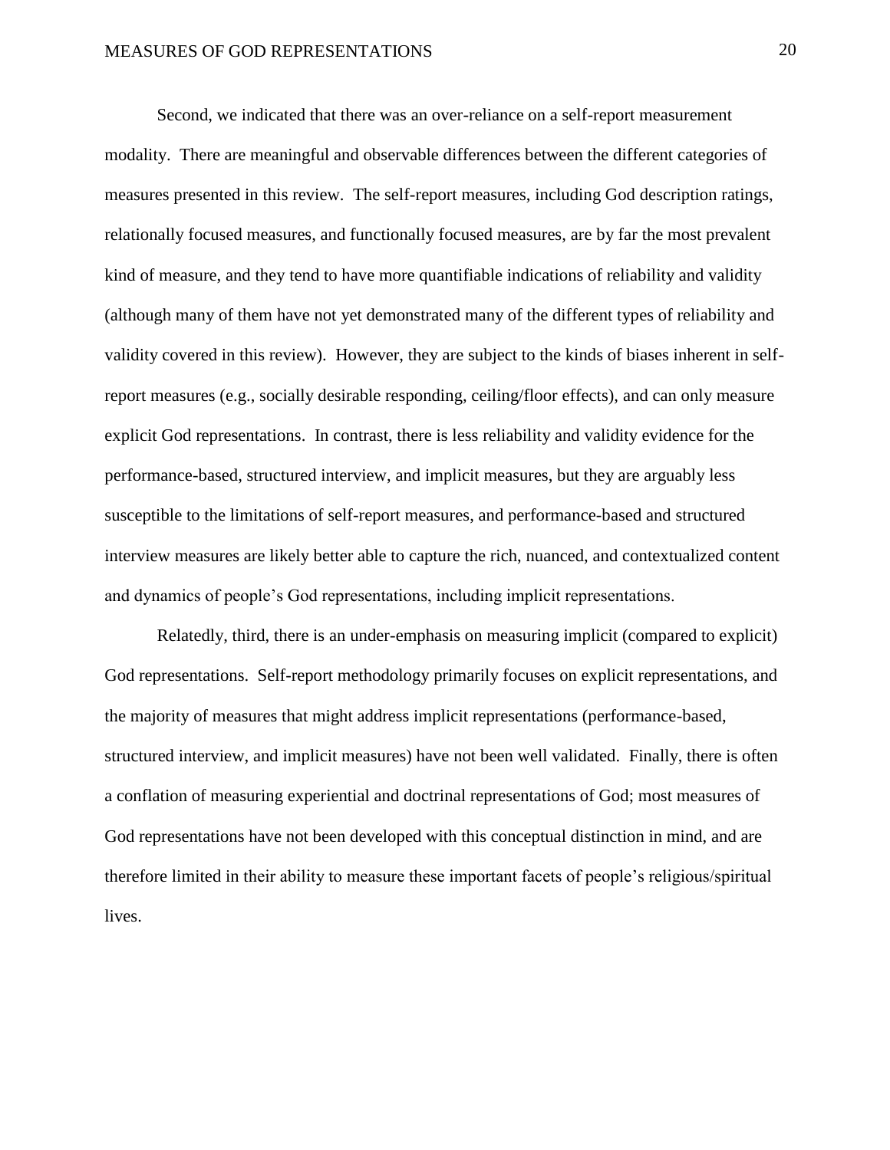Second, we indicated that there was an over-reliance on a self-report measurement modality. There are meaningful and observable differences between the different categories of measures presented in this review. The self-report measures, including God description ratings, relationally focused measures, and functionally focused measures, are by far the most prevalent kind of measure, and they tend to have more quantifiable indications of reliability and validity (although many of them have not yet demonstrated many of the different types of reliability and validity covered in this review). However, they are subject to the kinds of biases inherent in selfreport measures (e.g., socially desirable responding, ceiling/floor effects), and can only measure explicit God representations. In contrast, there is less reliability and validity evidence for the performance-based, structured interview, and implicit measures, but they are arguably less susceptible to the limitations of self-report measures, and performance-based and structured interview measures are likely better able to capture the rich, nuanced, and contextualized content and dynamics of people's God representations, including implicit representations.

Relatedly, third, there is an under-emphasis on measuring implicit (compared to explicit) God representations. Self-report methodology primarily focuses on explicit representations, and the majority of measures that might address implicit representations (performance-based, structured interview, and implicit measures) have not been well validated. Finally, there is often a conflation of measuring experiential and doctrinal representations of God; most measures of God representations have not been developed with this conceptual distinction in mind, and are therefore limited in their ability to measure these important facets of people's religious/spiritual lives.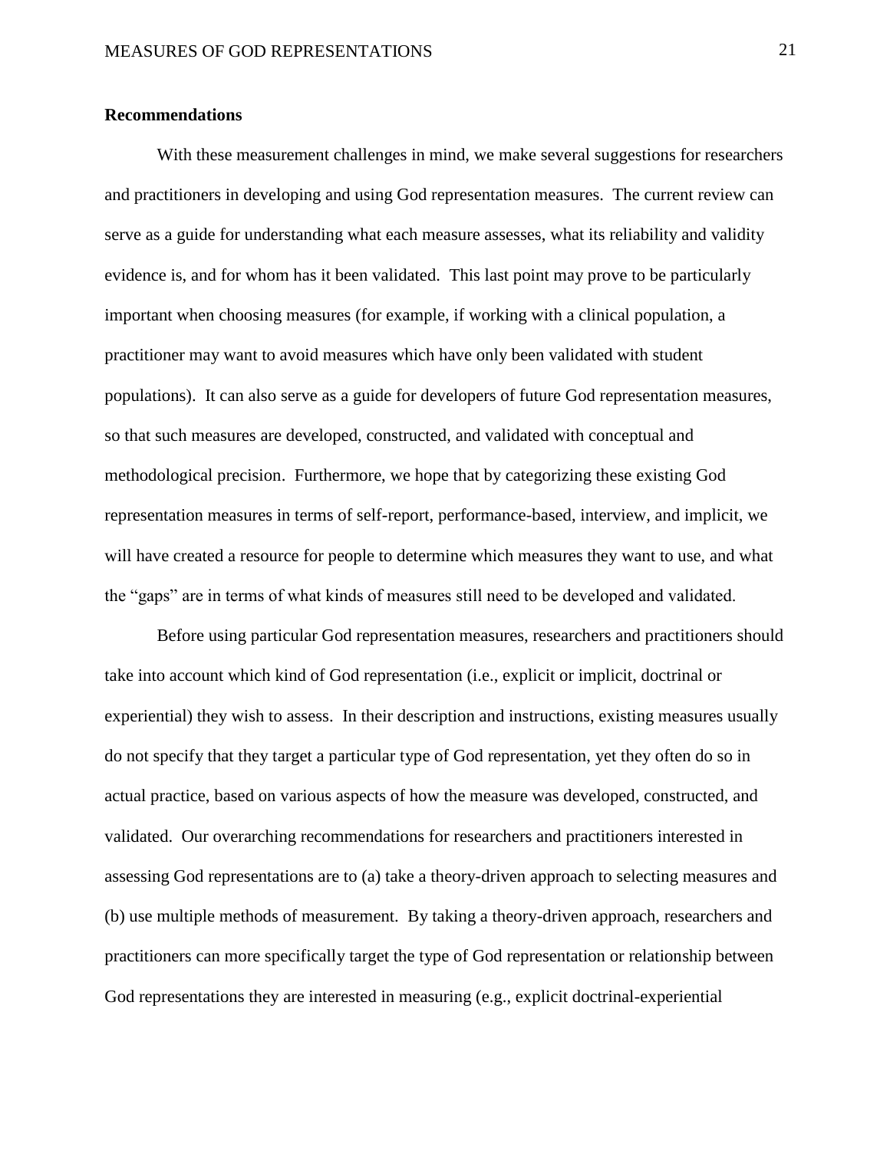#### **Recommendations**

With these measurement challenges in mind, we make several suggestions for researchers and practitioners in developing and using God representation measures. The current review can serve as a guide for understanding what each measure assesses, what its reliability and validity evidence is, and for whom has it been validated. This last point may prove to be particularly important when choosing measures (for example, if working with a clinical population, a practitioner may want to avoid measures which have only been validated with student populations). It can also serve as a guide for developers of future God representation measures, so that such measures are developed, constructed, and validated with conceptual and methodological precision. Furthermore, we hope that by categorizing these existing God representation measures in terms of self-report, performance-based, interview, and implicit, we will have created a resource for people to determine which measures they want to use, and what the "gaps" are in terms of what kinds of measures still need to be developed and validated.

Before using particular God representation measures, researchers and practitioners should take into account which kind of God representation (i.e., explicit or implicit, doctrinal or experiential) they wish to assess. In their description and instructions, existing measures usually do not specify that they target a particular type of God representation, yet they often do so in actual practice, based on various aspects of how the measure was developed, constructed, and validated. Our overarching recommendations for researchers and practitioners interested in assessing God representations are to (a) take a theory-driven approach to selecting measures and (b) use multiple methods of measurement. By taking a theory-driven approach, researchers and practitioners can more specifically target the type of God representation or relationship between God representations they are interested in measuring (e.g., explicit doctrinal-experiential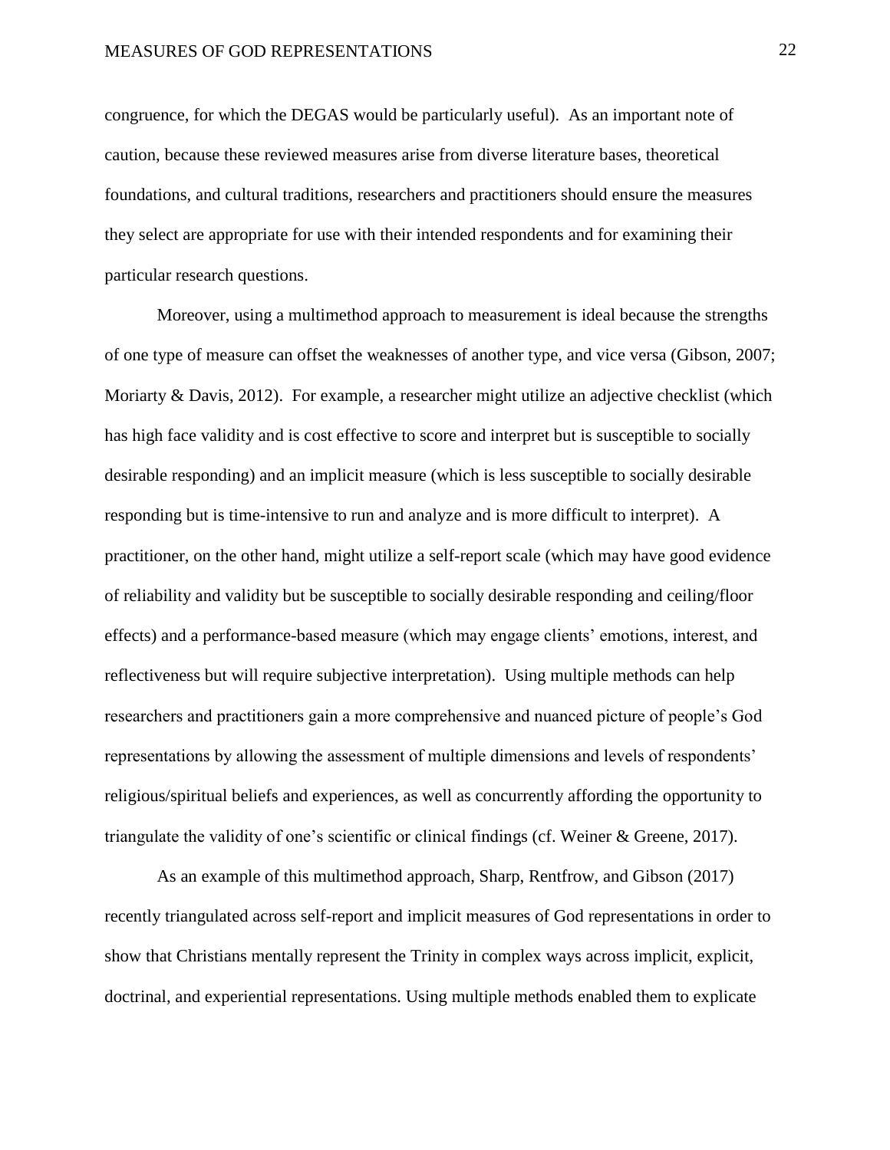congruence, for which the DEGAS would be particularly useful). As an important note of caution, because these reviewed measures arise from diverse literature bases, theoretical foundations, and cultural traditions, researchers and practitioners should ensure the measures they select are appropriate for use with their intended respondents and for examining their particular research questions.

Moreover, using a multimethod approach to measurement is ideal because the strengths of one type of measure can offset the weaknesses of another type, and vice versa (Gibson, 2007; Moriarty & Davis, 2012). For example, a researcher might utilize an adjective checklist (which has high face validity and is cost effective to score and interpret but is susceptible to socially desirable responding) and an implicit measure (which is less susceptible to socially desirable responding but is time-intensive to run and analyze and is more difficult to interpret). A practitioner, on the other hand, might utilize a self-report scale (which may have good evidence of reliability and validity but be susceptible to socially desirable responding and ceiling/floor effects) and a performance-based measure (which may engage clients' emotions, interest, and reflectiveness but will require subjective interpretation). Using multiple methods can help researchers and practitioners gain a more comprehensive and nuanced picture of people's God representations by allowing the assessment of multiple dimensions and levels of respondents' religious/spiritual beliefs and experiences, as well as concurrently affording the opportunity to triangulate the validity of one's scientific or clinical findings (cf. Weiner & Greene, 2017).

As an example of this multimethod approach, Sharp, Rentfrow, and Gibson (2017) recently triangulated across self-report and implicit measures of God representations in order to show that Christians mentally represent the Trinity in complex ways across implicit, explicit, doctrinal, and experiential representations. Using multiple methods enabled them to explicate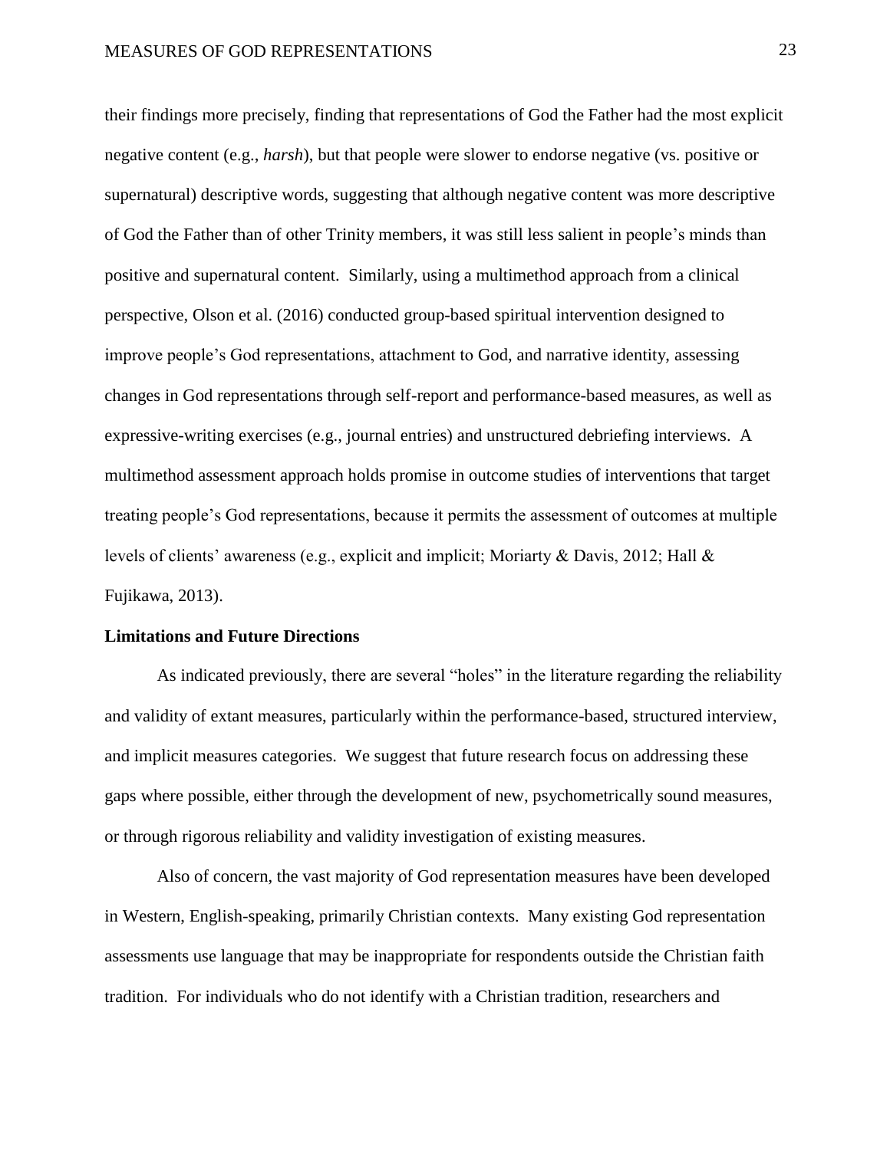their findings more precisely, finding that representations of God the Father had the most explicit negative content (e.g., *harsh*), but that people were slower to endorse negative (vs. positive or supernatural) descriptive words, suggesting that although negative content was more descriptive of God the Father than of other Trinity members, it was still less salient in people's minds than positive and supernatural content. Similarly, using a multimethod approach from a clinical perspective, Olson et al. (2016) conducted group-based spiritual intervention designed to improve people's God representations, attachment to God, and narrative identity, assessing changes in God representations through self-report and performance-based measures, as well as expressive-writing exercises (e.g., journal entries) and unstructured debriefing interviews. A multimethod assessment approach holds promise in outcome studies of interventions that target treating people's God representations, because it permits the assessment of outcomes at multiple levels of clients' awareness (e.g., explicit and implicit; Moriarty & Davis, 2012; Hall & Fujikawa, 2013).

#### **Limitations and Future Directions**

As indicated previously, there are several "holes" in the literature regarding the reliability and validity of extant measures, particularly within the performance-based, structured interview, and implicit measures categories. We suggest that future research focus on addressing these gaps where possible, either through the development of new, psychometrically sound measures, or through rigorous reliability and validity investigation of existing measures.

Also of concern, the vast majority of God representation measures have been developed in Western, English-speaking, primarily Christian contexts. Many existing God representation assessments use language that may be inappropriate for respondents outside the Christian faith tradition. For individuals who do not identify with a Christian tradition, researchers and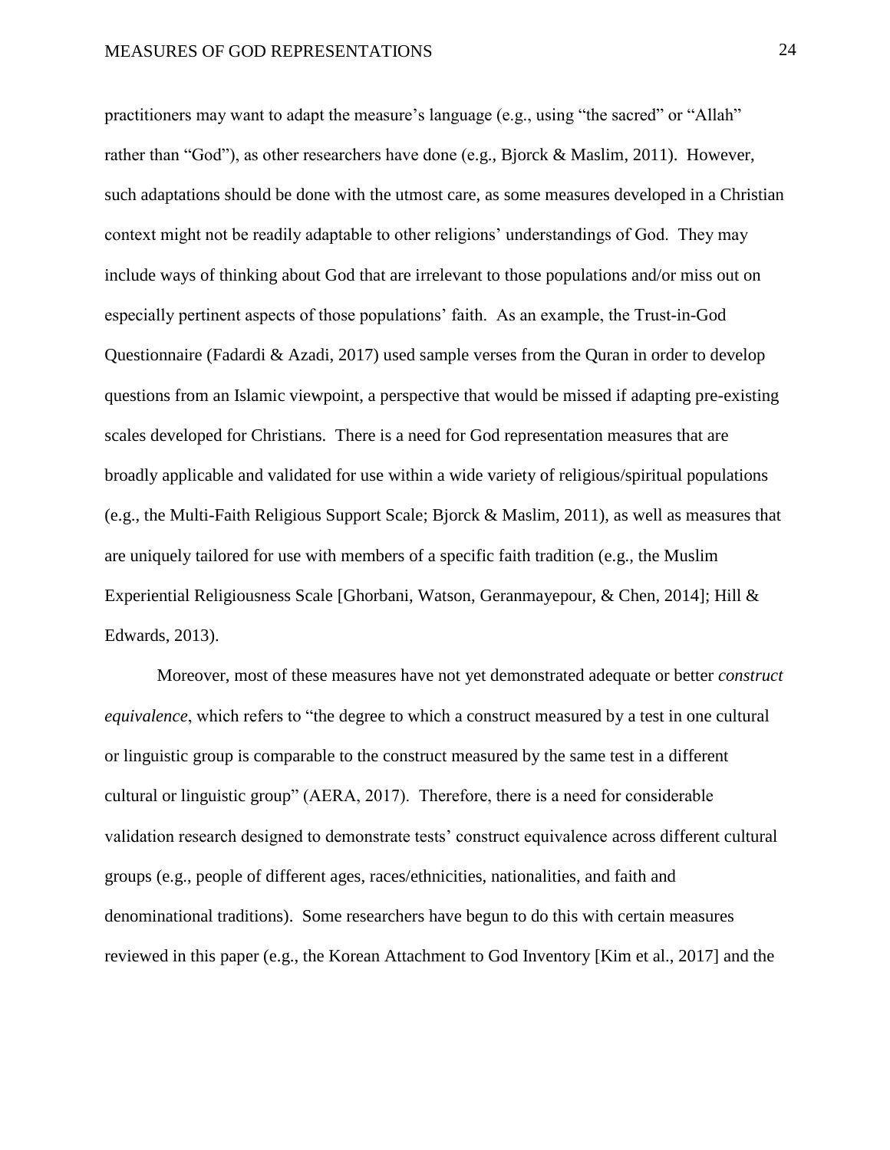practitioners may want to adapt the measure's language (e.g., using "the sacred" or "Allah" rather than "God"), as other researchers have done (e.g., Bjorck & Maslim, 2011). However, such adaptations should be done with the utmost care, as some measures developed in a Christian context might not be readily adaptable to other religions' understandings of God. They may include ways of thinking about God that are irrelevant to those populations and/or miss out on especially pertinent aspects of those populations' faith. As an example, the Trust-in-God Questionnaire (Fadardi & Azadi, 2017) used sample verses from the Quran in order to develop questions from an Islamic viewpoint, a perspective that would be missed if adapting pre-existing scales developed for Christians. There is a need for God representation measures that are broadly applicable and validated for use within a wide variety of religious/spiritual populations (e.g., the Multi-Faith Religious Support Scale; Bjorck & Maslim, 2011), as well as measures that are uniquely tailored for use with members of a specific faith tradition (e.g., the Muslim Experiential Religiousness Scale [Ghorbani, Watson, Geranmayepour, & Chen, 2014]; Hill & Edwards, 2013).

Moreover, most of these measures have not yet demonstrated adequate or better *construct equivalence*, which refers to "the degree to which a construct measured by a test in one cultural or linguistic group is comparable to the construct measured by the same test in a different cultural or linguistic group" (AERA, 2017). Therefore, there is a need for considerable validation research designed to demonstrate tests' construct equivalence across different cultural groups (e.g., people of different ages, races/ethnicities, nationalities, and faith and denominational traditions). Some researchers have begun to do this with certain measures reviewed in this paper (e.g., the Korean Attachment to God Inventory [Kim et al., 2017] and the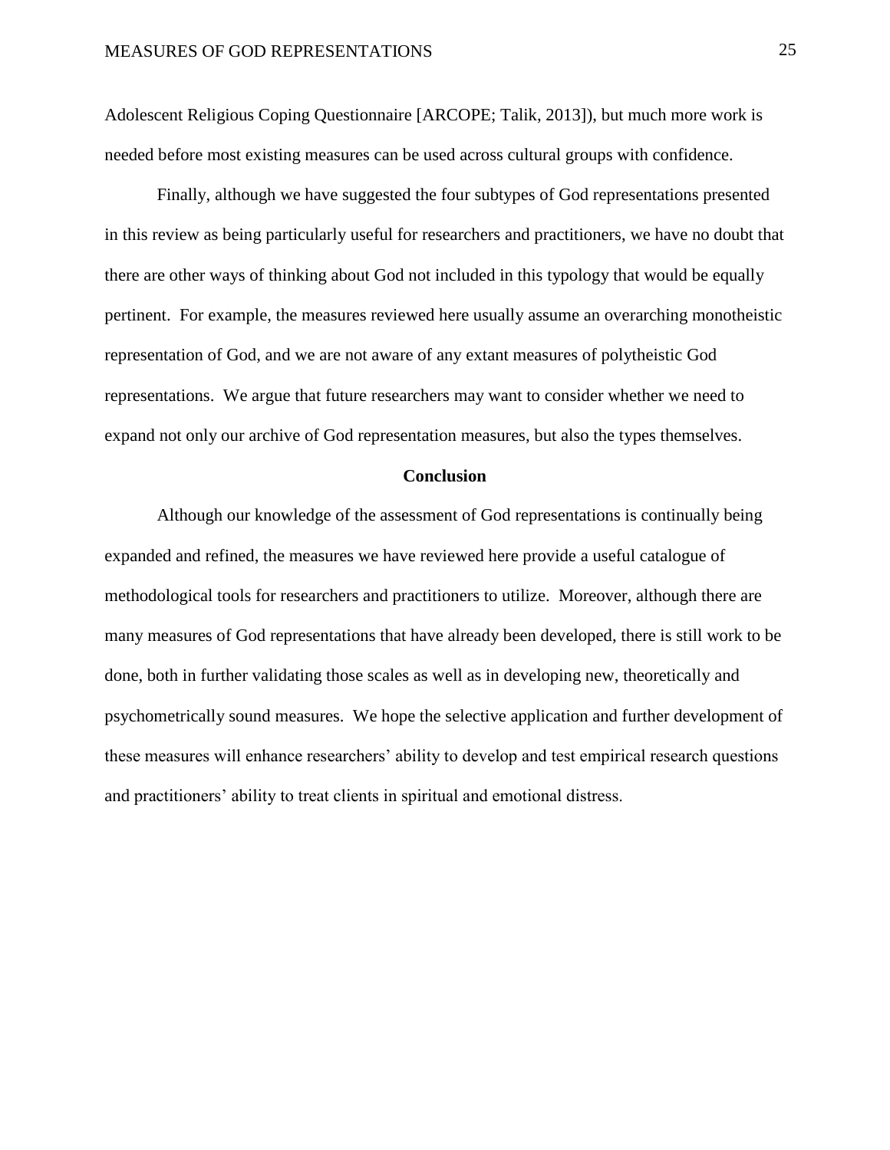Adolescent Religious Coping Questionnaire [ARCOPE; Talik, 2013]), but much more work is needed before most existing measures can be used across cultural groups with confidence.

Finally, although we have suggested the four subtypes of God representations presented in this review as being particularly useful for researchers and practitioners, we have no doubt that there are other ways of thinking about God not included in this typology that would be equally pertinent. For example, the measures reviewed here usually assume an overarching monotheistic representation of God, and we are not aware of any extant measures of polytheistic God representations. We argue that future researchers may want to consider whether we need to expand not only our archive of God representation measures, but also the types themselves.

#### **Conclusion**

Although our knowledge of the assessment of God representations is continually being expanded and refined, the measures we have reviewed here provide a useful catalogue of methodological tools for researchers and practitioners to utilize. Moreover, although there are many measures of God representations that have already been developed, there is still work to be done, both in further validating those scales as well as in developing new, theoretically and psychometrically sound measures. We hope the selective application and further development of these measures will enhance researchers' ability to develop and test empirical research questions and practitioners' ability to treat clients in spiritual and emotional distress.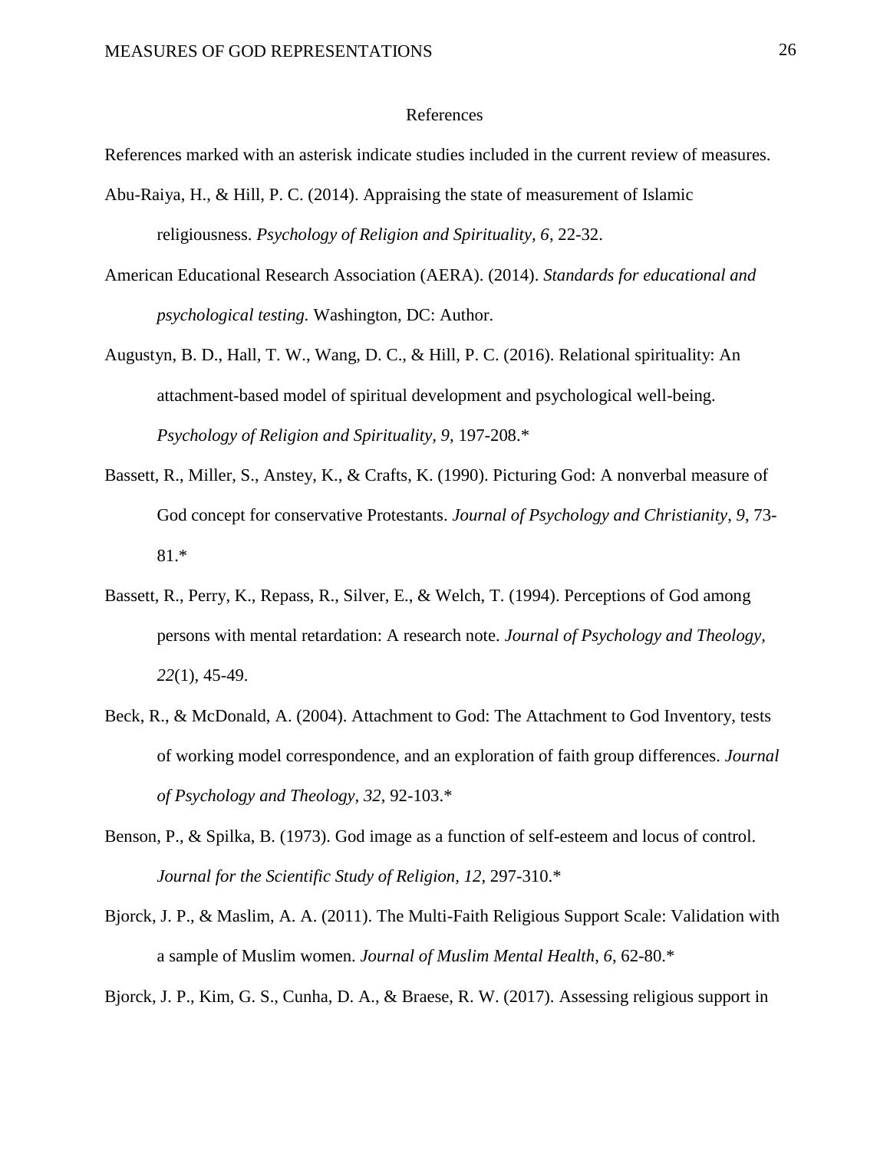#### References

References marked with an asterisk indicate studies included in the current review of measures.

- Abu-Raiya, H., & Hill, P. C. (2014). Appraising the state of measurement of Islamic religiousness. *Psychology of Religion and Spirituality, 6*, 22-32.
- American Educational Research Association (AERA). (2014). *Standards for educational and psychological testing.* Washington, DC: Author.
- Augustyn, B. D., Hall, T. W., Wang, D. C., & Hill, P. C. (2016). Relational spirituality: An attachment-based model of spiritual development and psychological well-being. *Psychology of Religion and Spirituality, 9*, 197-208.\*
- Bassett, R., Miller, S., Anstey, K., & Crafts, K. (1990). Picturing God: A nonverbal measure of God concept for conservative Protestants. *Journal of Psychology and Christianity*, *9*, 73- 81.\*
- Bassett, R., Perry, K., Repass, R., Silver, E., & Welch, T. (1994). Perceptions of God among persons with mental retardation: A research note. *Journal of Psychology and Theology, 22*(1), 45-49.
- Beck, R., & McDonald, A. (2004). Attachment to God: The Attachment to God Inventory, tests of working model correspondence, and an exploration of faith group differences. *Journal of Psychology and Theology, 32*, 92-103.\*
- Benson, P., & Spilka, B. (1973). God image as a function of self-esteem and locus of control. *Journal for the Scientific Study of Religion, 12*, 297-310.\*
- Bjorck, J. P., & Maslim, A. A. (2011). The Multi-Faith Religious Support Scale: Validation with a sample of Muslim women. *Journal of Muslim Mental Health*, *6*, 62-80.\*

Bjorck, J. P., Kim, G. S., Cunha, D. A., & Braese, R. W. (2017). Assessing religious support in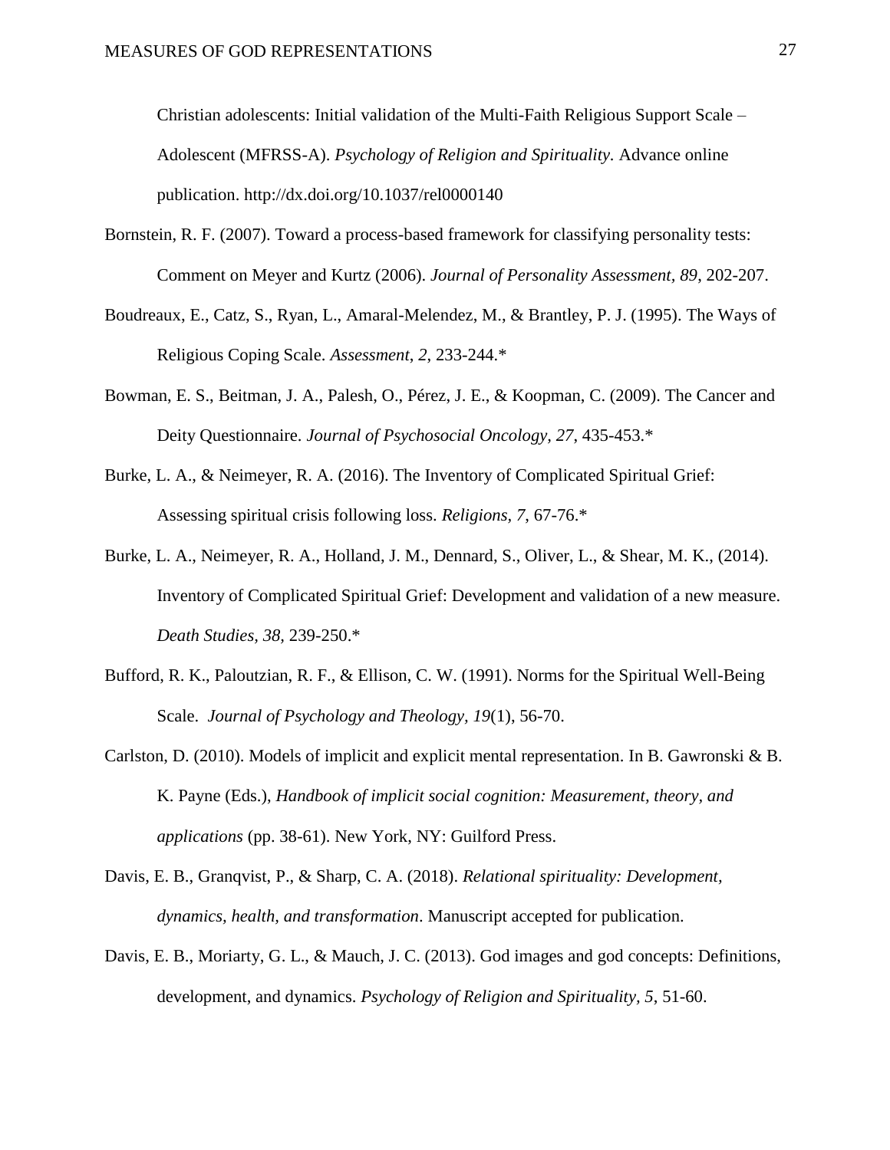Christian adolescents: Initial validation of the Multi-Faith Religious Support Scale – Adolescent (MFRSS-A). *Psychology of Religion and Spirituality.* Advance online publication. http://dx.doi.org/10.1037/rel0000140

- Bornstein, R. F. (2007). Toward a process-based framework for classifying personality tests: Comment on Meyer and Kurtz (2006). *Journal of Personality Assessment, 89*, 202-207.
- Boudreaux, E., Catz, S., Ryan, L., Amaral-Melendez, M., & Brantley, P. J. (1995). The Ways of Religious Coping Scale. *Assessment*, *2*, 233-244.\*
- Bowman, E. S., Beitman, J. A., Palesh, O., Pérez, J. E., & Koopman, C. (2009). The Cancer and Deity Questionnaire. *Journal of Psychosocial Oncology, 27*, 435-453.\*
- Burke, L. A., & Neimeyer, R. A. (2016). The Inventory of Complicated Spiritual Grief: Assessing spiritual crisis following loss. *Religions, 7*, 67-76.\*
- Burke, L. A., Neimeyer, R. A., Holland, J. M., Dennard, S., Oliver, L., & Shear, M. K., (2014). Inventory of Complicated Spiritual Grief: Development and validation of a new measure. *Death Studies, 38,* 239-250.\*
- Bufford, R. K., Paloutzian, R. F., & Ellison, C. W. (1991). Norms for the Spiritual Well-Being Scale. *Journal of Psychology and Theology, 19*(1), 56-70.
- Carlston, D. (2010). Models of implicit and explicit mental representation. In B. Gawronski & B. K. Payne (Eds.), *Handbook of implicit social cognition: Measurement, theory, and applications* (pp. 38-61). New York, NY: Guilford Press.
- Davis, E. B., Granqvist, P., & Sharp, C. A. (2018). *Relational spirituality: Development, dynamics, health, and transformation*. Manuscript accepted for publication.
- Davis, E. B., Moriarty, G. L., & Mauch, J. C. (2013). God images and god concepts: Definitions, development, and dynamics. *Psychology of Religion and Spirituality, 5*, 51-60.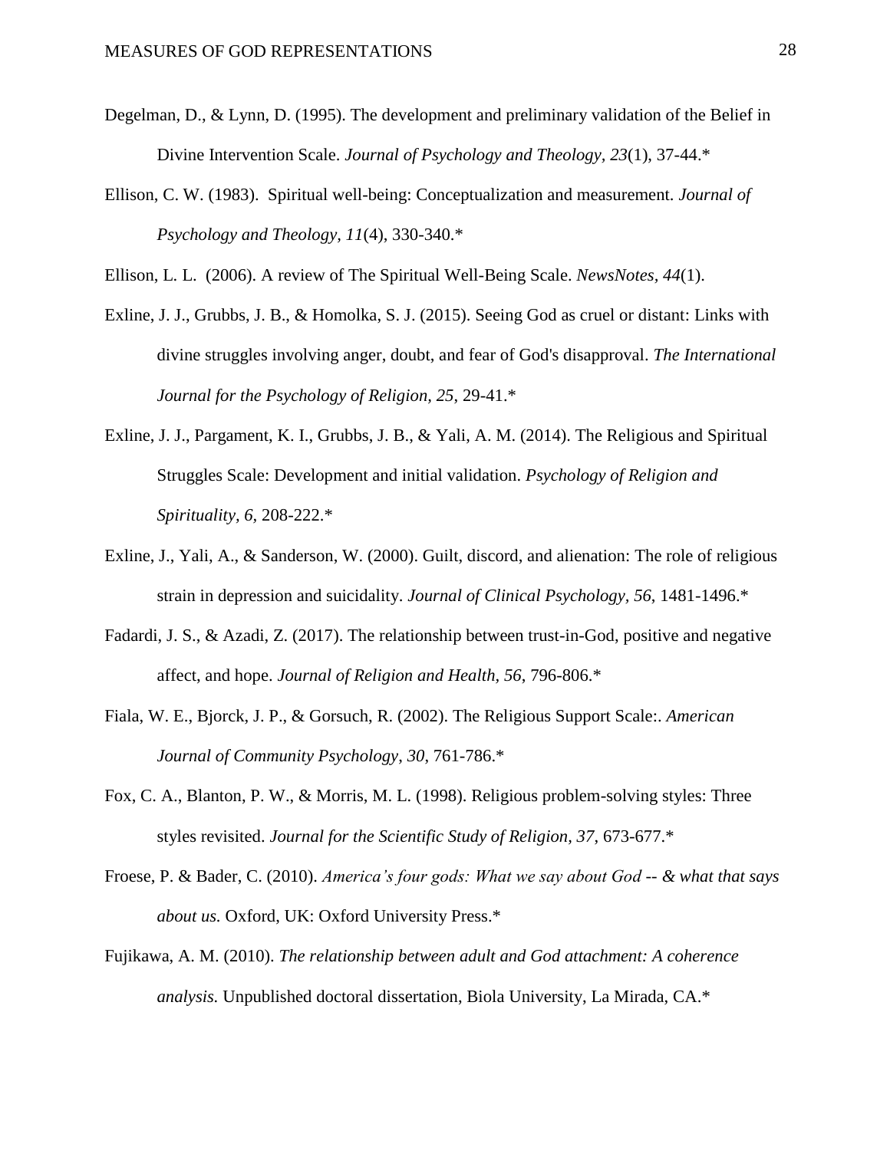- Degelman, D., & Lynn, D. (1995). The development and preliminary validation of the Belief in Divine Intervention Scale. *Journal of Psychology and Theology, 23*(1), 37-44.\*
- Ellison, C. W. (1983). Spiritual well-being: Conceptualization and measurement. *Journal of Psychology and Theology, 11*(4), 330-340.\*

Ellison, L. L. (2006). A review of The Spiritual Well-Being Scale. *NewsNotes, 44*(1).

- Exline, J. J., Grubbs, J. B., & Homolka, S. J. (2015). Seeing God as cruel or distant: Links with divine struggles involving anger, doubt, and fear of God's disapproval. *The International Journal for the Psychology of Religion, 25*, 29-41.\*
- Exline, J. J., Pargament, K. I., Grubbs, J. B., & Yali, A. M. (2014). The Religious and Spiritual Struggles Scale: Development and initial validation. *Psychology of Religion and Spirituality, 6,* 208-222.\*
- Exline, J., Yali, A., & Sanderson, W. (2000). Guilt, discord, and alienation: The role of religious strain in depression and suicidality. *Journal of Clinical Psychology, 56*, 1481-1496.\*
- Fadardi, J. S., & Azadi, Z. (2017). The relationship between trust-in-God, positive and negative affect, and hope. *Journal of Religion and Health, 56*, 796-806.\*
- Fiala, W. E., Bjorck, J. P., & Gorsuch, R. (2002). The Religious Support Scale:. *American Journal of Community Psychology*, *30*, 761-786.\*
- Fox, C. A., Blanton, P. W., & Morris, M. L. (1998). Religious problem-solving styles: Three styles revisited. *Journal for the Scientific Study of Religion, 37*, 673-677.\*
- Froese, P. & Bader, C. (2010). *America's four gods: What we say about God -- & what that says about us.* Oxford, UK: Oxford University Press.\*
- Fujikawa, A. M. (2010). *The relationship between adult and God attachment: A coherence analysis.* Unpublished doctoral dissertation, Biola University, La Mirada, CA.\*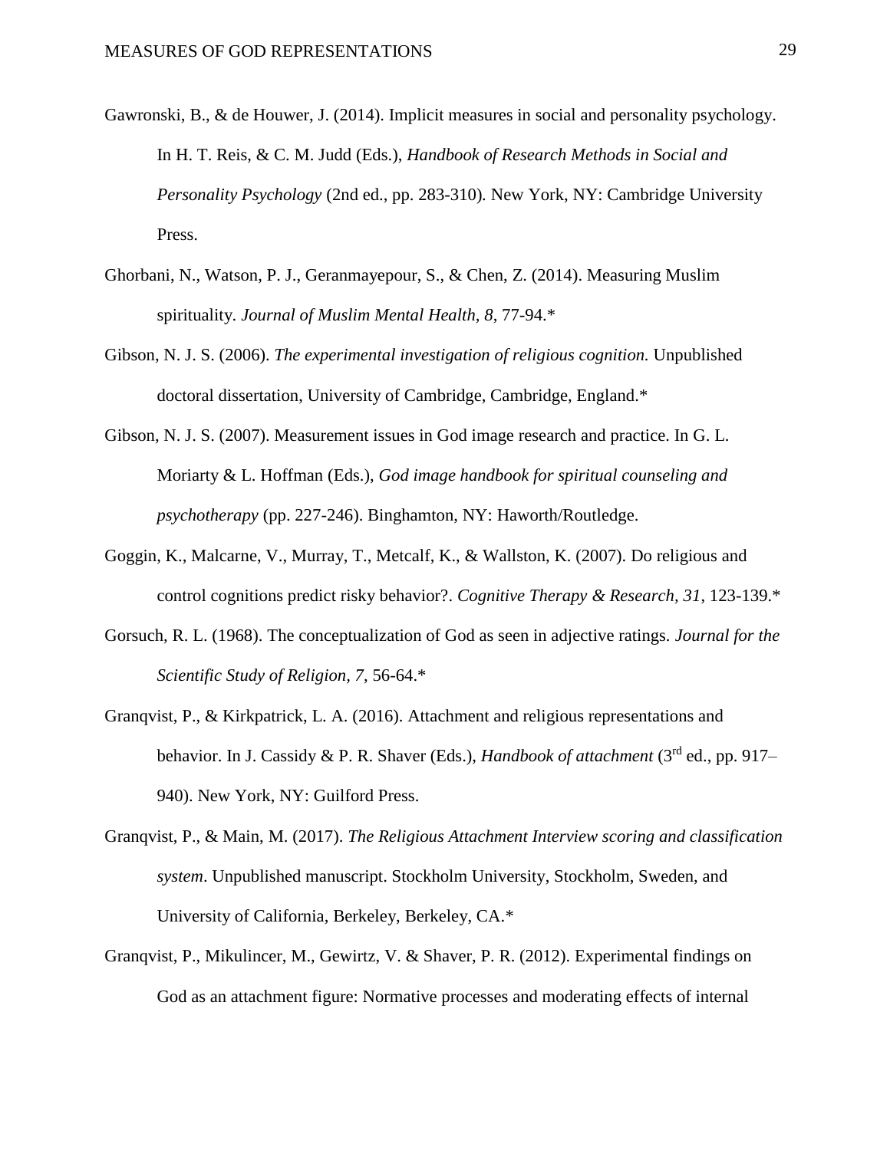- Gawronski, B., & de Houwer, J. (2014). Implicit measures in social and personality psychology. In H. T. Reis, & C. M. Judd (Eds.), *Handbook of Research Methods in Social and Personality Psychology* (2nd ed., pp. 283-310)*.* New York, NY: Cambridge University Press.
- Ghorbani, N., Watson, P. J., Geranmayepour, S., & Chen, Z. (2014). Measuring Muslim spirituality. *Journal of Muslim Mental Health, 8*, 77-94.\*
- Gibson, N. J. S. (2006). *The experimental investigation of religious cognition.* Unpublished doctoral dissertation, University of Cambridge, Cambridge, England.\*
- Gibson, N. J. S. (2007). Measurement issues in God image research and practice. In G. L. Moriarty & L. Hoffman (Eds.), *God image handbook for spiritual counseling and psychotherapy* (pp. 227-246). Binghamton, NY: Haworth/Routledge.
- Goggin, K., Malcarne, V., Murray, T., Metcalf, K., & Wallston, K. (2007). Do religious and control cognitions predict risky behavior?. *Cognitive Therapy & Research, 31*, 123-139.\*
- Gorsuch, R. L. (1968). The conceptualization of God as seen in adjective ratings. *Journal for the Scientific Study of Religion, 7*, 56-64.\*
- Granqvist, P., & Kirkpatrick, L. A. (2016). Attachment and religious representations and behavior. In J. Cassidy & P. R. Shaver (Eds.), *Handbook of attachment* (3<sup>rd</sup> ed., pp. 917– 940). New York, NY: Guilford Press.
- Granqvist, P., & Main, M. (2017). *The Religious Attachment Interview scoring and classification system*. Unpublished manuscript. Stockholm University, Stockholm, Sweden, and University of California, Berkeley, Berkeley, CA.\*
- Granqvist, P., Mikulincer, M., Gewirtz, V. & Shaver, P. R. (2012). Experimental findings on God as an attachment figure: Normative processes and moderating effects of internal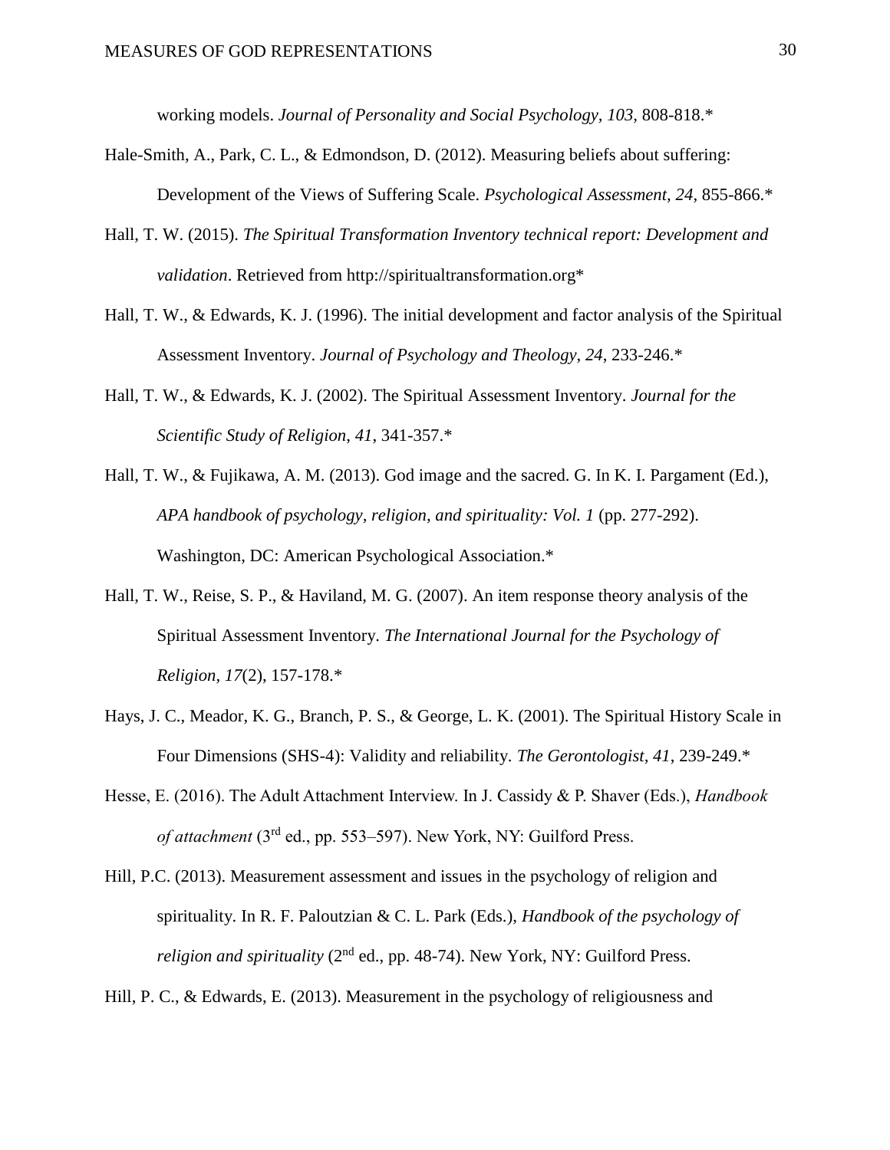working models. *Journal of Personality and Social Psychology, 103,* 808-818.\*

- Hale-Smith, A., Park, C. L., & Edmondson, D. (2012). Measuring beliefs about suffering: Development of the Views of Suffering Scale. *Psychological Assessment, 24*, 855-866.\*
- Hall, T. W. (2015). *The Spiritual Transformation Inventory technical report: Development and validation*. Retrieved from http://spiritualtransformation.org\*
- Hall, T. W., & Edwards, K. J. (1996). The initial development and factor analysis of the Spiritual Assessment Inventory. *Journal of Psychology and Theology*, *24*, 233-246.\*
- Hall, T. W., & Edwards, K. J. (2002). The Spiritual Assessment Inventory. *Journal for the Scientific Study of Religion*, *41*, 341-357.\*
- Hall, T. W., & Fujikawa, A. M. (2013). God image and the sacred. G. In K. I. Pargament (Ed.), *APA handbook of psychology, religion, and spirituality: Vol. 1 (pp. 277-292).* Washington, DC: American Psychological Association.\*
- Hall, T. W., Reise, S. P., & Haviland, M. G. (2007). An item response theory analysis of the Spiritual Assessment Inventory. *The International Journal for the Psychology of Religion, 17*(2), 157-178.\*
- Hays, J. C., Meador, K. G., Branch, P. S., & George, L. K. (2001). The Spiritual History Scale in Four Dimensions (SHS-4): Validity and reliability. *The Gerontologist, 41*, 239-249.\*
- Hesse, E. (2016). The Adult Attachment Interview. In J. Cassidy & P. Shaver (Eds.), *Handbook of attachment* (3rd ed., pp. 553–597). New York, NY: Guilford Press.
- Hill, P.C. (2013). Measurement assessment and issues in the psychology of religion and spirituality. In R. F. Paloutzian & C. L. Park (Eds.), *Handbook of the psychology of religion and spirituality* ( $2<sup>nd</sup>$  ed., pp. 48-74). New York, NY: Guilford Press.
- Hill, P. C., & Edwards, E. (2013). Measurement in the psychology of religiousness and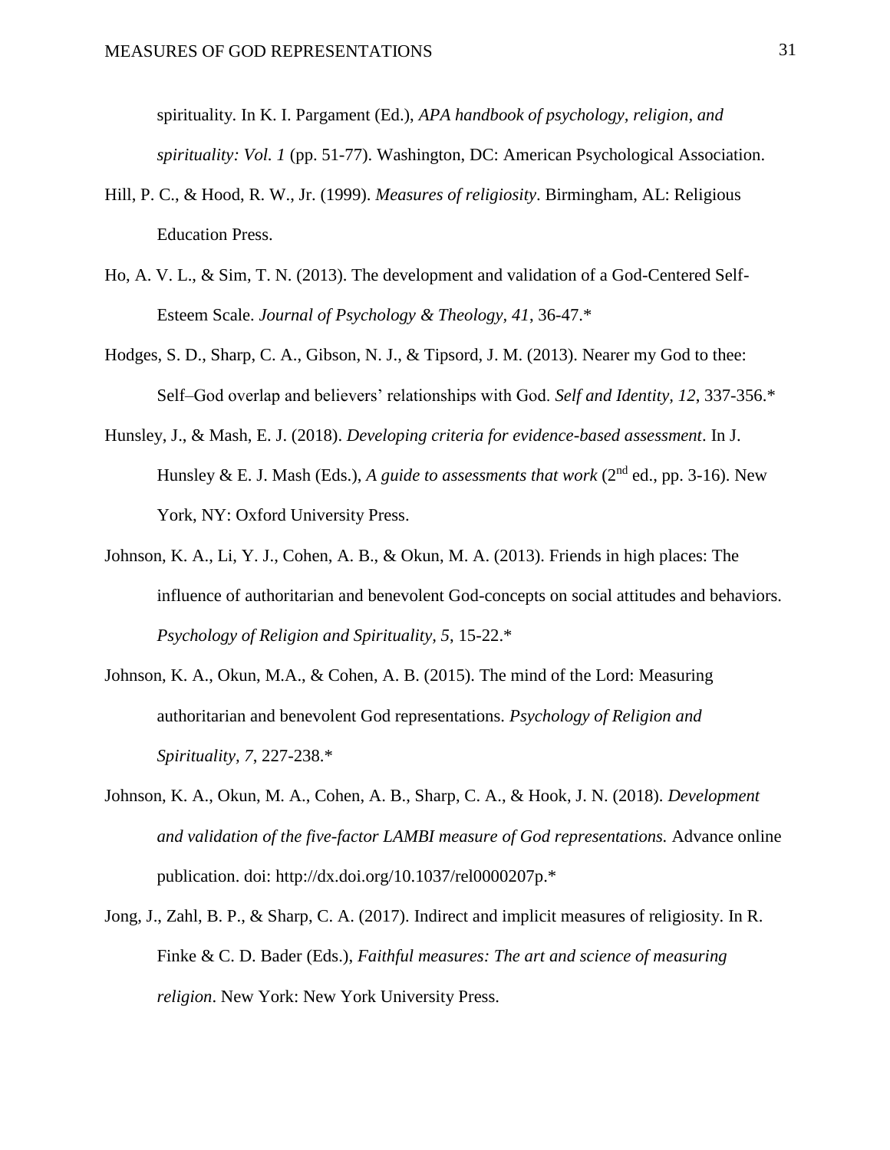spirituality. In K. I. Pargament (Ed.), *APA handbook of psychology, religion, and spirituality: Vol. 1* (pp. 51-77). Washington, DC: American Psychological Association.

- Hill, P. C., & Hood, R. W., Jr. (1999). *Measures of religiosity*. Birmingham, AL: Religious Education Press.
- Ho, A. V. L., & Sim, T. N. (2013). The development and validation of a God-Centered Self-Esteem Scale. *Journal of Psychology & Theology, 41*, 36-47.\*
- Hodges, S. D., Sharp, C. A., Gibson, N. J., & Tipsord, J. M. (2013). Nearer my God to thee: Self–God overlap and believers' relationships with God. *Self and Identity, 12*, 337-356.\*
- Hunsley, J., & Mash, E. J. (2018). *Developing criteria for evidence-based assessment*. In J. Hunsley & E. J. Mash (Eds.), *A guide to assessments that work* ( $2<sup>nd</sup>$  ed., pp. 3-16). New York, NY: Oxford University Press.
- Johnson, K. A., Li, Y. J., Cohen, A. B., & Okun, M. A. (2013). Friends in high places: The influence of authoritarian and benevolent God-concepts on social attitudes and behaviors. *Psychology of Religion and Spirituality, 5*, 15-22.\*
- Johnson, K. A., Okun, M.A., & Cohen, A. B. (2015). The mind of the Lord: Measuring authoritarian and benevolent God representations. *Psychology of Religion and Spirituality, 7*, 227-238.\*
- Johnson, K. A., Okun, M. A., Cohen, A. B., Sharp, C. A., & Hook, J. N. (2018). *Development and validation of the five-factor LAMBI measure of God representations.* Advance online publication. doi: http://dx.doi.org/10.1037/rel0000207p.\*
- Jong, J., Zahl, B. P., & Sharp, C. A. (2017). Indirect and implicit measures of religiosity. In R. Finke & C. D. Bader (Eds.), *Faithful measures: The art and science of measuring religion*. New York: New York University Press.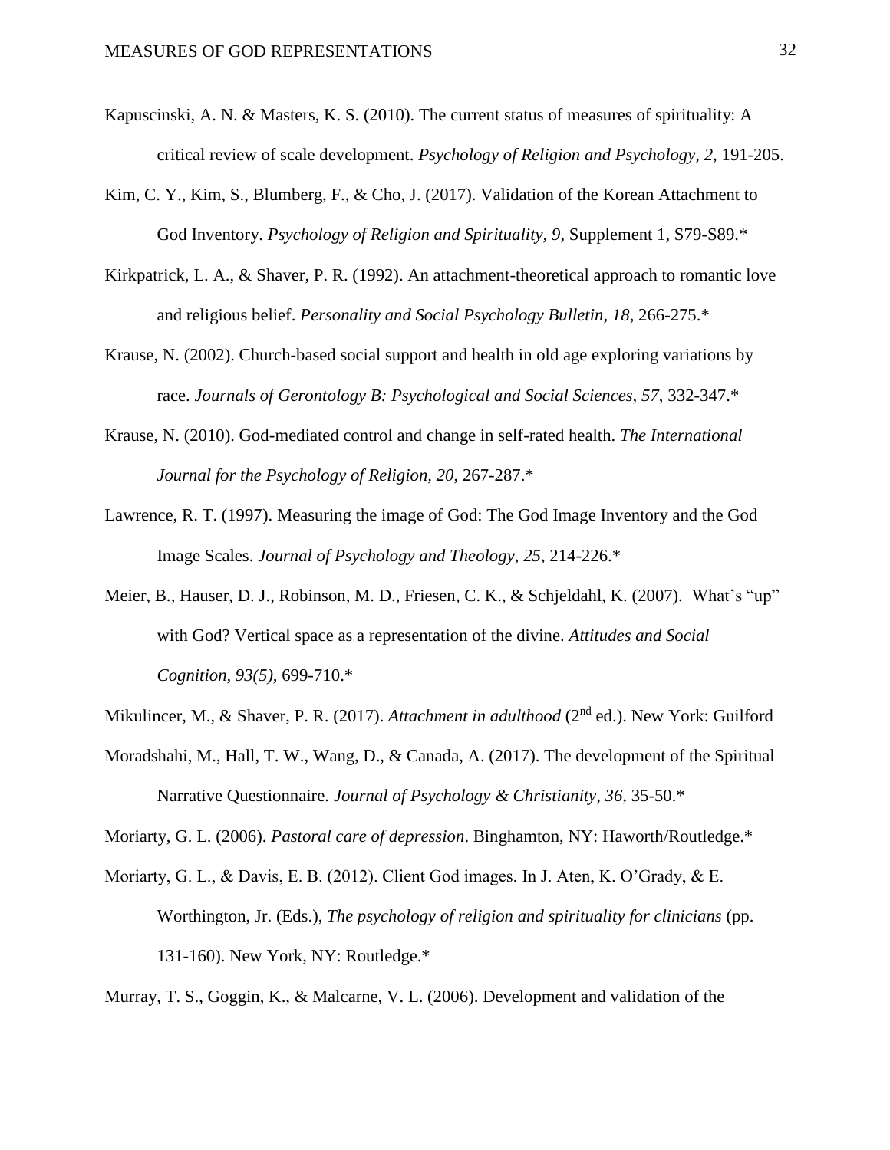- Kapuscinski, A. N. & Masters, K. S. (2010). The current status of measures of spirituality: A critical review of scale development. *Psychology of Religion and Psychology, 2,* 191-205.
- Kim, C. Y., Kim, S., Blumberg, F., & Cho, J. (2017). Validation of the Korean Attachment to God Inventory. *Psychology of Religion and Spirituality, 9*, Supplement 1, S79-S89.\*
- Kirkpatrick, L. A., & Shaver, P. R. (1992). An attachment-theoretical approach to romantic love and religious belief. *Personality and Social Psychology Bulletin, 18*, 266-275.\*
- Krause, N. (2002). Church-based social support and health in old age exploring variations by race. *Journals of Gerontology B: Psychological and Social Sciences, 57*, 332-347.\*
- Krause, N. (2010). God-mediated control and change in self-rated health. *The International Journal for the Psychology of Religion, 20*, 267-287.\*
- Lawrence, R. T. (1997). Measuring the image of God: The God Image Inventory and the God Image Scales. *Journal of Psychology and Theology, 25*, 214-226.\*
- Meier, B., Hauser, D. J., Robinson, M. D., Friesen, C. K., & Schjeldahl, K. (2007). What's "up" with God? Vertical space as a representation of the divine. *Attitudes and Social Cognition, 93(5),* 699-710.\*
- Mikulincer, M., & Shaver, P. R. (2017). *Attachment in adulthood* (2<sup>nd</sup> ed.). New York: Guilford
- Moradshahi, M., Hall, T. W., Wang, D., & Canada, A. (2017). The development of the Spiritual Narrative Questionnaire. *Journal of Psychology & Christianity, 36*, 35-50.\*

Moriarty, G. L. (2006). *Pastoral care of depression*. Binghamton, NY: Haworth/Routledge.\*

Moriarty, G. L., & Davis, E. B. (2012). Client God images. In J. Aten, K. O'Grady, & E. Worthington, Jr. (Eds.), *The psychology of religion and spirituality for clinicians* (pp. 131-160). New York, NY: Routledge.\*

Murray, T. S., Goggin, K., & Malcarne, V. L. (2006). Development and validation of the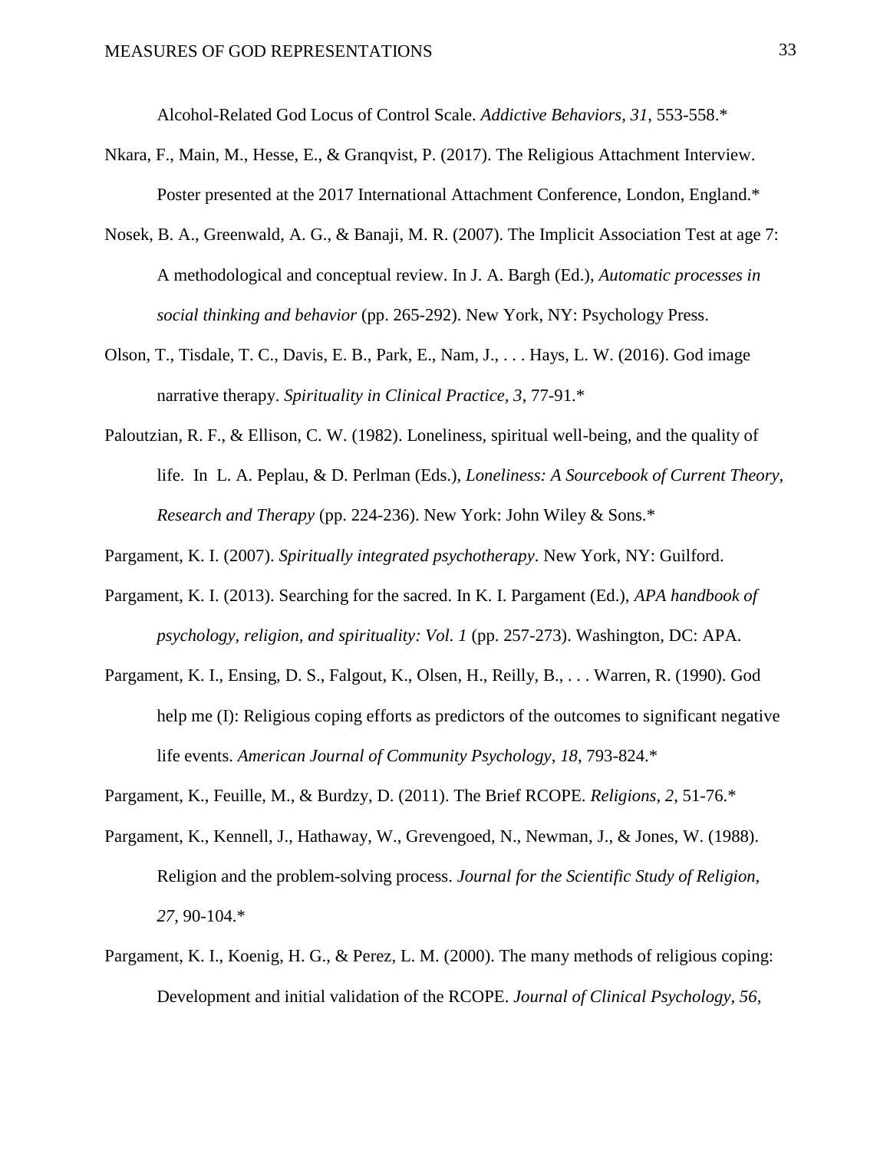Alcohol-Related God Locus of Control Scale. *Addictive Behaviors, 31*, 553-558.\*

- Nkara, F., Main, M., Hesse, E., & Granqvist, P. (2017). The Religious Attachment Interview. Poster presented at the 2017 International Attachment Conference, London, England.\*
- Nosek, B. A., Greenwald, A. G., & Banaji, M. R. (2007). The Implicit Association Test at age 7: A methodological and conceptual review. In J. A. Bargh (Ed.), *Automatic processes in social thinking and behavior* (pp. 265-292). New York, NY: Psychology Press.
- Olson, T., Tisdale, T. C., Davis, E. B., Park, E., Nam, J., . . . Hays, L. W. (2016). God image narrative therapy. *Spirituality in Clinical Practice, 3*, 77-91.\*
- Paloutzian, R. F., & Ellison, C. W. (1982). Loneliness, spiritual well-being, and the quality of life. In L. A. Peplau, & D. Perlman (Eds.), *Loneliness: A Sourcebook of Current Theory, Research and Therapy* (pp. 224-236). New York: John Wiley & Sons.\*

Pargament, K. I. (2007). *Spiritually integrated psychotherapy*. New York, NY: Guilford.

- Pargament, K. I. (2013). Searching for the sacred. In K. I. Pargament (Ed.), *APA handbook of psychology, religion, and spirituality: Vol. 1* (pp. 257-273). Washington, DC: APA.
- Pargament, K. I., Ensing, D. S., Falgout, K., Olsen, H., Reilly, B., . . . Warren, R. (1990). God help me (I): Religious coping efforts as predictors of the outcomes to significant negative life events. *American Journal of Community Psychology*, *18*, 793-824.\*
- Pargament, K., Feuille, M., & Burdzy, D. (2011). The Brief RCOPE. *Religions*, *2*, 51-76.\*
- Pargament, K., Kennell, J., Hathaway, W., Grevengoed, N., Newman, J., & Jones, W. (1988). Religion and the problem-solving process. *Journal for the Scientific Study of Religion, 27*, 90-104.\*
- Pargament, K. I., Koenig, H. G., & Perez, L. M. (2000). The many methods of religious coping: Development and initial validation of the RCOPE. *Journal of Clinical Psychology, 56*,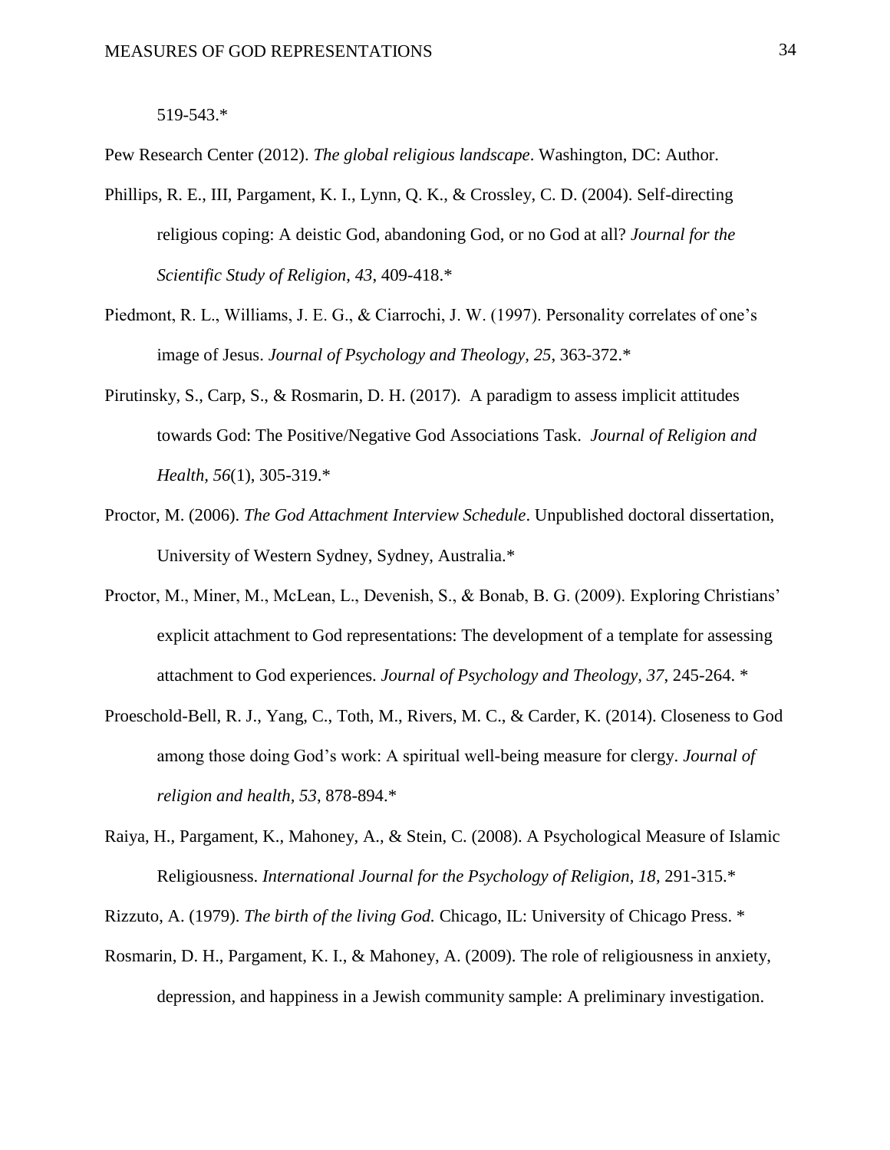#### 519-543.\*

Pew Research Center (2012). *The global religious landscape*. Washington, DC: Author.

- Phillips, R. E., III, Pargament, K. I., Lynn, Q. K., & Crossley, C. D. (2004). Self-directing religious coping: A deistic God, abandoning God, or no God at all? *Journal for the Scientific Study of Religion*, *43*, 409-418.\*
- Piedmont, R. L., Williams, J. E. G., & Ciarrochi, J. W. (1997). Personality correlates of one's image of Jesus. *Journal of Psychology and Theology, 25*, 363-372.\*
- Pirutinsky, S., Carp, S., & Rosmarin, D. H. (2017). A paradigm to assess implicit attitudes towards God: The Positive/Negative God Associations Task. *Journal of Religion and Health, 56*(1), 305-319.\*
- Proctor, M. (2006). *The God Attachment Interview Schedule*. Unpublished doctoral dissertation, University of Western Sydney, Sydney, Australia.\*
- Proctor, M., Miner, M., McLean, L., Devenish, S., & Bonab, B. G. (2009). Exploring Christians' explicit attachment to God representations: The development of a template for assessing attachment to God experiences. *Journal of Psychology and Theology, 37*, 245-264. \*
- Proeschold-Bell, R. J., Yang, C., Toth, M., Rivers, M. C., & Carder, K. (2014). Closeness to God among those doing God's work: A spiritual well-being measure for clergy. *Journal of religion and health, 53*, 878-894.\*
- Raiya, H., Pargament, K., Mahoney, A., & Stein, C. (2008). A Psychological Measure of Islamic Religiousness. *International Journal for the Psychology of Religion, 18*, 291-315.\*

Rizzuto, A. (1979). *The birth of the living God.* Chicago, IL: University of Chicago Press. \*

Rosmarin, D. H., Pargament, K. I., & Mahoney, A. (2009). The role of religiousness in anxiety, depression, and happiness in a Jewish community sample: A preliminary investigation.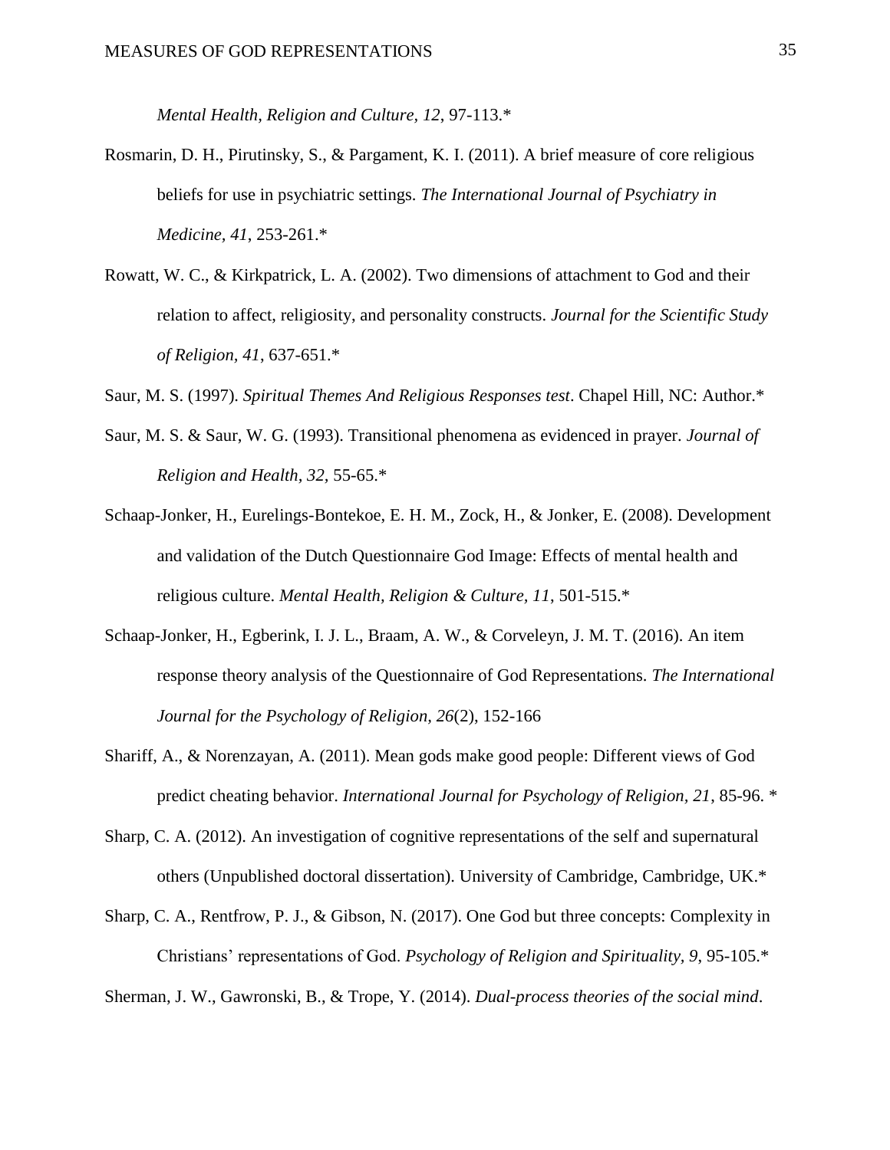*Mental Health, Religion and Culture, 12*, 97-113.\*

- Rosmarin, D. H., Pirutinsky, S., & Pargament, K. I. (2011). A brief measure of core religious beliefs for use in psychiatric settings. *The International Journal of Psychiatry in Medicine, 41*, 253-261.\*
- Rowatt, W. C., & Kirkpatrick, L. A. (2002). Two dimensions of attachment to God and their relation to affect, religiosity, and personality constructs. *Journal for the Scientific Study of Religion, 41*, 637-651.\*
- Saur, M. S. (1997). *Spiritual Themes And Religious Responses test*. Chapel Hill, NC: Author.\*
- Saur, M. S. & Saur, W. G. (1993). Transitional phenomena as evidenced in prayer. *Journal of Religion and Health, 32,* 55-65.\*
- Schaap-Jonker, H., Eurelings-Bontekoe, E. H. M., Zock, H., & Jonker, E. (2008). Development and validation of the Dutch Questionnaire God Image: Effects of mental health and religious culture. *Mental Health, Religion & Culture, 11*, 501-515.\*
- Schaap-Jonker, H., Egberink, I. J. L., Braam, A. W., & Corveleyn, J. M. T. (2016). An item response theory analysis of the Questionnaire of God Representations. *The International Journal for the Psychology of Religion, 26*(2), 152-166
- Shariff, A., & Norenzayan, A. (2011). Mean gods make good people: Different views of God predict cheating behavior. *International Journal for Psychology of Religion, 21*, 85-96. \*
- Sharp, C. A. (2012). An investigation of cognitive representations of the self and supernatural others (Unpublished doctoral dissertation). University of Cambridge, Cambridge, UK.\*
- Sharp, C. A., Rentfrow, P. J., & Gibson, N. (2017). One God but three concepts: Complexity in Christians' representations of God. *Psychology of Religion and Spirituality, 9*, 95-105.\*

Sherman, J. W., Gawronski, B., & Trope, Y. (2014). *Dual-process theories of the social mind*.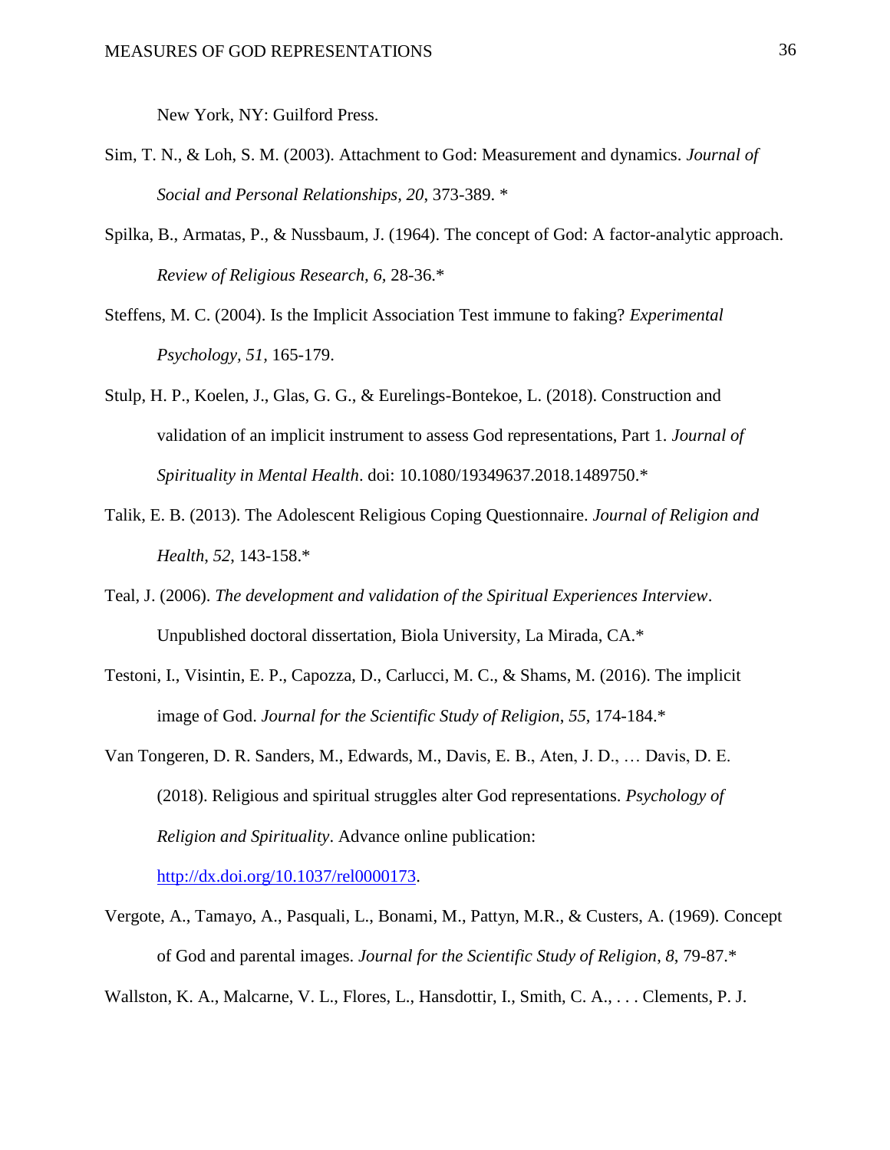New York, NY: Guilford Press.

- Sim, T. N., & Loh, S. M. (2003). Attachment to God: Measurement and dynamics. *Journal of Social and Personal Relationships, 20*, 373-389. \*
- Spilka, B., Armatas, P., & Nussbaum, J. (1964). The concept of God: A factor-analytic approach. *Review of Religious Research, 6,* 28-36.\*
- Steffens, M. C. (2004). Is the Implicit Association Test immune to faking? *Experimental Psychology, 51,* 165-179.
- Stulp, H. P., Koelen, J., Glas, G. G., & Eurelings-Bontekoe, L. (2018). Construction and validation of an implicit instrument to assess God representations, Part 1. *Journal of Spirituality in Mental Health*. doi: 10.1080/19349637.2018.1489750.\*
- Talik, E. B. (2013). The Adolescent Religious Coping Questionnaire. *Journal of Religion and Health*, *52*, 143-158.\*
- Teal, J. (2006). *The development and validation of the Spiritual Experiences Interview*. Unpublished doctoral dissertation, Biola University, La Mirada, CA.\*
- Testoni, I., Visintin, E. P., Capozza, D., Carlucci, M. C., & Shams, M. (2016). The implicit image of God. *Journal for the Scientific Study of Religion*, *55*, 174-184.\*
- Van Tongeren, D. R. Sanders, M., Edwards, M., Davis, E. B., Aten, J. D., … Davis, D. E. (2018). Religious and spiritual struggles alter God representations. *Psychology of Religion and Spirituality*. Advance online publication:

[http://dx.doi.org/10.1037/rel0000173.](http://dx.doi.org/10.1037/rel0000173)

Vergote, A., Tamayo, A., Pasquali, L., Bonami, M., Pattyn, M.R., & Custers, A. (1969). Concept of God and parental images. *Journal for the Scientific Study of Religion*, *8*, 79-87.\*

Wallston, K. A., Malcarne, V. L., Flores, L., Hansdottir, I., Smith, C. A., . . . Clements, P. J.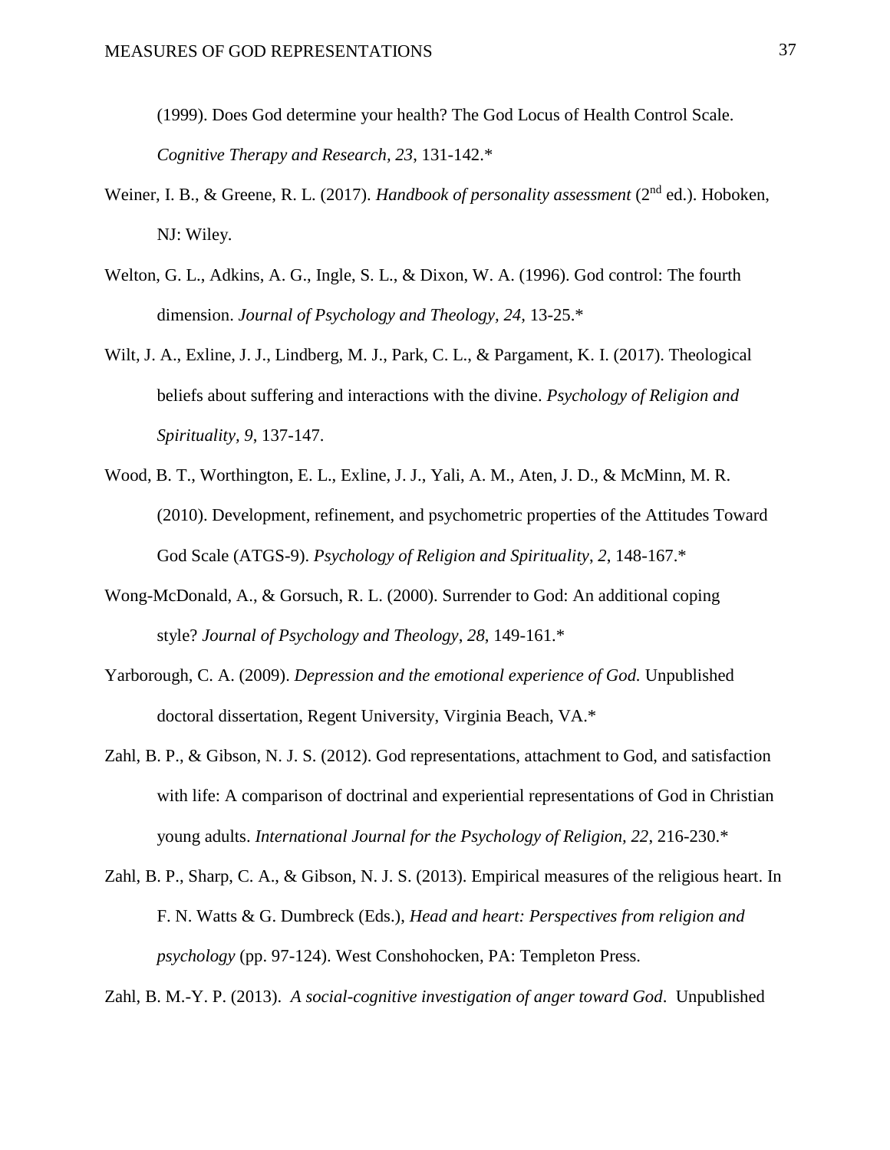(1999). Does God determine your health? The God Locus of Health Control Scale. *Cognitive Therapy and Research, 23*, 131-142.\*

- Weiner, I. B., & Greene, R. L. (2017). *Handbook of personality assessment* (2nd ed.). Hoboken, NJ: Wiley.
- Welton, G. L., Adkins, A. G., Ingle, S. L., & Dixon, W. A. (1996). God control: The fourth dimension. *Journal of Psychology and Theology, 24,* 13-25.\*
- Wilt, J. A., Exline, J. J., Lindberg, M. J., Park, C. L., & Pargament, K. I. (2017). Theological beliefs about suffering and interactions with the divine. *Psychology of Religion and Spirituality, 9*, 137-147.
- Wood, B. T., Worthington, E. L., Exline, J. J., Yali, A. M., Aten, J. D., & McMinn, M. R. (2010). Development, refinement, and psychometric properties of the Attitudes Toward God Scale (ATGS-9). *Psychology of Religion and Spirituality*, *2*, 148-167.\*
- Wong-McDonald, A., & Gorsuch, R. L. (2000). Surrender to God: An additional coping style? *Journal of Psychology and Theology*, *28*, 149-161.\*
- Yarborough, C. A. (2009). *Depression and the emotional experience of God.* Unpublished doctoral dissertation, Regent University, Virginia Beach, VA.\*
- Zahl, B. P., & Gibson, N. J. S. (2012). God representations, attachment to God, and satisfaction with life: A comparison of doctrinal and experiential representations of God in Christian young adults. *International Journal for the Psychology of Religion, 22*, 216-230.\*
- Zahl, B. P., Sharp, C. A., & Gibson, N. J. S. (2013). Empirical measures of the religious heart. In F. N. Watts & G. Dumbreck (Eds.), *Head and heart: Perspectives from religion and psychology* (pp. 97-124). West Conshohocken, PA: Templeton Press.

Zahl, B. M.-Y. P. (2013). *A social-cognitive investigation of anger toward God*. Unpublished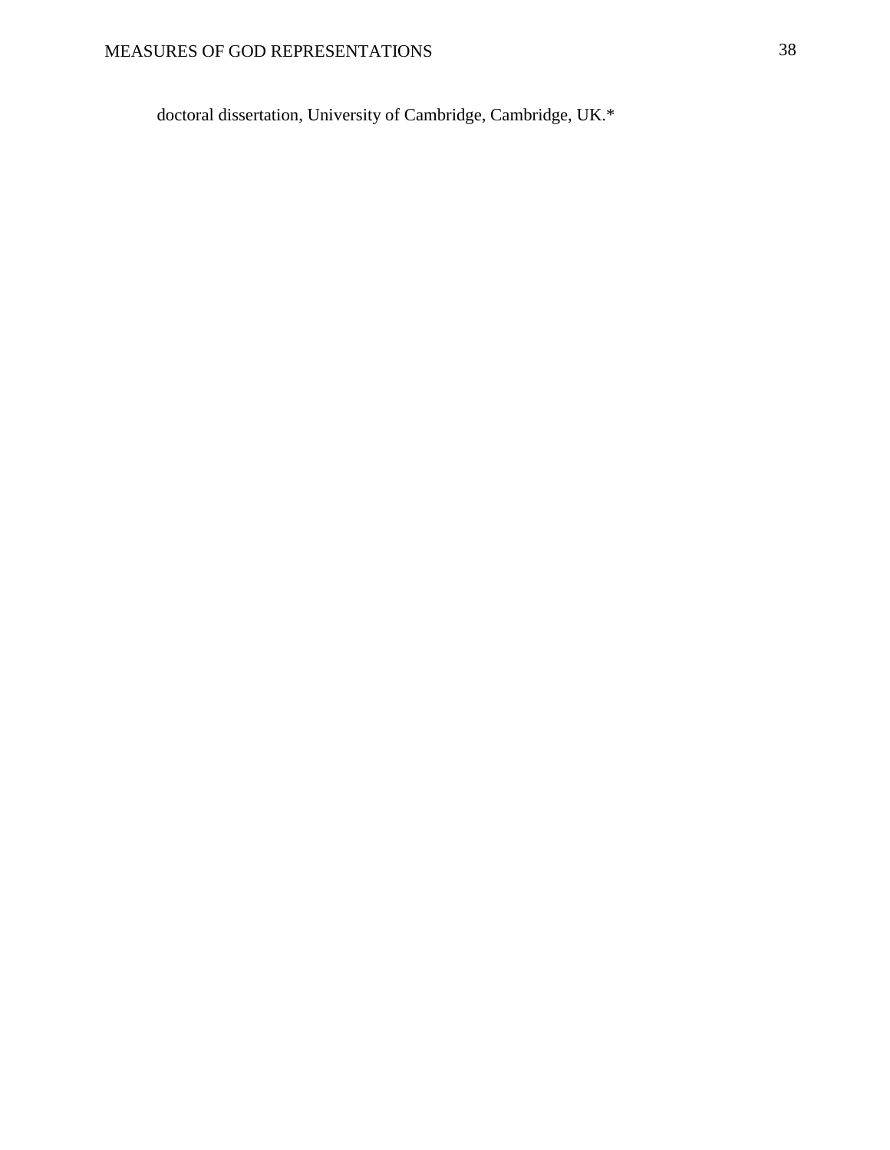doctoral dissertation, University of Cambridge, Cambridge, UK.\*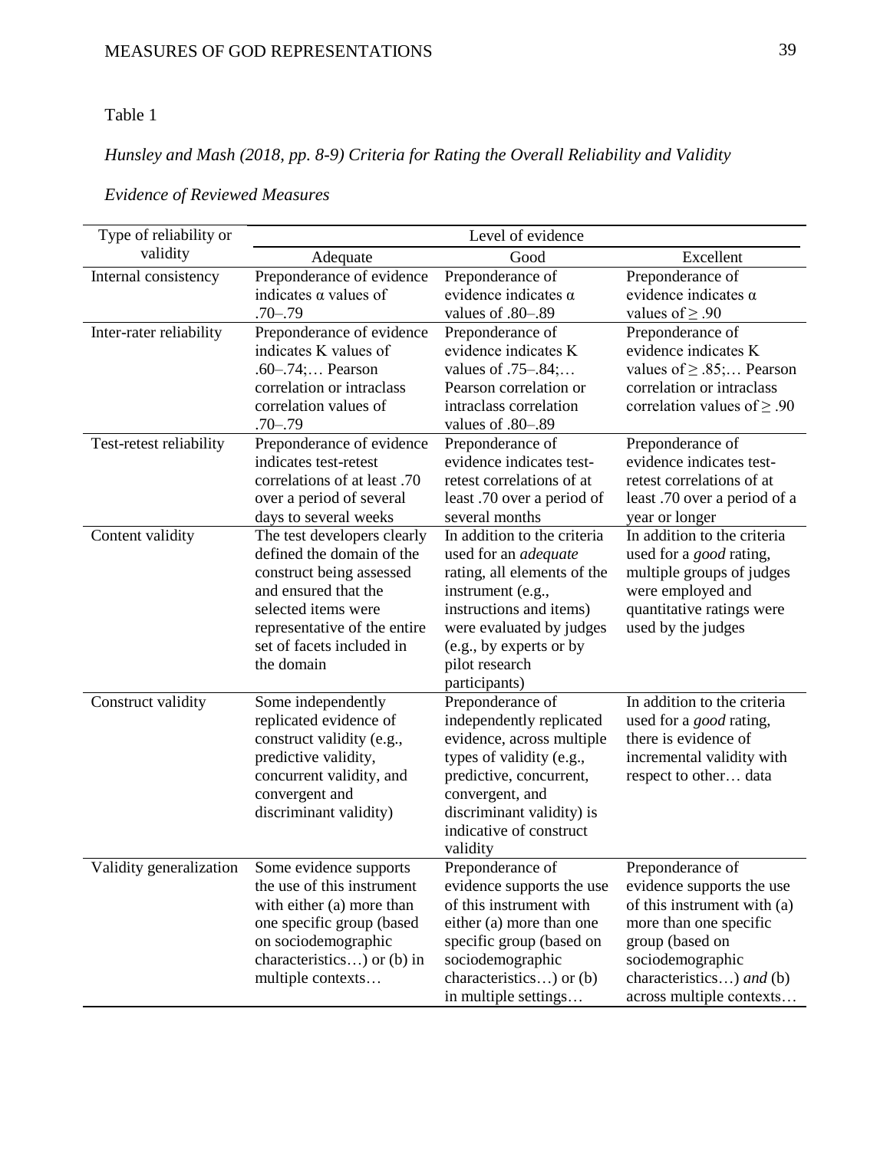# Table 1

# *Hunsley and Mash (2018, pp. 8-9) Criteria for Rating the Overall Reliability and Validity*

| Type of reliability or  |                                                                                                                                                                                                                | Level of evidence                                                                                                                                                                                                                   |                                                                                                                                                                                                       |
|-------------------------|----------------------------------------------------------------------------------------------------------------------------------------------------------------------------------------------------------------|-------------------------------------------------------------------------------------------------------------------------------------------------------------------------------------------------------------------------------------|-------------------------------------------------------------------------------------------------------------------------------------------------------------------------------------------------------|
| validity                | Adequate                                                                                                                                                                                                       | Good                                                                                                                                                                                                                                | Excellent                                                                                                                                                                                             |
| Internal consistency    | Preponderance of evidence<br>indicates $\alpha$ values of<br>$.70 - .79$                                                                                                                                       | Preponderance of<br>evidence indicates $\alpha$<br>values of .80–.89                                                                                                                                                                | Preponderance of<br>evidence indicates $\alpha$<br>values of $\geq .90$                                                                                                                               |
| Inter-rater reliability | Preponderance of evidence<br>indicates K values of<br>$.60-.74;$ Pearson<br>correlation or intraclass<br>correlation values of<br>$.70 - .79$                                                                  | Preponderance of<br>evidence indicates K<br>values of .75–.84;<br>Pearson correlation or<br>intraclass correlation<br>values of .80-.89                                                                                             | Preponderance of<br>evidence indicates K<br>values of $\geq$ .85; Pearson<br>correlation or intraclass<br>correlation values of $\geq .90$                                                            |
| Test-retest reliability | Preponderance of evidence<br>indicates test-retest<br>correlations of at least .70<br>over a period of several<br>days to several weeks                                                                        | Preponderance of<br>evidence indicates test-<br>retest correlations of at<br>least .70 over a period of<br>several months                                                                                                           | Preponderance of<br>evidence indicates test-<br>retest correlations of at<br>least .70 over a period of a<br>year or longer                                                                           |
| Content validity        | The test developers clearly<br>defined the domain of the<br>construct being assessed<br>and ensured that the<br>selected items were<br>representative of the entire<br>set of facets included in<br>the domain | In addition to the criteria<br>used for an <i>adequate</i><br>rating, all elements of the<br>instrument (e.g.,<br>instructions and items)<br>were evaluated by judges<br>(e.g., by experts or by<br>pilot research<br>participants) | In addition to the criteria<br>used for a <i>good</i> rating,<br>multiple groups of judges<br>were employed and<br>quantitative ratings were<br>used by the judges                                    |
| Construct validity      | Some independently<br>replicated evidence of<br>construct validity (e.g.,<br>predictive validity,<br>concurrent validity, and<br>convergent and<br>discriminant validity)                                      | Preponderance of<br>independently replicated<br>evidence, across multiple<br>types of validity (e.g.,<br>predictive, concurrent,<br>convergent, and<br>discriminant validity) is<br>indicative of construct<br>validity             | In addition to the criteria<br>used for a <i>good</i> rating,<br>there is evidence of<br>incremental validity with<br>respect to other data                                                           |
| Validity generalization | Some evidence supports<br>the use of this instrument<br>with either (a) more than<br>one specific group (based<br>on sociodemographic<br>characteristics) or (b) in<br>multiple contexts                       | Preponderance of<br>evidence supports the use<br>of this instrument with<br>either (a) more than one<br>specific group (based on<br>sociodemographic<br>characteristics) or (b)<br>in multiple settings                             | Preponderance of<br>evidence supports the use<br>of this instrument with (a)<br>more than one specific<br>group (based on<br>sociodemographic<br>characteristics) and (b)<br>across multiple contexts |

# *Evidence of Reviewed Measures*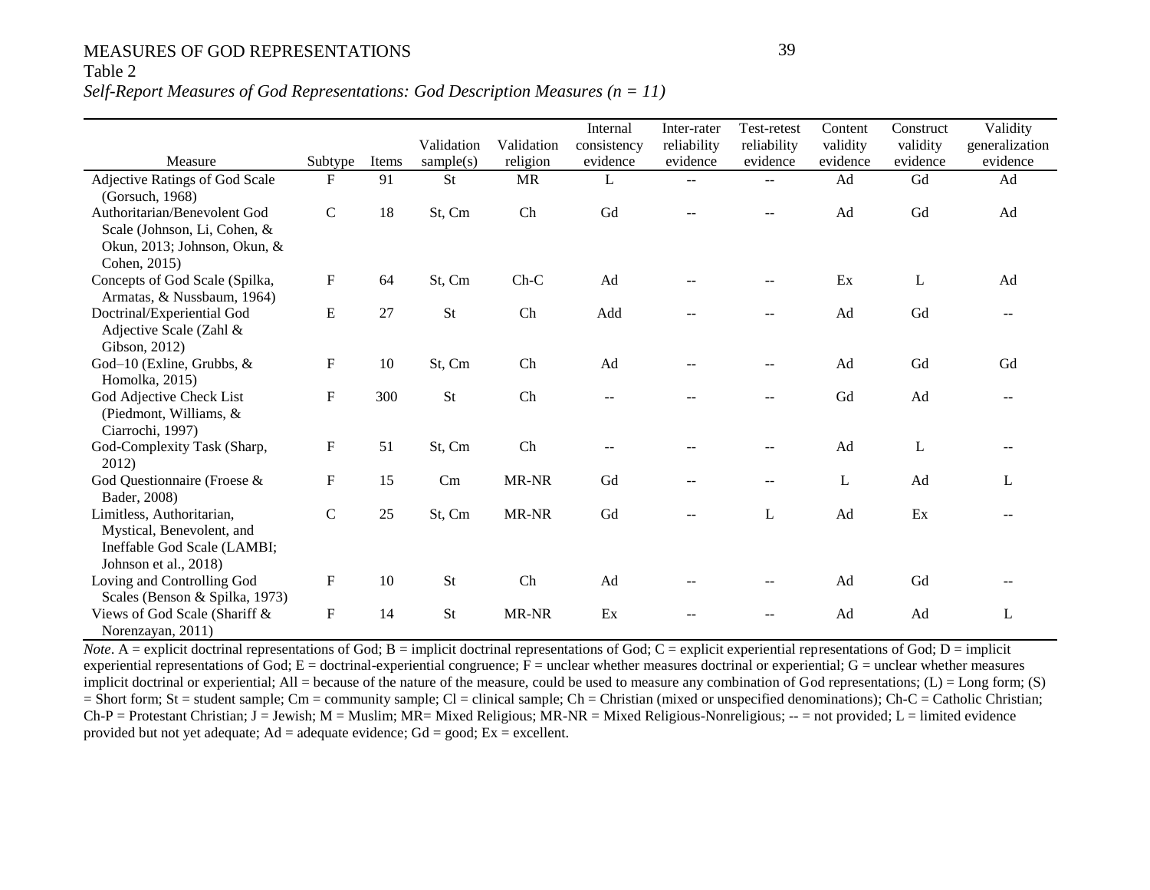## Table 2

#### *Self-Report Measures of God Representations: God Description Measures (n = 11)*

|                                                                                                                |              |       | Validation | Validation | Internal<br>consistency  | Inter-rater<br>reliability | Test-retest<br>reliability | Content<br>validity | Construct<br>validity | Validity<br>generalization |
|----------------------------------------------------------------------------------------------------------------|--------------|-------|------------|------------|--------------------------|----------------------------|----------------------------|---------------------|-----------------------|----------------------------|
| Measure                                                                                                        | Subtype      | Items | sample(s)  | religion   | evidence                 | evidence                   | evidence                   | evidence            | evidence              | evidence                   |
| Adjective Ratings of God Scale<br>(Gorsuch, 1968)                                                              | $\mathbf{F}$ | 91    | <b>St</b>  | <b>MR</b>  | L                        |                            |                            | Ad                  | Gd                    | Ad                         |
| Authoritarian/Benevolent God<br>Scale (Johnson, Li, Cohen, &<br>Okun, 2013; Johnson, Okun, &<br>Cohen, 2015)   | $\mathbf C$  | 18    | St, Cm     | Ch         | Gd                       |                            |                            | Ad                  | Gd                    | Ad                         |
| Concepts of God Scale (Spilka,<br>Armatas, & Nussbaum, 1964)                                                   | F            | 64    | St, Cm     | $Ch-C$     | Ad                       |                            |                            | Ex                  | L                     | Ad                         |
| Doctrinal/Experiential God<br>Adjective Scale (Zahl &<br>Gibson, 2012)                                         | E            | 27    | <b>St</b>  | Ch         | Add                      |                            |                            | Ad                  | Gd                    |                            |
| God-10 (Exline, Grubbs, $\&$<br>Homolka, 2015)                                                                 | F            | 10    | St, Cm     | Ch         | Ad                       |                            |                            | Ad                  | Gd                    | Gd                         |
| God Adjective Check List<br>(Piedmont, Williams, $&$<br>Ciarrochi, 1997)                                       | $\mathbf F$  | 300   | St         | Ch         | $-$                      |                            | $-$                        | Gd                  | Ad                    |                            |
| God-Complexity Task (Sharp,<br>2012)                                                                           | F            | 51    | St, Cm     | Ch         | $\overline{\phantom{m}}$ |                            |                            | Ad                  | L                     |                            |
| God Questionnaire (Froese &<br>Bader, 2008)                                                                    | ${\bf F}$    | 15    | Cm         | MR-NR      | Gd                       |                            | $--$                       | L                   | Ad                    | L                          |
| Limitless, Authoritarian,<br>Mystical, Benevolent, and<br>Ineffable God Scale (LAMBI;<br>Johnson et al., 2018) | $\mathbf C$  | 25    | St, Cm     | MR-NR      | Gd                       |                            | L                          | Ad                  | Ex                    |                            |
| Loving and Controlling God<br>Scales (Benson & Spilka, 1973)                                                   | $\mathbf F$  | 10    | St         | Ch         | Ad                       |                            |                            | Ad                  | Gd                    |                            |
| Views of God Scale (Shariff &<br>Norenzayan, 2011)                                                             | F            | 14    | <b>St</b>  | MR-NR      | Ex                       |                            |                            | Ad                  | Ad                    | L                          |

*Note*. A = explicit doctrinal representations of God; B = implicit doctrinal representations of God; C = explicit experiential representations of God; D = implicit experiential representations of God;  $E =$  doctrinal-experiential congruence;  $\overline{F}$  = unclear whether measures doctrinal or experiential;  $G =$  unclear whether measures implicit doctrinal or experiential; All = because of the nature of the measure, could be used to measure any combination of God representations;  $(L) = Long$  form;  $(S)$ = Short form; St = student sample; Cm = community sample; Cl = clinical sample; Ch = Christian (mixed or unspecified denominations); Ch-C = Catholic Christian;  $Ch-P =$  Protestant Christian; J = Jewish; M = Muslim; MR= Mixed Religious; MR-NR = Mixed Religious-Nonreligious;  $-$  = not provided; L = limited evidence provided but not yet adequate;  $Ad =$  adequate evidence;  $Gd =$  good;  $Ex =$  excellent.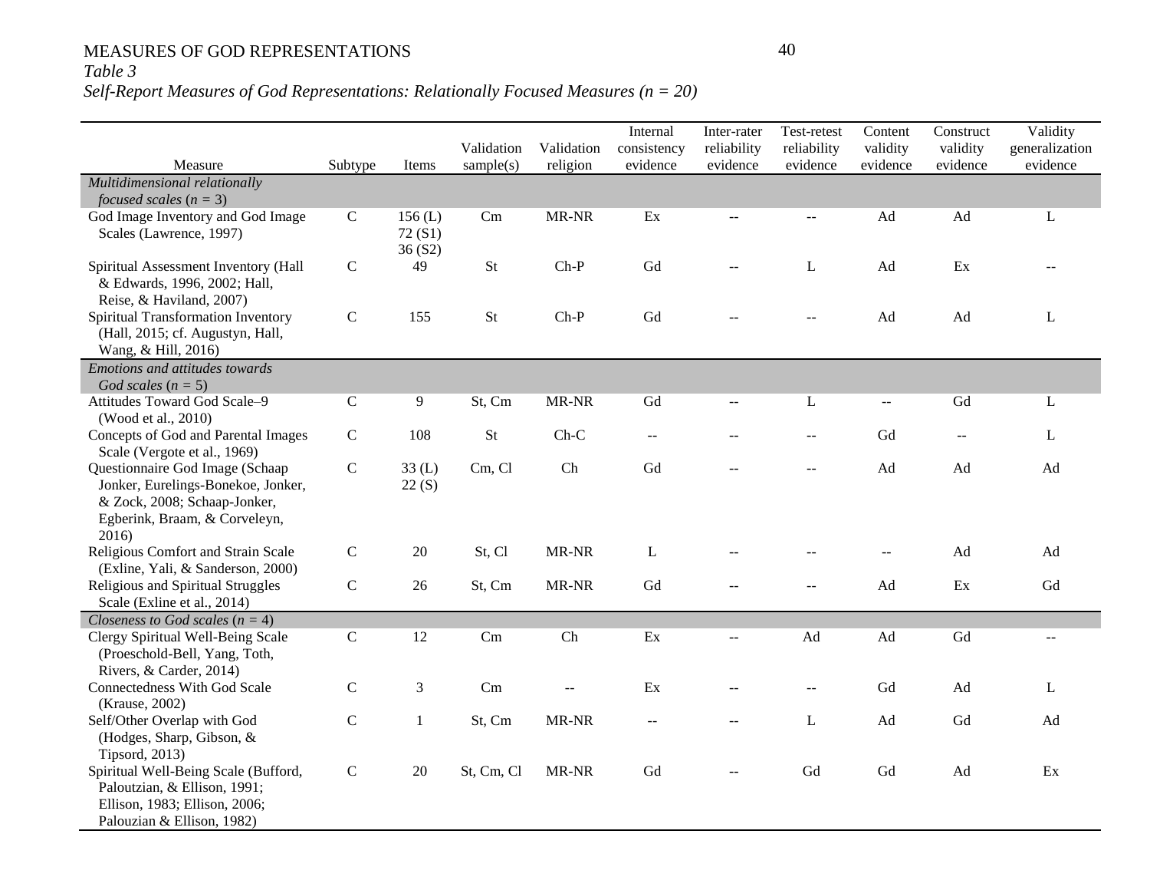## *Table 3*

## *Self-Report Measures of God Representations: Relationally Focused Measures (n = 20)*

|                                                                                                                                                |              |                            |                                                                                               |                        | Internal                | Inter-rater             | Test-retest             | Content              | Construct            | Validity                   |
|------------------------------------------------------------------------------------------------------------------------------------------------|--------------|----------------------------|-----------------------------------------------------------------------------------------------|------------------------|-------------------------|-------------------------|-------------------------|----------------------|----------------------|----------------------------|
| Measure                                                                                                                                        | Subtype      | Items                      | Validation<br>sample(s)                                                                       | Validation<br>religion | consistency<br>evidence | reliability<br>evidence | reliability<br>evidence | validity<br>evidence | validity<br>evidence | generalization<br>evidence |
| Multidimensional relationally<br>focused scales $(n = 3)$                                                                                      |              |                            |                                                                                               |                        |                         |                         |                         |                      |                      |                            |
| God Image Inventory and God Image<br>Scales (Lawrence, 1997)                                                                                   | $\mathsf{C}$ | 156(L)<br>72(S1)<br>36(S2) | Cm                                                                                            | MR-NR                  | Ex                      | --                      | $\sim$                  | Ad                   | Ad                   | L                          |
| Spiritual Assessment Inventory (Hall<br>& Edwards, 1996, 2002; Hall,<br>Reise, & Haviland, 2007)                                               | $\mathbf C$  | 49                         | $\operatorname*{St}% \nolimits_{\mathbb{Z}}\left( \mathbb{Z}^{\Sigma\left( 1\right) }\right)$ | $Ch-P$                 | Gd                      | $-$                     | L                       | Ad                   | Ex                   |                            |
| Spiritual Transformation Inventory<br>(Hall, 2015; cf. Augustyn, Hall,<br>Wang, & Hill, 2016)                                                  | ${\bf C}$    | 155                        | <b>St</b>                                                                                     | $Ch-P$                 | Gd                      |                         | $\sim$                  | Ad                   | Ad                   | L                          |
| <b>Emotions and attitudes towards</b><br>God scales $(n = 5)$                                                                                  |              |                            |                                                                                               |                        |                         |                         |                         |                      |                      |                            |
| Attitudes Toward God Scale-9<br>(Wood et al., 2010)                                                                                            | ${\bf C}$    | 9                          | St, Cm                                                                                        | MR-NR                  | Gd                      |                         | L                       | $\overline{a}$       | Gd                   | L                          |
| Concepts of God and Parental Images<br>Scale (Vergote et al., 1969)                                                                            | $\mathbf C$  | 108                        | St                                                                                            | $Ch-C$                 | $\mathbf{u} =$          |                         | --                      | Gd                   | $\mathbf{u}$         | L                          |
| Questionnaire God Image (Schaap<br>Jonker, Eurelings-Bonekoe, Jonker,<br>& Zock, 2008; Schaap-Jonker,<br>Egberink, Braam, & Corveleyn,<br>2016 | ${\bf C}$    | 33(L)<br>22(S)             | Cm, Cl                                                                                        | Ch                     | Gd                      |                         | $\sim$                  | Ad                   | Ad                   | Ad                         |
| Religious Comfort and Strain Scale<br>(Exline, Yali, & Sanderson, 2000)                                                                        | $\mathbf C$  | 20                         | St, Cl                                                                                        | MR-NR                  | $\mathbf L$             |                         |                         |                      | Ad                   | Ad                         |
| Religious and Spiritual Struggles<br>Scale (Exline et al., 2014)                                                                               | ${\bf C}$    | 26                         | St, Cm                                                                                        | MR-NR                  | Gd                      |                         | $\overline{a}$          | Ad                   | Ex                   | Gd                         |
| Closeness to God scales ( $n = 4$ )                                                                                                            |              |                            |                                                                                               |                        |                         |                         |                         |                      |                      |                            |
| Clergy Spiritual Well-Being Scale<br>(Proeschold-Bell, Yang, Toth,<br>Rivers, & Carder, 2014)                                                  | $\mathbf C$  | 12                         | Cm                                                                                            | Ch                     | Ex                      | --                      | Ad                      | Ad                   | ${\rm Gd}$           | $\sim$ $\sim$              |
| Connectedness With God Scale<br>(Krause, 2002)                                                                                                 | $\mathsf{C}$ | $\mathfrak{Z}$             | Cm                                                                                            | $-$                    | Ex                      |                         | $-$                     | Gd                   | Ad                   | L                          |
| Self/Other Overlap with God<br>(Hodges, Sharp, Gibson, &<br>Tipsord, 2013)                                                                     | $\mathsf{C}$ | 1                          | St, Cm                                                                                        | MR-NR                  | $\mathbf{u} =$          | $\sim$                  | L                       | Ad                   | Gd                   | Ad                         |
| Spiritual Well-Being Scale (Bufford,<br>Paloutzian, & Ellison, 1991;<br>Ellison, 1983; Ellison, 2006;<br>Palouzian & Ellison, 1982)            | ${\bf C}$    | 20                         | St, Cm, Cl                                                                                    | MR-NR                  | Gd                      |                         | Gd                      | Gd                   | Ad                   | Ex                         |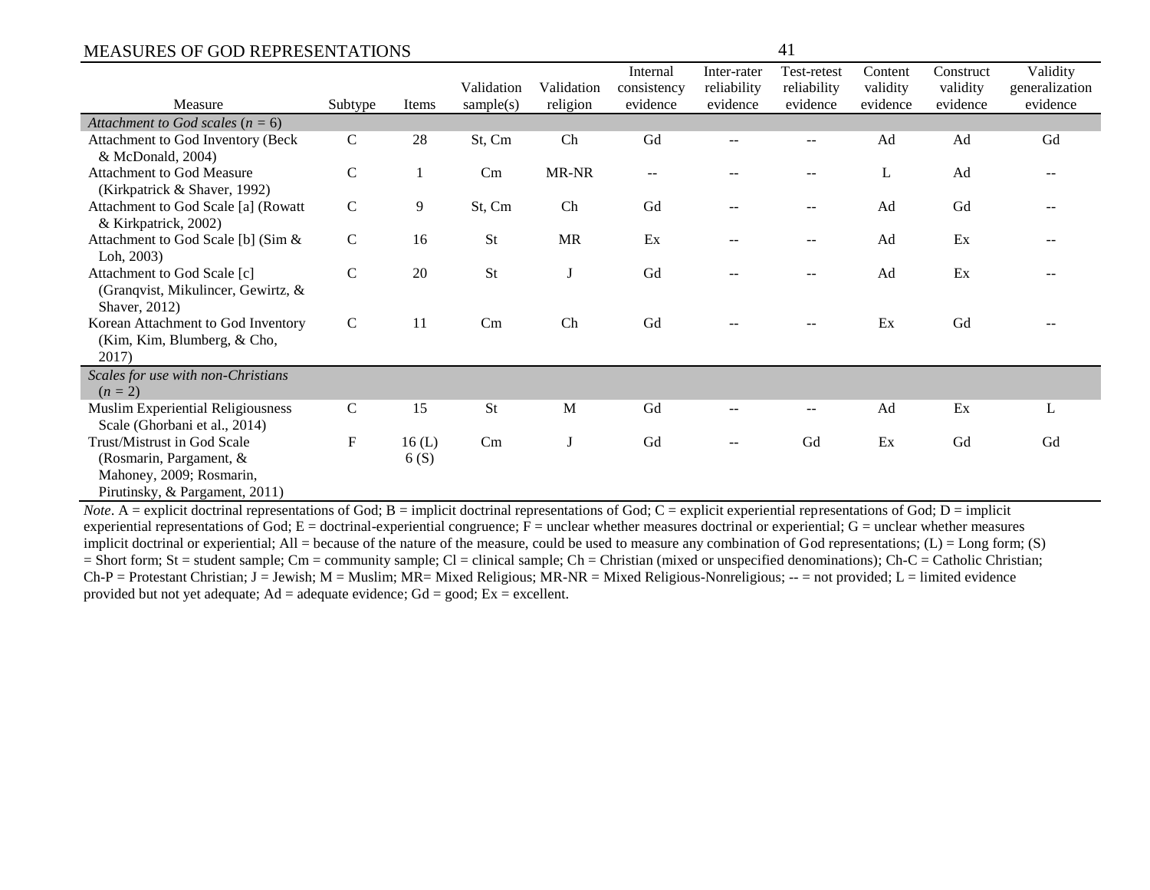|                                                                                                                                                                                                                                                                                                                                                                  |                |               | Validation                                                                                                                        | Validation       | Internal<br>consistency   | Inter-rater<br>reliability | Test-retest<br>reliability | Content<br>validity | Construct<br>validity | Validity<br>generalization |
|------------------------------------------------------------------------------------------------------------------------------------------------------------------------------------------------------------------------------------------------------------------------------------------------------------------------------------------------------------------|----------------|---------------|-----------------------------------------------------------------------------------------------------------------------------------|------------------|---------------------------|----------------------------|----------------------------|---------------------|-----------------------|----------------------------|
| Measure                                                                                                                                                                                                                                                                                                                                                          | Subtype        | Items         | sample(s)                                                                                                                         | religion         | evidence                  | evidence                   | evidence                   | evidence            | evidence              | evidence                   |
| Attachment to God scales ( $n = 6$ )                                                                                                                                                                                                                                                                                                                             |                |               |                                                                                                                                   |                  |                           |                            |                            |                     |                       |                            |
| Attachment to God Inventory (Beck<br>& McDonald, 2004)                                                                                                                                                                                                                                                                                                           | $\mathsf{C}$   | 28            | St, Cm                                                                                                                            | Ch               | Gd                        |                            |                            | Ad                  | Ad                    | Gd                         |
| Attachment to God Measure<br>(Kirkpatrick & Shaver, 1992)                                                                                                                                                                                                                                                                                                        | $\mathsf{C}$   |               | Cm                                                                                                                                | MR-NR            |                           |                            |                            | L                   | Ad                    |                            |
| Attachment to God Scale [a] (Rowatt<br>& Kirkpatrick, 2002)                                                                                                                                                                                                                                                                                                      | $\mathsf{C}$   | 9             | St, Cm                                                                                                                            | Ch               | Gd                        |                            |                            | Ad                  | Gd                    |                            |
| Attachment to God Scale [b] (Sim &<br>Loh, 2003)                                                                                                                                                                                                                                                                                                                 | $\mathbf C$    | 16            | <b>St</b>                                                                                                                         | <b>MR</b>        | Ex                        |                            |                            | Ad                  | Ex                    |                            |
| Attachment to God Scale [c]<br>(Granqvist, Mikulincer, Gewirtz, &<br>Shaver, 2012)                                                                                                                                                                                                                                                                               | $\mathsf{C}$   | 20            | <b>St</b>                                                                                                                         |                  | Gd                        |                            |                            | Ad                  | Ex                    |                            |
| Korean Attachment to God Inventory<br>(Kim, Kim, Blumberg, & Cho,<br>2017)                                                                                                                                                                                                                                                                                       | $\mathcal{C}$  | 11            | Cm                                                                                                                                | Ch               | Gd                        |                            |                            | Ex                  | Gd                    |                            |
| Scales for use with non-Christians<br>$(n = 2)$                                                                                                                                                                                                                                                                                                                  |                |               |                                                                                                                                   |                  |                           |                            |                            |                     |                       |                            |
| Muslim Experiential Religiousness<br>Scale (Ghorbani et al., 2014)                                                                                                                                                                                                                                                                                               | $\mathsf{C}$   | 15            | St                                                                                                                                | M                | Gd                        |                            |                            | Ad                  | Ex                    | L                          |
| Trust/Mistrust in God Scale<br>(Rosmarin, Pargament, &<br>Mahoney, 2009; Rosmarin,<br>Pirutinsky, & Pargament, 2011)                                                                                                                                                                                                                                             | F              | 16(L)<br>6(S) | Cm                                                                                                                                |                  | Gd                        |                            | Gd                         | Ex                  | Gd                    | Gd                         |
| $\mathbf{M}$ $\mathbf{A}$ $\mathbf{A}$ $\mathbf{A}$ $\mathbf{A}$ $\mathbf{A}$ $\mathbf{A}$ $\mathbf{A}$ $\mathbf{A}$ $\mathbf{A}$ $\mathbf{A}$ $\mathbf{A}$ $\mathbf{A}$ $\mathbf{A}$ $\mathbf{A}$ $\mathbf{A}$ $\mathbf{A}$ $\mathbf{A}$ $\mathbf{A}$ $\mathbf{A}$ $\mathbf{A}$ $\mathbf{A}$ $\mathbf{A}$ $\mathbf{A}$ $\mathbf{$<br>and the state of the state | $C \cap L$ $D$ |               | $\mathcal{A}$ and $\mathcal{A}$ and $\mathcal{A}$ are all $\mathcal{A}$ and $\mathcal{A}$ are all $\mathcal{A}$ and $\mathcal{A}$ | للمنافع والمنافر | $C_{\alpha}$ $A_{\alpha}$ | $-11.111$                  | at a contract of the       | $4.147 \pm 0.001$   | $100.1h$ $11.1h$      |                            |

*Note*. A = explicit doctrinal representations of God; B = implicit doctrinal representations of God; C = explicit experiential representations of God; D = implicit experiential representations of God;  $E =$  doctrinal-experiential congruence;  $\overline{F} =$  unclear whether measures doctrinal or experiential;  $G =$  unclear whether measures implicit doctrinal or experiential; All = because of the nature of the measure, could be used to measure any combination of God representations; (L) = Long form; (S)  $=$  Short form; St = student sample; Cm = community sample; Cl = clinical sample; Ch = Christian (mixed or unspecified denominations); Ch-C = Catholic Christian;  $Ch-P =$  Protestant Christian; J = Jewish; M = Muslim; MR= Mixed Religious; MR-NR = Mixed Religious-Nonreligious; -- = not provided; L = limited evidence provided but not yet adequate;  $Ad =$  adequate evidence;  $Gd =$  good;  $Ex =$  excellent.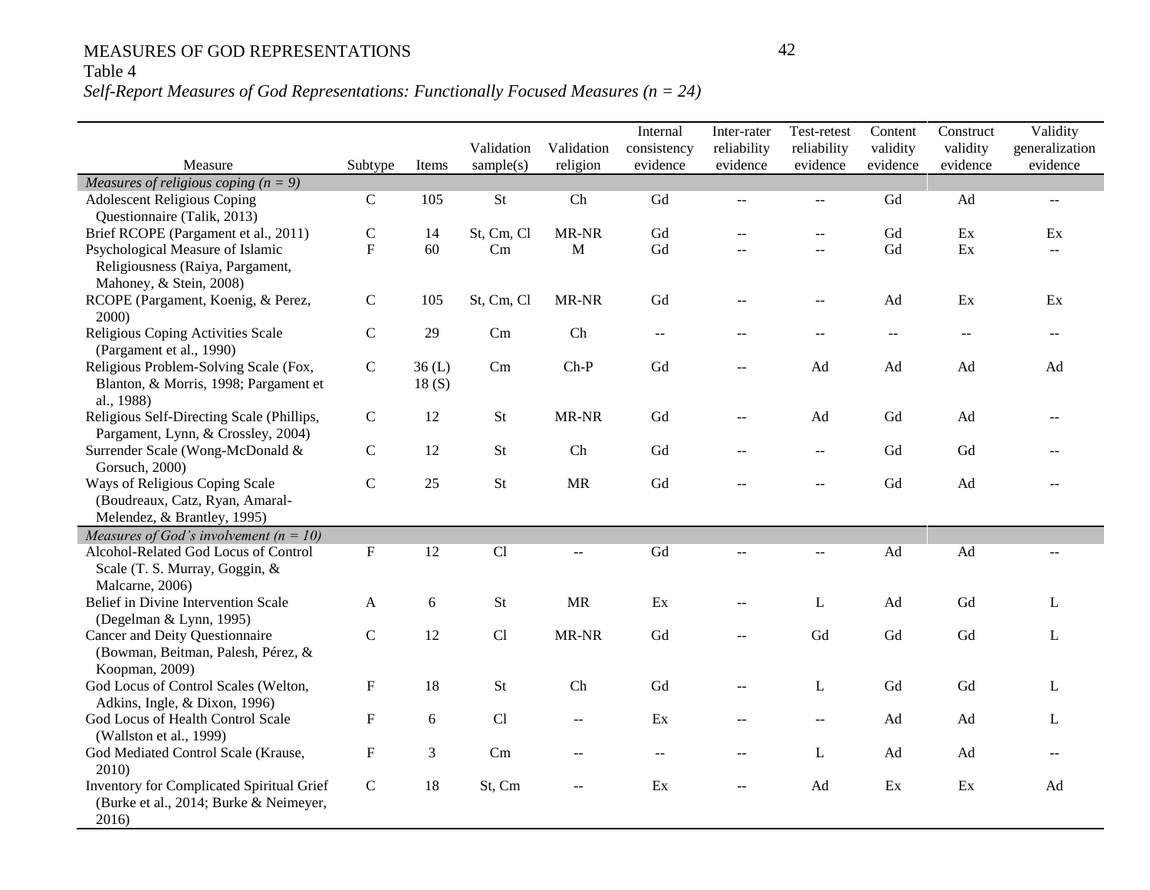## Table 4

## *Self-Report Measures of God Representations: Functionally Focused Measures (n = 24)*

|                                                                                                                                                                                                                                                                                                                                                                                                                                                                                                        |                                                                                         |                               |                                      |                                                                                                                                   | Internal                                              | Inter-rater                                                                   | Test-retest                                                              | Content                                                   | Construct                                        | Validity                          |
|--------------------------------------------------------------------------------------------------------------------------------------------------------------------------------------------------------------------------------------------------------------------------------------------------------------------------------------------------------------------------------------------------------------------------------------------------------------------------------------------------------|-----------------------------------------------------------------------------------------|-------------------------------|--------------------------------------|-----------------------------------------------------------------------------------------------------------------------------------|-------------------------------------------------------|-------------------------------------------------------------------------------|--------------------------------------------------------------------------|-----------------------------------------------------------|--------------------------------------------------|-----------------------------------|
|                                                                                                                                                                                                                                                                                                                                                                                                                                                                                                        |                                                                                         |                               | Validation                           | Validation                                                                                                                        | consistency                                           | reliability                                                                   | reliability                                                              | validity                                                  | validity                                         | generalization                    |
| Measure                                                                                                                                                                                                                                                                                                                                                                                                                                                                                                | Subtype                                                                                 | Items                         | sample(s)                            | religion                                                                                                                          | evidence                                              | evidence                                                                      | evidence                                                                 | evidence                                                  | evidence                                         | evidence                          |
| Measures of religious coping $(n = 9)$                                                                                                                                                                                                                                                                                                                                                                                                                                                                 |                                                                                         |                               |                                      |                                                                                                                                   |                                                       |                                                                               |                                                                          |                                                           |                                                  |                                   |
| <b>Adolescent Religious Coping</b>                                                                                                                                                                                                                                                                                                                                                                                                                                                                     | $\mathbf C$                                                                             | 105                           | <b>St</b>                            | Ch                                                                                                                                | ${\rm Gd}$                                            | $\sim$ $\sim$                                                                 | $\overline{a}$                                                           | Gd                                                        | Ad                                               | $\mathbb{L}^{\mathbb{L}}$         |
| Questionnaire (Talik, 2013)                                                                                                                                                                                                                                                                                                                                                                                                                                                                            |                                                                                         |                               |                                      |                                                                                                                                   |                                                       |                                                                               |                                                                          |                                                           |                                                  |                                   |
| Brief RCOPE (Pargament et al., 2011)                                                                                                                                                                                                                                                                                                                                                                                                                                                                   | $\mathbf C$                                                                             | 14                            | St, Cm, Cl                           | MR-NR                                                                                                                             | Gd                                                    |                                                                               | $-$                                                                      | ${\rm Gd}$                                                | $\mathop{\textrm{Ex}}$                           | Ex                                |
| Psychological Measure of Islamic                                                                                                                                                                                                                                                                                                                                                                                                                                                                       | $\mathbf{F}$                                                                            | 60                            | Cm                                   | M                                                                                                                                 | Gd                                                    |                                                                               | $\overline{a}$                                                           | Gd                                                        | Ex                                               | $\sim$ $\sim$                     |
| Religiousness (Raiya, Pargament,                                                                                                                                                                                                                                                                                                                                                                                                                                                                       |                                                                                         |                               |                                      |                                                                                                                                   |                                                       |                                                                               |                                                                          |                                                           |                                                  |                                   |
| Mahoney, & Stein, 2008)                                                                                                                                                                                                                                                                                                                                                                                                                                                                                |                                                                                         |                               |                                      |                                                                                                                                   |                                                       |                                                                               |                                                                          |                                                           |                                                  |                                   |
| RCOPE (Pargament, Koenig, & Perez,                                                                                                                                                                                                                                                                                                                                                                                                                                                                     | $\mathsf C$                                                                             | 105                           | St, Cm, Cl                           | MR-NR                                                                                                                             | Gd                                                    |                                                                               | $\sim$                                                                   | $\operatorname{Ad}$                                       | $\mathop{\textrm{Ex}}$                           | Ex                                |
| 2000)                                                                                                                                                                                                                                                                                                                                                                                                                                                                                                  |                                                                                         |                               |                                      |                                                                                                                                   |                                                       |                                                                               |                                                                          |                                                           |                                                  |                                   |
| Religious Coping Activities Scale                                                                                                                                                                                                                                                                                                                                                                                                                                                                      | $\mathsf C$                                                                             | 29                            | Cm                                   | Ch                                                                                                                                | $\mathcal{L} = \mathcal{L}$                           |                                                                               | $-$                                                                      | $\sim$ $-$                                                |                                                  | $\sim$ $-$                        |
| (Pargament et al., 1990)                                                                                                                                                                                                                                                                                                                                                                                                                                                                               |                                                                                         |                               |                                      |                                                                                                                                   |                                                       |                                                                               |                                                                          |                                                           |                                                  |                                   |
| Religious Problem-Solving Scale (Fox,                                                                                                                                                                                                                                                                                                                                                                                                                                                                  | ${\bf C}$                                                                               | 36(L)                         | Cm                                   | $Ch-P$                                                                                                                            | Gd                                                    | $-$                                                                           | Ad                                                                       | Ad                                                        | Ad                                               | Ad                                |
| Blanton, & Morris, 1998; Pargament et                                                                                                                                                                                                                                                                                                                                                                                                                                                                  |                                                                                         | 18(S)                         |                                      |                                                                                                                                   |                                                       |                                                                               |                                                                          |                                                           |                                                  |                                   |
| al., 1988)                                                                                                                                                                                                                                                                                                                                                                                                                                                                                             |                                                                                         |                               |                                      |                                                                                                                                   |                                                       |                                                                               |                                                                          |                                                           |                                                  |                                   |
| Religious Self-Directing Scale (Phillips,                                                                                                                                                                                                                                                                                                                                                                                                                                                              | $\mathsf C$                                                                             | 12                            | St                                   | MR-NR                                                                                                                             | Gd                                                    | $-$                                                                           | Ad                                                                       | Gd                                                        | Ad                                               |                                   |
| Pargament, Lynn, & Crossley, 2004)                                                                                                                                                                                                                                                                                                                                                                                                                                                                     | $\mathsf C$                                                                             |                               |                                      |                                                                                                                                   |                                                       |                                                                               |                                                                          |                                                           |                                                  |                                   |
| Surrender Scale (Wong-McDonald &                                                                                                                                                                                                                                                                                                                                                                                                                                                                       |                                                                                         | 12                            | <b>St</b>                            | Ch                                                                                                                                | Gd                                                    | $\sim$                                                                        | $-$                                                                      | Gd                                                        | Gd                                               |                                   |
| Gorsuch, 2000)                                                                                                                                                                                                                                                                                                                                                                                                                                                                                         |                                                                                         |                               |                                      |                                                                                                                                   |                                                       |                                                                               |                                                                          |                                                           |                                                  |                                   |
| Ways of Religious Coping Scale                                                                                                                                                                                                                                                                                                                                                                                                                                                                         | $\mathbf C$                                                                             | 25                            | St                                   | <b>MR</b>                                                                                                                         | Gd                                                    | $\sim$                                                                        | $-$                                                                      | Gd                                                        | Ad                                               | $-$                               |
| (Boudreaux, Catz, Ryan, Amaral-                                                                                                                                                                                                                                                                                                                                                                                                                                                                        |                                                                                         |                               |                                      |                                                                                                                                   |                                                       |                                                                               |                                                                          |                                                           |                                                  |                                   |
| Melendez, & Brantley, 1995)                                                                                                                                                                                                                                                                                                                                                                                                                                                                            |                                                                                         |                               |                                      |                                                                                                                                   |                                                       |                                                                               |                                                                          |                                                           |                                                  |                                   |
| Measures of God's involvement ( $n = 10$ )                                                                                                                                                                                                                                                                                                                                                                                                                                                             |                                                                                         |                               |                                      |                                                                                                                                   |                                                       |                                                                               |                                                                          |                                                           |                                                  |                                   |
| Alcohol-Related God Locus of Control                                                                                                                                                                                                                                                                                                                                                                                                                                                                   | ${\bf F}$                                                                               | 12                            | Cl                                   | $\overline{a}$                                                                                                                    | Gd                                                    | $\overline{a}$                                                                |                                                                          | $\operatorname{Ad}$                                       | Ad                                               |                                   |
|                                                                                                                                                                                                                                                                                                                                                                                                                                                                                                        |                                                                                         |                               |                                      |                                                                                                                                   |                                                       |                                                                               |                                                                          |                                                           |                                                  |                                   |
|                                                                                                                                                                                                                                                                                                                                                                                                                                                                                                        |                                                                                         |                               |                                      |                                                                                                                                   |                                                       |                                                                               |                                                                          |                                                           |                                                  |                                   |
|                                                                                                                                                                                                                                                                                                                                                                                                                                                                                                        |                                                                                         |                               |                                      |                                                                                                                                   |                                                       |                                                                               |                                                                          |                                                           |                                                  |                                   |
|                                                                                                                                                                                                                                                                                                                                                                                                                                                                                                        |                                                                                         |                               |                                      |                                                                                                                                   |                                                       |                                                                               |                                                                          |                                                           |                                                  |                                   |
|                                                                                                                                                                                                                                                                                                                                                                                                                                                                                                        |                                                                                         |                               |                                      |                                                                                                                                   |                                                       |                                                                               |                                                                          |                                                           |                                                  |                                   |
|                                                                                                                                                                                                                                                                                                                                                                                                                                                                                                        |                                                                                         |                               |                                      |                                                                                                                                   |                                                       |                                                                               |                                                                          |                                                           |                                                  |                                   |
|                                                                                                                                                                                                                                                                                                                                                                                                                                                                                                        |                                                                                         |                               |                                      |                                                                                                                                   |                                                       |                                                                               |                                                                          |                                                           |                                                  |                                   |
|                                                                                                                                                                                                                                                                                                                                                                                                                                                                                                        |                                                                                         |                               |                                      |                                                                                                                                   |                                                       |                                                                               |                                                                          |                                                           |                                                  |                                   |
|                                                                                                                                                                                                                                                                                                                                                                                                                                                                                                        |                                                                                         |                               |                                      |                                                                                                                                   |                                                       |                                                                               |                                                                          |                                                           |                                                  |                                   |
|                                                                                                                                                                                                                                                                                                                                                                                                                                                                                                        |                                                                                         |                               |                                      |                                                                                                                                   |                                                       |                                                                               |                                                                          |                                                           |                                                  |                                   |
|                                                                                                                                                                                                                                                                                                                                                                                                                                                                                                        |                                                                                         |                               |                                      |                                                                                                                                   |                                                       |                                                                               |                                                                          |                                                           |                                                  |                                   |
|                                                                                                                                                                                                                                                                                                                                                                                                                                                                                                        |                                                                                         |                               |                                      |                                                                                                                                   |                                                       |                                                                               |                                                                          |                                                           |                                                  |                                   |
|                                                                                                                                                                                                                                                                                                                                                                                                                                                                                                        |                                                                                         |                               |                                      |                                                                                                                                   |                                                       |                                                                               |                                                                          |                                                           |                                                  |                                   |
|                                                                                                                                                                                                                                                                                                                                                                                                                                                                                                        |                                                                                         |                               |                                      |                                                                                                                                   |                                                       |                                                                               |                                                                          |                                                           |                                                  |                                   |
|                                                                                                                                                                                                                                                                                                                                                                                                                                                                                                        |                                                                                         |                               |                                      |                                                                                                                                   |                                                       |                                                                               |                                                                          |                                                           |                                                  |                                   |
| Scale (T. S. Murray, Goggin, &<br>Malcarne, 2006)<br>Belief in Divine Intervention Scale<br>(Degelman & Lynn, 1995)<br>Cancer and Deity Questionnaire<br>(Bowman, Beitman, Palesh, Pérez, &<br>Koopman, 2009)<br>God Locus of Control Scales (Welton,<br>Adkins, Ingle, & Dixon, 1996)<br>God Locus of Health Control Scale<br>(Wallston et al., 1999)<br>God Mediated Control Scale (Krause,<br>2010)<br>Inventory for Complicated Spiritual Grief<br>(Burke et al., 2014; Burke & Neimeyer,<br>2016) | $\mathbf{A}$<br>$\mathbf C$<br>$\mathbf F$<br>$\mathbf F$<br>$\mathbf F$<br>$\mathsf C$ | 6<br>12<br>18<br>6<br>3<br>18 | St<br>Cl<br>St<br>Cl<br>Cm<br>St, Cm | <b>MR</b><br>MR-NR<br>Ch<br>$\mathord{\hspace{1pt}\text{--}\hspace{1pt}}$<br>$-$<br>$\mathord{\hspace{1pt}\text{--}\hspace{1pt}}$ | $\mathop{\textrm{Ex}}$<br>Gd<br>Gd<br>Ex<br>$-$<br>Ex | $\sim$<br>$- -$<br>--<br>$-$<br>$\mathord{\hspace{1pt}\text{--}\hspace{1pt}}$ | L<br>Gd<br>L<br>$\mathord{\hspace{1pt}\text{--}\hspace{1pt}}$<br>L<br>Ad | $\operatorname{Ad}$<br>${\rm Gd}$<br>Gd<br>Ad<br>Ad<br>Ex | Gd<br>${\rm Gd}$<br>${\rm Gd}$<br>Ad<br>Ad<br>Ex | L<br>$\mathbf{L}$<br>L<br>L<br>Ad |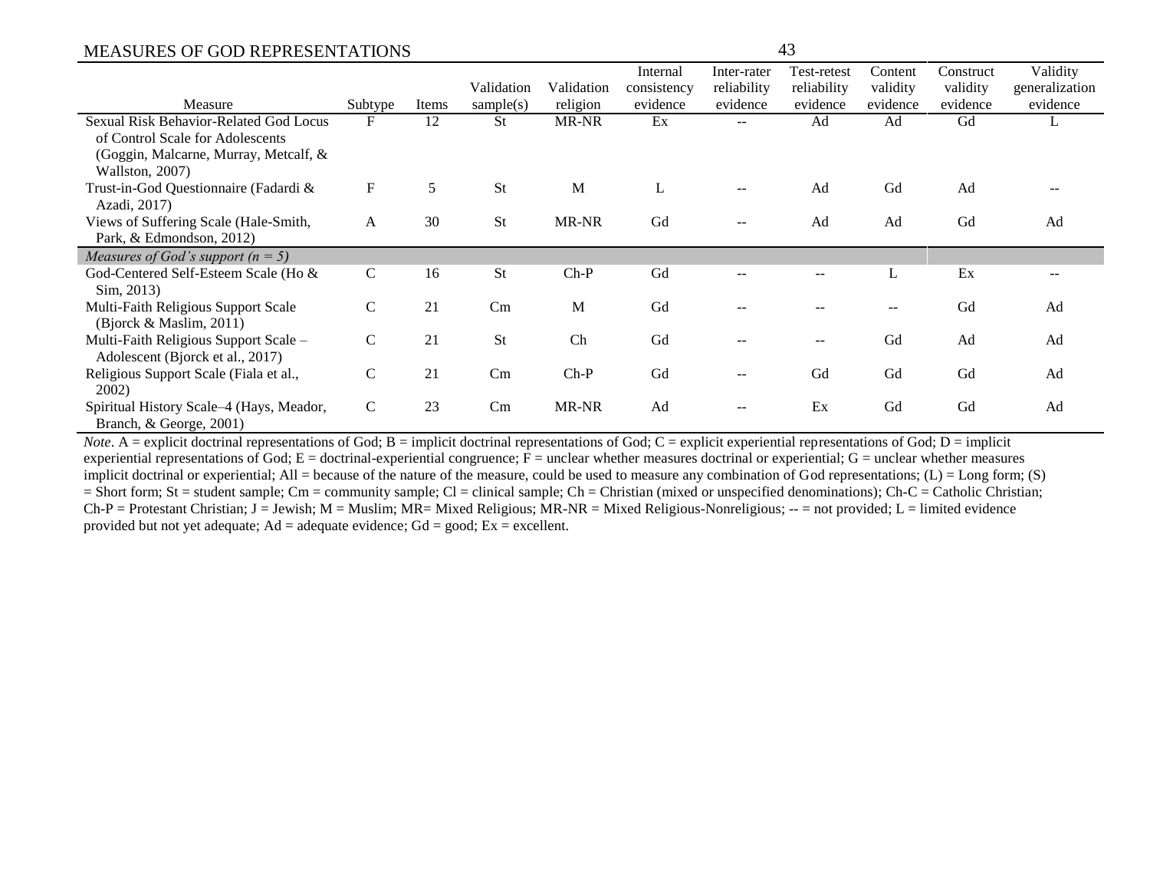|                                          |               |       |            |            | Internal    | Inter-rater | Test-retest | Content  | Construct | Validity       |
|------------------------------------------|---------------|-------|------------|------------|-------------|-------------|-------------|----------|-----------|----------------|
|                                          |               |       | Validation | Validation | consistency | reliability | reliability | validity | validity  | generalization |
| Measure                                  | Subtype       | Items | sample(s)  | religion   | evidence    | evidence    | evidence    | evidence | evidence  | evidence       |
| Sexual Risk Behavior-Related God Locus   | F             | 12    | <b>St</b>  | MR-NR      | Ex          |             | Ad          | Ad       | Gd        | ┺              |
| of Control Scale for Adolescents         |               |       |            |            |             |             |             |          |           |                |
| (Goggin, Malcarne, Murray, Metcalf, &    |               |       |            |            |             |             |             |          |           |                |
| Wallston, 2007)                          |               |       |            |            |             |             |             |          |           |                |
| Trust-in-God Questionnaire (Fadardi &    | F             | 5     | St         | M          | L           |             | Ad          | Gd       | Ad        |                |
| Azadi, 2017)                             |               |       |            |            |             |             |             |          |           |                |
| Views of Suffering Scale (Hale-Smith,    | A             | 30    | St         | MR-NR      | Gd          | --          | Ad          | Ad       | Gd        | Ad             |
| Park, & Edmondson, 2012)                 |               |       |            |            |             |             |             |          |           |                |
| Measures of God's support $(n = 5)$      |               |       |            |            |             |             |             |          |           |                |
| God-Centered Self-Esteem Scale (Ho &     | $\mathcal{C}$ | 16    | <b>St</b>  | $Ch-P$     | Gd          |             |             | L        | Ex        |                |
| Sim. 2013)                               |               |       |            |            |             |             |             |          |           |                |
| Multi-Faith Religious Support Scale      | $\mathsf{C}$  | 21    | Cm         | M          | Gd          |             |             | $-$      | Gd        | Ad             |
| (Bjorck $\&$ Maslim, 2011)               |               |       |            |            |             |             |             |          |           |                |
| Multi-Faith Religious Support Scale -    | $\mathcal{C}$ | 21    | St         | Ch         | Gd          | $- -$       | $--$        | Gd       | Ad        | Ad             |
| Adolescent (Bjorck et al., 2017)         |               |       |            |            |             |             |             |          |           |                |
| Religious Support Scale (Fiala et al.,   | $\mathbf C$   | 21    | Cm         | $Ch-P$     | Gd          | $- -$       | Gd          | Gd       | Gd        | Ad             |
| 2002)                                    |               |       |            |            |             |             |             |          |           |                |
| Spiritual History Scale-4 (Hays, Meador, | $\mathbf C$   | 23    | Cm         | MR-NR      | Ad          | $--$        | Ex          | Gd       | Gd        | Ad             |
| Branch, & George, 2001)                  |               |       |            |            |             |             |             |          |           |                |

*Note*. A = explicit doctrinal representations of God; B = implicit doctrinal representations of God; C = explicit experiential representations of God; D = implicit experiential representations of God;  $E =$  doctrinal-experiential congruence;  $F =$  unclear whether measures doctrinal or experiential;  $G =$  unclear whether measures implicit doctrinal or experiential; All = because of the nature of the measure, could be used to measure any combination of God representations; (L) = Long form; (S)  $=$  Short form; St = student sample; Cm = community sample; Cl = clinical sample; Ch = Christian (mixed or unspecified denominations); Ch-C = Catholic Christian;  $Ch-P =$  Protestant Christian; J = Jewish; M = Muslim; MR= Mixed Religious; MR-NR = Mixed Religious-Nonreligious; -- = not provided; L = limited evidence provided but not yet adequate;  $Ad =$  adequate evidence;  $Gd =$  good;  $Ex =$  excellent.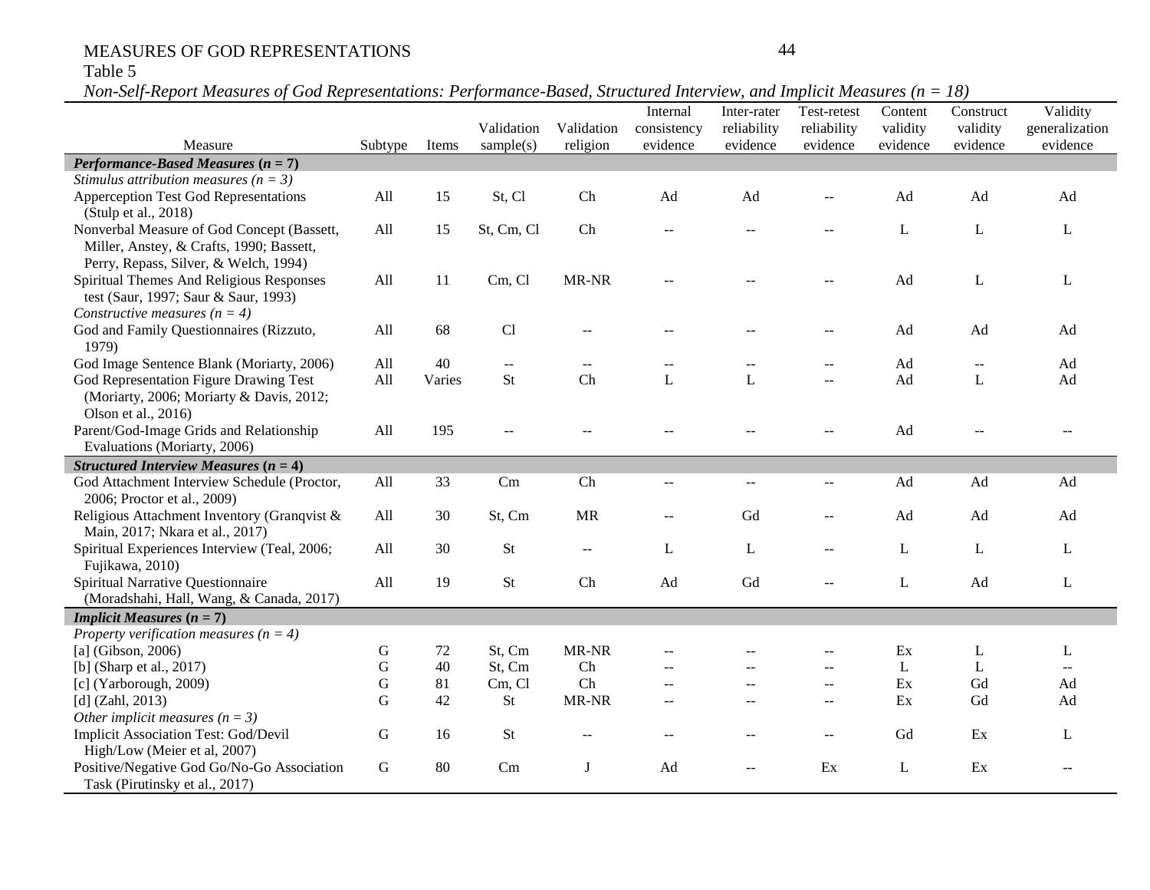## Table 5

*Non-Self-Report Measures of God Representations: Performance-Based, Structured Interview, and Implicit Measures (n = 18)*

|                                                        |             |        | Validation     | Validation                  | Internal                                      | Inter-rater             | Test-retest                                   | Content              | Construct            | Validity                   |
|--------------------------------------------------------|-------------|--------|----------------|-----------------------------|-----------------------------------------------|-------------------------|-----------------------------------------------|----------------------|----------------------|----------------------------|
| Measure                                                | Subtype     | Items  | sample(s)      | religion                    | consistency<br>evidence                       | reliability<br>evidence | reliability<br>evidence                       | validity<br>evidence | validity<br>evidence | generalization<br>evidence |
| <b>Performance-Based Measures (<math>n = 7</math>)</b> |             |        |                |                             |                                               |                         |                                               |                      |                      |                            |
| Stimulus attribution measures ( $n = 3$ )              |             |        |                |                             |                                               |                         |                                               |                      |                      |                            |
| Apperception Test God Representations                  | All         | 15     | St, Cl         | Ch                          | Ad                                            | Ad                      | $-$                                           | Ad                   | Ad                   | Ad                         |
| (Stulp et al., 2018)                                   |             |        |                |                             |                                               |                         |                                               |                      |                      |                            |
| Nonverbal Measure of God Concept (Bassett,             | All         | 15     | St, Cm, Cl     | Ch                          |                                               |                         |                                               | L                    | L                    | L                          |
| Miller, Anstey, & Crafts, 1990; Bassett,               |             |        |                |                             |                                               |                         |                                               |                      |                      |                            |
| Perry, Repass, Silver, & Welch, 1994)                  |             |        |                |                             |                                               |                         |                                               |                      |                      |                            |
| Spiritual Themes And Religious Responses               | All         | 11     | Cm, Cl         | MR-NR                       |                                               |                         |                                               | Ad                   | L                    | L                          |
| test (Saur, 1997; Saur & Saur, 1993)                   |             |        |                |                             |                                               |                         |                                               |                      |                      |                            |
| Constructive measures ( $n = 4$ )                      |             |        |                |                             |                                               |                         |                                               |                      |                      |                            |
| God and Family Questionnaires (Rizzuto,                | All         | 68     | Cl             | $-$                         |                                               |                         | $-$                                           | Ad                   | Ad                   | Ad                         |
| 1979)                                                  |             |        |                |                             |                                               |                         |                                               |                      |                      |                            |
| God Image Sentence Blank (Moriarty, 2006)              | All         | 40     | $\overline{a}$ | $- -$                       |                                               |                         | $-$                                           | Ad                   | $\overline{a}$       | Ad                         |
| God Representation Figure Drawing Test                 | All         | Varies | St             | Ch                          | L                                             | $\mathbf L$             | $-$                                           | Ad                   | L                    | Ad                         |
| (Moriarty, 2006; Moriarty & Davis, 2012;               |             |        |                |                             |                                               |                         |                                               |                      |                      |                            |
| Olson et al., 2016)                                    |             |        |                |                             |                                               |                         |                                               |                      |                      |                            |
| Parent/God-Image Grids and Relationship                | All         | 195    |                |                             |                                               |                         | $-$                                           | Ad                   |                      | $- -$                      |
| Evaluations (Moriarty, 2006)                           |             |        |                |                             |                                               |                         |                                               |                      |                      |                            |
| Structured Interview Measures ( $n = 4$ )              |             |        |                |                             |                                               |                         |                                               |                      |                      |                            |
| God Attachment Interview Schedule (Proctor,            | All         | 33     | Cm             | Ch                          | --                                            | ÷÷                      | $-$                                           | Ad                   | Ad                   | Ad                         |
| 2006; Proctor et al., 2009)                            |             |        |                |                             |                                               |                         |                                               |                      |                      |                            |
| Religious Attachment Inventory (Granqvist &            | All         | 30     | St, Cm         | <b>MR</b>                   | $\mathord{\hspace{1pt}\text{--}\hspace{1pt}}$ | Gd                      | $\mathord{\hspace{1pt}\text{--}\hspace{1pt}}$ | Ad                   | Ad                   | Ad                         |
| Main, 2017; Nkara et al., 2017)                        |             |        |                |                             |                                               |                         |                                               |                      |                      |                            |
| Spiritual Experiences Interview (Teal, 2006;           | All         | 30     | <b>St</b>      | $\mathcal{L}_{\mathcal{F}}$ | L                                             | L                       | $\sim$ $-$                                    | L                    | L                    | $\mathbf{L}$               |
| Fujikawa, 2010)                                        |             |        |                |                             |                                               |                         |                                               |                      |                      |                            |
| Spiritual Narrative Questionnaire                      | All         | 19     | St             | Ch                          | Ad                                            | Gd                      | $\sim$                                        | L                    | Ad                   | $\mathbf{L}$               |
| (Moradshahi, Hall, Wang, & Canada, 2017)               |             |        |                |                             |                                               |                         |                                               |                      |                      |                            |
| <b>Implicit Measures (<math>n = 7</math>)</b>          |             |        |                |                             |                                               |                         |                                               |                      |                      |                            |
| Property verification measures ( $n = 4$ )             |             |        |                |                             |                                               |                         |                                               |                      |                      |                            |
| [a] (Gibson, $2006$ )                                  | $\mathbf G$ | $72\,$ | St, Cm         | MR-NR                       | $\overline{a}$                                |                         | $\sim$                                        | Ex                   | L                    | $\mathbf{L}$               |
| [b] (Sharp et al., 2017)                               | G           | 40     | St, Cm         | Ch                          |                                               |                         | $\sim$                                        | L                    | $\bf L$              | $\mathbf{u}$               |
| [c] (Yarborough, 2009)                                 | G           | 81     | Cm, Cl         | Ch                          | $-$                                           |                         | $\sim$ $\sim$                                 | Ex                   | Gd                   | Ad                         |
| $[d]$ (Zahl, 2013)                                     | G           | 42     | St             | MR-NR                       | $-1$                                          | $- -$                   | $\overline{\phantom{m}}$                      | Ex                   | Gd                   | Ad                         |
| Other implicit measures ( $n = 3$ )                    |             |        |                |                             |                                               |                         |                                               |                      |                      |                            |
| Implicit Association Test: God/Devil                   | ${\bf G}$   | 16     | St             |                             |                                               |                         | $\sim$                                        | Gd                   | Ex                   | $\mathbf{L}$               |
| High/Low (Meier et al, 2007)                           |             |        |                |                             |                                               |                         |                                               |                      |                      |                            |
| Positive/Negative God Go/No-Go Association             | G           | 80     | Cm             | J                           | Ad                                            | $- -$                   | Ex                                            | L                    | Ex                   | $- -$                      |
| Task (Pirutinsky et al., 2017)                         |             |        |                |                             |                                               |                         |                                               |                      |                      |                            |